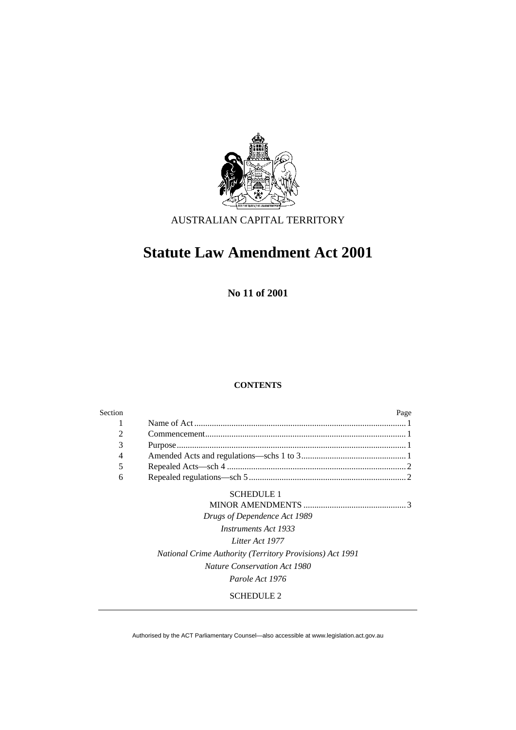

AUSTRALIAN CAPITAL TERRITORY

# **Statute Law Amendment Act 2001**

**No 11 of 2001** 

## **CONTENTS**

| Section |                                                          | Page |
|---------|----------------------------------------------------------|------|
| 1       |                                                          |      |
| 2       |                                                          |      |
| 3       |                                                          |      |
| 4       |                                                          |      |
| 5       |                                                          |      |
| 6       |                                                          |      |
|         | <b>SCHEDULE 1</b>                                        |      |
|         |                                                          |      |
|         | Drugs of Dependence Act 1989                             |      |
|         | <i>Instruments Act 1933</i>                              |      |
|         | Litter Act 1977                                          |      |
|         | National Crime Authority (Territory Provisions) Act 1991 |      |
|         | <b>Nature Conservation Act 1980</b>                      |      |
|         | Parole Act 1976                                          |      |
|         | <b>SCHEDULE 2</b>                                        |      |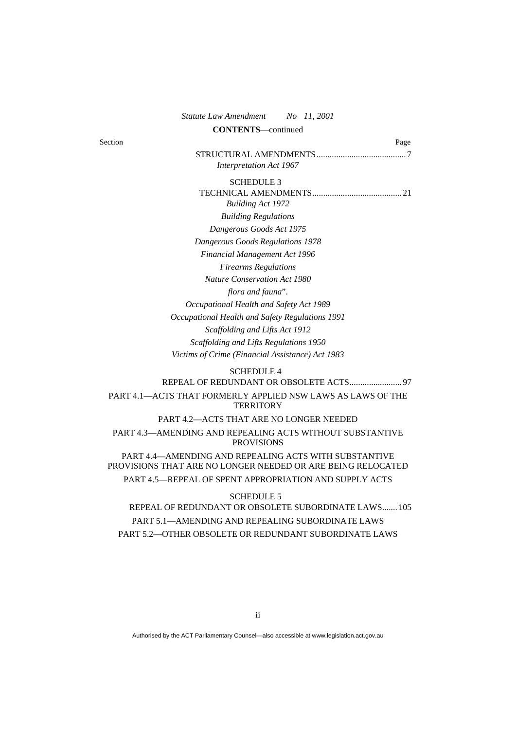| No 11, 2001<br><b>Statute Law Amendment</b>                                                                          |
|----------------------------------------------------------------------------------------------------------------------|
| <b>CONTENTS</b> —continued                                                                                           |
| Section<br>Page                                                                                                      |
|                                                                                                                      |
| <b>Interpretation Act 1967</b>                                                                                       |
| <b>SCHEDULE 3</b>                                                                                                    |
|                                                                                                                      |
| <b>Building Act 1972</b>                                                                                             |
| <b>Building Regulations</b>                                                                                          |
| Dangerous Goods Act 1975                                                                                             |
| Dangerous Goods Regulations 1978                                                                                     |
| Financial Management Act 1996                                                                                        |
| <b>Firearms Regulations</b>                                                                                          |
| <b>Nature Conservation Act 1980</b>                                                                                  |
| flora and fauna".                                                                                                    |
| Occupational Health and Safety Act 1989                                                                              |
| Occupational Health and Safety Regulations 1991                                                                      |
| Scaffolding and Lifts Act 1912                                                                                       |
| Scaffolding and Lifts Regulations 1950                                                                               |
| Victims of Crime (Financial Assistance) Act 1983                                                                     |
| <b>SCHEDULE 4</b>                                                                                                    |
|                                                                                                                      |
| PART 4.1-ACTS THAT FORMERLY APPLIED NSW LAWS AS LAWS OF THE<br><b>TERRITORY</b>                                      |
| PART 4.2-ACTS THAT ARE NO LONGER NEEDED                                                                              |
| PART 4.3-AMENDING AND REPEALING ACTS WITHOUT SUBSTANTIVE<br><b>PROVISIONS</b>                                        |
| PART 4.4-AMENDING AND REPEALING ACTS WITH SUBSTANTIVE<br>PROVISIONS THAT ARE NO LONGER NEEDED OR ARE BEING RELOCATED |
| PART 4.5-REPEAL OF SPENT APPROPRIATION AND SUPPLY ACTS                                                               |
| <b>SCHEDULE 5</b>                                                                                                    |
| REPEAL OF REDUNDANT OR OBSOLETE SUBORDINATE LAWS 105                                                                 |
| PART 5.1-AMENDING AND REPEALING SUBORDINATE LAWS                                                                     |

PART 5.2—OTHER OBSOLETE OR REDUNDANT SUBORDINATE LAWS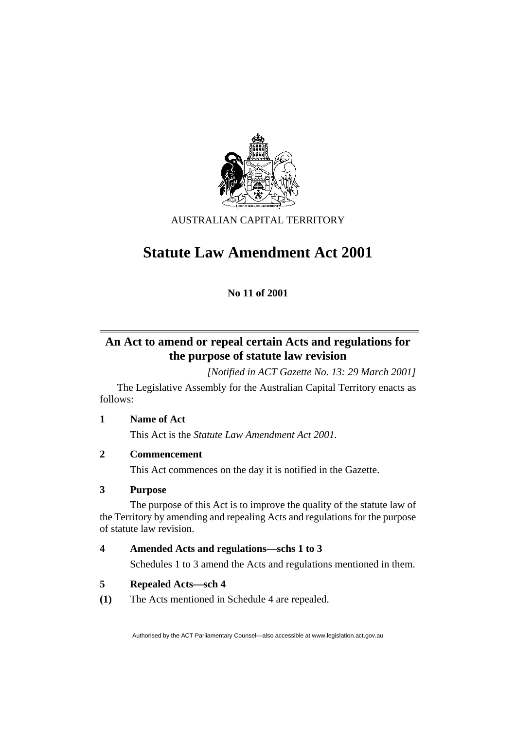

AUSTRALIAN CAPITAL TERRITORY

# **Statute Law Amendment Act 2001**

**No 11 of 2001** 

# **An Act to amend or repeal certain Acts and regulations for the purpose of statute law revision**

*[Notified in ACT Gazette No. 13: 29 March 2001]* 

 The Legislative Assembly for the Australian Capital Territory enacts as follows:

## **1 Name of Act**

This Act is the *Statute Law Amendment Act 2001.*

## **2 Commencement**

This Act commences on the day it is notified in the Gazette.

## **3 Purpose**

 The purpose of this Act is to improve the quality of the statute law of the Territory by amending and repealing Acts and regulations for the purpose of statute law revision.

## **4 Amended Acts and regulations—schs 1 to 3**

Schedules 1 to 3 amend the Acts and regulations mentioned in them.

## **5 Repealed Acts—sch 4**

**(1)** The Acts mentioned in Schedule 4 are repealed.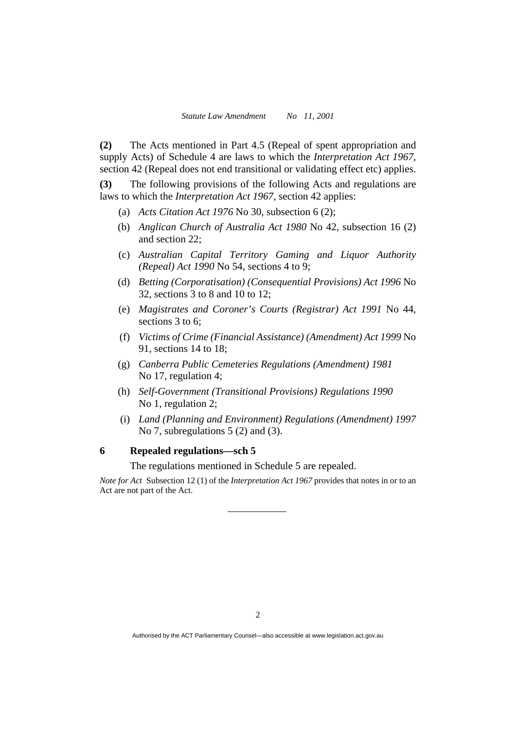**(2)** The Acts mentioned in Part 4.5 (Repeal of spent appropriation and supply Acts) of Schedule 4 are laws to which the *Interpretation Act 1967*, section 42 (Repeal does not end transitional or validating effect etc) applies.

**(3)** The following provisions of the following Acts and regulations are laws to which the *Interpretation Act 1967*, section 42 applies:

- (a) *Acts Citation Act 1976* No 30, subsection 6 (2);
- (b) *Anglican Church of Australia Act 1980* No 42, subsection 16 (2) and section 22;
- (c) *Australian Capital Territory Gaming and Liquor Authority (Repeal) Act 1990* No 54, sections 4 to 9;
- (d) *Betting (Corporatisation) (Consequential Provisions) Act 1996* No 32, sections 3 to 8 and 10 to 12;
- (e) *Magistrates and Coroner's Courts (Registrar) Act 1991* No 44, sections 3 to 6;
- (f) *Victims of Crime (Financial Assistance) (Amendment) Act 1999* No 91, sections 14 to 18;
- (g) *Canberra Public Cemeteries Regulations (Amendment) 1981* No 17, regulation 4;
- (h) *Self-Government (Transitional Provisions) Regulations 1990* No 1, regulation 2;
- (i) *Land (Planning and Environment) Regulations (Amendment) 1997* No 7, subregulations 5 (2) and (3).

## **6 Repealed regulations—sch 5**

The regulations mentioned in Schedule 5 are repealed.

*Note for Act* Subsection 12 (1) of the *Interpretation Act 1967* provides that notes in or to an Act are not part of the Act.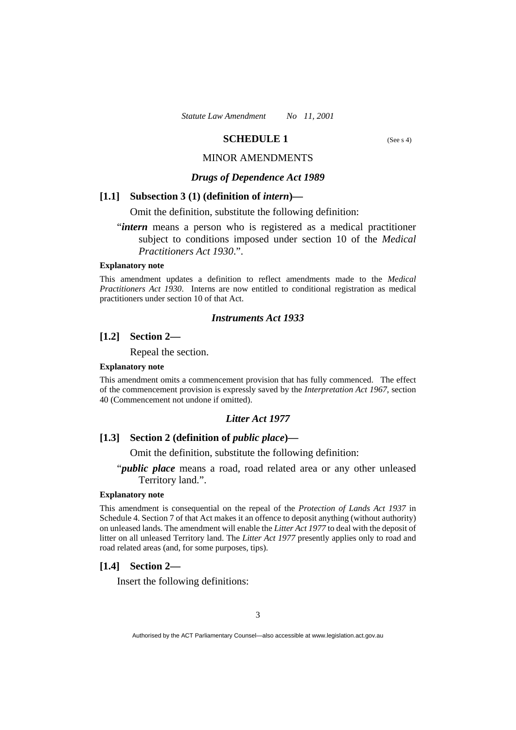## **SCHEDULE 1** (See s 4)

## MINOR AMENDMENTS

## *Drugs of Dependence Act 1989*

## **[1.1] Subsection 3 (1) (definition of** *intern***)—**

Omit the definition, substitute the following definition:

## "*intern* means a person who is registered as a medical practitioner subject to conditions imposed under section 10 of the *Medical Practitioners Act 1930*.".

#### **Explanatory note**

This amendment updates a definition to reflect amendments made to the *Medical Practitioners Act 1930*. Interns are now entitled to conditional registration as medical practitioners under section 10 of that Act.

## *Instruments Act 1933*

## **[1.2] Section 2—**

Repeal the section.

## **Explanatory note**

This amendment omits a commencement provision that has fully commenced. The effect of the commencement provision is expressly saved by the *Interpretation Act 1967*, section 40 (Commencement not undone if omitted).

#### *Litter Act 1977*

## **[1.3] Section 2 (definition of** *public place***)—**

Omit the definition, substitute the following definition:

## "*public place* means a road, road related area or any other unleased Territory land.".

#### **Explanatory note**

This amendment is consequential on the repeal of the *Protection of Lands Act 1937* in Schedule 4. Section 7 of that Act makes it an offence to deposit anything (without authority) on unleased lands. The amendment will enable the *Litter Act 1977* to deal with the deposit of litter on all unleased Territory land. The *Litter Act 1977* presently applies only to road and road related areas (and, for some purposes, tips).

#### **[1.4] Section 2—**

Insert the following definitions: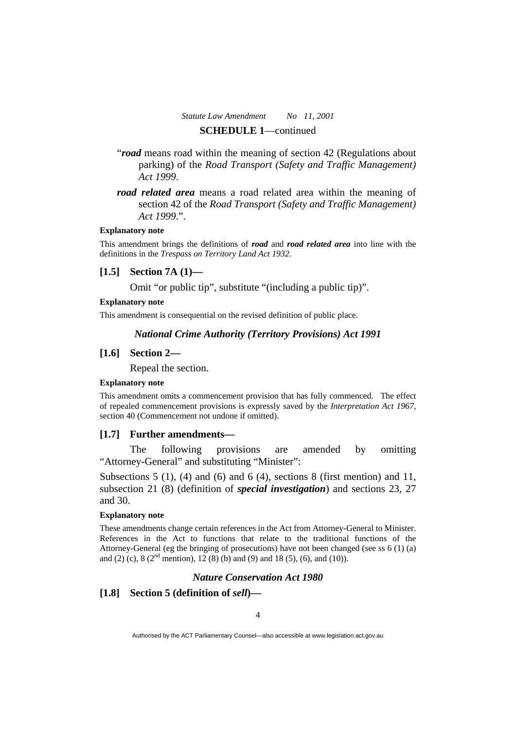- "*road* means road within the meaning of section 42 (Regulations about parking) of the *Road Transport (Safety and Traffic Management) Act 1999*.
- *road related area* means a road related area within the meaning of section 42 of the *Road Transport (Safety and Traffic Management) Act 1999*.".

#### **Explanatory note**

This amendment brings the definitions of *road* and *road related area* into line with the definitions in the *Trespass on Territory Land Act 1932*.

## **[1.5] Section 7A (1)—**

Omit "or public tip", substitute "(including a public tip)".

## **Explanatory note**

This amendment is consequential on the revised definition of public place.

#### *National Crime Authority (Territory Provisions) Act 1991*

## **[1.6] Section 2—**

Repeal the section.

#### **Explanatory note**

This amendment omits a commencement provision that has fully commenced. The effect of repealed commencement provisions is expressly saved by the *Interpretation Act 1967*, section 40 (Commencement not undone if omitted).

## **[1.7] Further amendments—**

 The following provisions are amended by omitting "Attorney-General" and substituting "Minister":

Subsections  $5(1)$ ,  $(4)$  and  $(6)$  and  $6(4)$ , sections 8 (first mention) and  $11$ , subsection 21 (8) (definition of *special investigation*) and sections 23, 27 and 30.

#### **Explanatory note**

These amendments change certain references in the Act from Attorney-General to Minister. References in the Act to functions that relate to the traditional functions of the Attorney-General (eg the bringing of prosecutions) have not been changed (see ss 6 (1) (a) and (2) (c),  $8(2<sup>nd</sup>$  mention), 12 (8) (b) and (9) and 18 (5), (6), and (10)).

## *Nature Conservation Act 1980*

## **[1.8] Section 5 (definition of** *sell***)—**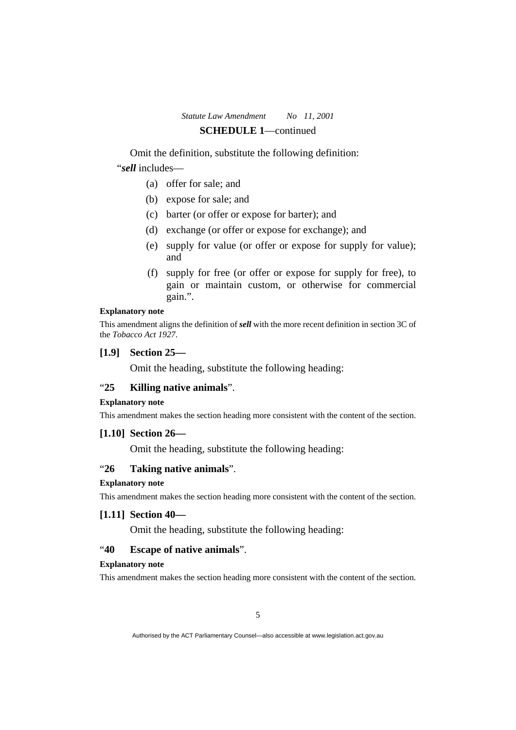Omit the definition, substitute the following definition: "*sell* includes—

- (a) offer for sale; and
- (b) expose for sale; and
- (c) barter (or offer or expose for barter); and
- (d) exchange (or offer or expose for exchange); and
- (e) supply for value (or offer or expose for supply for value); and
- (f) supply for free (or offer or expose for supply for free), to gain or maintain custom, or otherwise for commercial gain.".

#### **Explanatory note**

This amendment aligns the definition of *sell* with the more recent definition in section 3C of the *Tobacco Act 1927*.

## **[1.9] Section 25—**

Omit the heading, substitute the following heading:

## "**25 Killing native animals**".

## **Explanatory note**

This amendment makes the section heading more consistent with the content of the section.

## **[1.10] Section 26—**

Omit the heading, substitute the following heading:

## "**26 Taking native animals**".

#### **Explanatory note**

This amendment makes the section heading more consistent with the content of the section.

## **[1.11] Section 40—**

Omit the heading, substitute the following heading:

## "**40 Escape of native animals**".

#### **Explanatory note**

This amendment makes the section heading more consistent with the content of the section.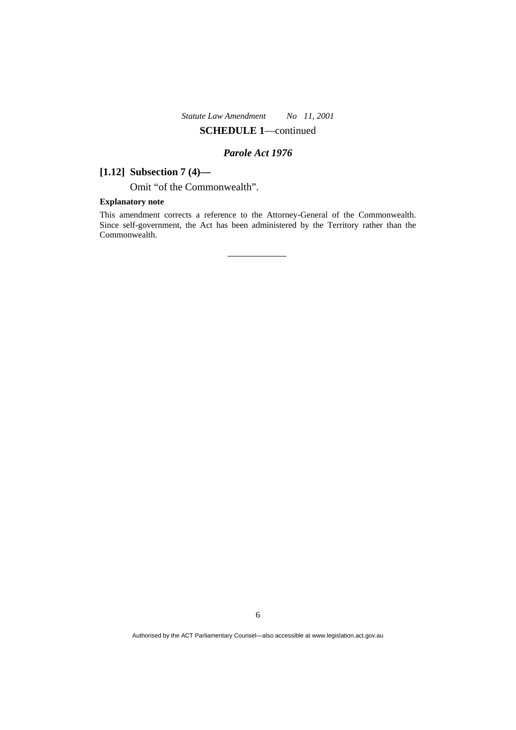## *Parole Act 1976*

## **[1.12] Subsection 7 (4)—**

Omit "of the Commonwealth".

## **Explanatory note**

This amendment corrects a reference to the Attorney-General of the Commonwealth. Since self-government, the Act has been administered by the Territory rather than the Commonwealth.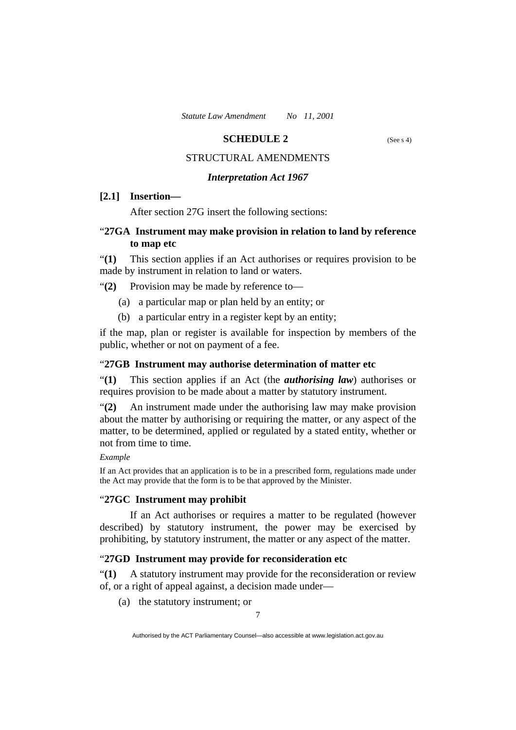## **SCHEDULE 2** (See s 4)

## STRUCTURAL AMENDMENTS

#### *Interpretation Act 1967*

## **[2.1] Insertion—**

After section 27G insert the following sections:

## "**27GA Instrument may make provision in relation to land by reference to map etc**

"**(1)** This section applies if an Act authorises or requires provision to be made by instrument in relation to land or waters.

"**(2)** Provision may be made by reference to—

- (a) a particular map or plan held by an entity; or
- (b) a particular entry in a register kept by an entity;

if the map, plan or register is available for inspection by members of the public, whether or not on payment of a fee.

#### "**27GB Instrument may authorise determination of matter etc**

"**(1)** This section applies if an Act (the *authorising law*) authorises or requires provision to be made about a matter by statutory instrument.

"**(2)** An instrument made under the authorising law may make provision about the matter by authorising or requiring the matter, or any aspect of the matter, to be determined, applied or regulated by a stated entity, whether or not from time to time.

## *Example*

If an Act provides that an application is to be in a prescribed form, regulations made under the Act may provide that the form is to be that approved by the Minister.

## "**27GC Instrument may prohibit**

 If an Act authorises or requires a matter to be regulated (however described) by statutory instrument, the power may be exercised by prohibiting, by statutory instrument, the matter or any aspect of the matter.

## "**27GD Instrument may provide for reconsideration etc**

"**(1)** A statutory instrument may provide for the reconsideration or review of, or a right of appeal against, a decision made under—

(a) the statutory instrument; or

Authorised by the ACT Parliamentary Counsel—also accessible at www.legislation.act.gov.au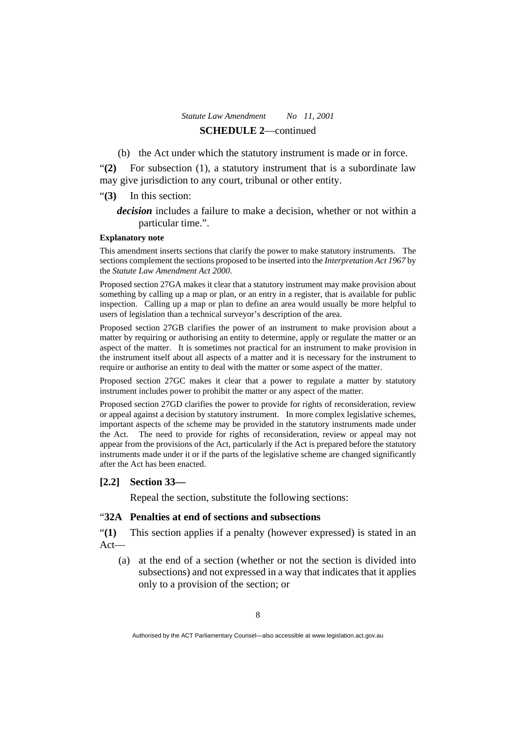(b) the Act under which the statutory instrument is made or in force.

"**(2)** For subsection (1), a statutory instrument that is a subordinate law may give jurisdiction to any court, tribunal or other entity.

- "**(3)** In this section:
	- *decision* includes a failure to make a decision, whether or not within a particular time.".

#### **Explanatory note**

This amendment inserts sections that clarify the power to make statutory instruments. The sections complement the sections proposed to be inserted into the *Interpretation Act 1967* by the *Statute Law Amendment Act 2000*.

Proposed section 27GA makes it clear that a statutory instrument may make provision about something by calling up a map or plan, or an entry in a register, that is available for public inspection. Calling up a map or plan to define an area would usually be more helpful to users of legislation than a technical surveyor's description of the area.

Proposed section 27GB clarifies the power of an instrument to make provision about a matter by requiring or authorising an entity to determine, apply or regulate the matter or an aspect of the matter. It is sometimes not practical for an instrument to make provision in the instrument itself about all aspects of a matter and it is necessary for the instrument to require or authorise an entity to deal with the matter or some aspect of the matter.

Proposed section 27GC makes it clear that a power to regulate a matter by statutory instrument includes power to prohibit the matter or any aspect of the matter.

Proposed section 27GD clarifies the power to provide for rights of reconsideration, review or appeal against a decision by statutory instrument. In more complex legislative schemes, important aspects of the scheme may be provided in the statutory instruments made under the Act. The need to provide for rights of reconsideration, review or appeal may not appear from the provisions of the Act, particularly if the Act is prepared before the statutory instruments made under it or if the parts of the legislative scheme are changed significantly after the Act has been enacted.

#### **[2.2] Section 33—**

Repeal the section, substitute the following sections:

## "**32A Penalties at end of sections and subsections**

"**(1)** This section applies if a penalty (however expressed) is stated in an Act—

 (a) at the end of a section (whether or not the section is divided into subsections) and not expressed in a way that indicates that it applies only to a provision of the section; or

Authorised by the ACT Parliamentary Counsel—also accessible at www.legislation.act.gov.au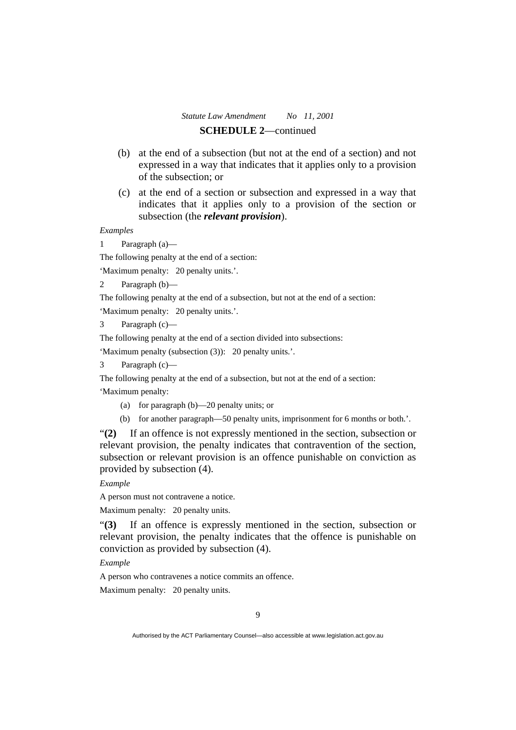- (b) at the end of a subsection (but not at the end of a section) and not expressed in a way that indicates that it applies only to a provision of the subsection; or
- (c) at the end of a section or subsection and expressed in a way that indicates that it applies only to a provision of the section or subsection (the *relevant provision*).

#### *Examples*

1 Paragraph (a)—

The following penalty at the end of a section:

'Maximum penalty: 20 penalty units.'.

2 Paragraph (b)—

The following penalty at the end of a subsection, but not at the end of a section:

'Maximum penalty: 20 penalty units.'.

Paragraph (c)—

The following penalty at the end of a section divided into subsections:

'Maximum penalty (subsection (3)): 20 penalty units.'.

Paragraph (c)—

The following penalty at the end of a subsection, but not at the end of a section: 'Maximum penalty:

- (a) for paragraph (b)—20 penalty units; or
- (b) for another paragraph—50 penalty units, imprisonment for 6 months or both.'.

"**(2)** If an offence is not expressly mentioned in the section, subsection or relevant provision, the penalty indicates that contravention of the section, subsection or relevant provision is an offence punishable on conviction as provided by subsection (4).

*Example* 

A person must not contravene a notice.

Maximum penalty: 20 penalty units.

"**(3)** If an offence is expressly mentioned in the section, subsection or relevant provision, the penalty indicates that the offence is punishable on conviction as provided by subsection (4).

*Example* 

A person who contravenes a notice commits an offence.

Maximum penalty: 20 penalty units.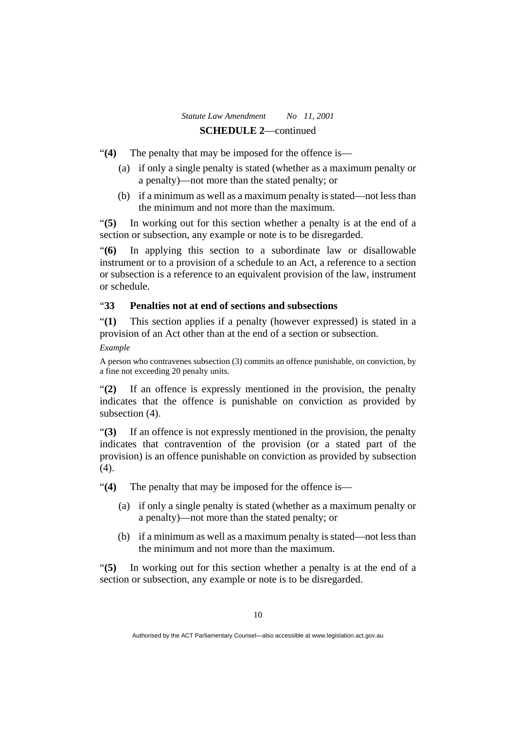"**(4)** The penalty that may be imposed for the offence is—

- (a) if only a single penalty is stated (whether as a maximum penalty or a penalty)—not more than the stated penalty; or
- (b) if a minimum as well as a maximum penalty is stated—not less than the minimum and not more than the maximum.

"**(5)** In working out for this section whether a penalty is at the end of a section or subsection, any example or note is to be disregarded.

"**(6)** In applying this section to a subordinate law or disallowable instrument or to a provision of a schedule to an Act, a reference to a section or subsection is a reference to an equivalent provision of the law, instrument or schedule.

## "**33 Penalties not at end of sections and subsections**

"**(1)** This section applies if a penalty (however expressed) is stated in a provision of an Act other than at the end of a section or subsection.

*Example* 

A person who contravenes subsection (3) commits an offence punishable, on conviction, by a fine not exceeding 20 penalty units.

"**(2)** If an offence is expressly mentioned in the provision, the penalty indicates that the offence is punishable on conviction as provided by subsection  $(4)$ .

"**(3)** If an offence is not expressly mentioned in the provision, the penalty indicates that contravention of the provision (or a stated part of the provision) is an offence punishable on conviction as provided by subsection (4).

"**(4)** The penalty that may be imposed for the offence is—

- (a) if only a single penalty is stated (whether as a maximum penalty or a penalty)—not more than the stated penalty; or
- (b) if a minimum as well as a maximum penalty is stated—not less than the minimum and not more than the maximum.

"**(5)** In working out for this section whether a penalty is at the end of a section or subsection, any example or note is to be disregarded.

Authorised by the ACT Parliamentary Counsel—also accessible at www.legislation.act.gov.au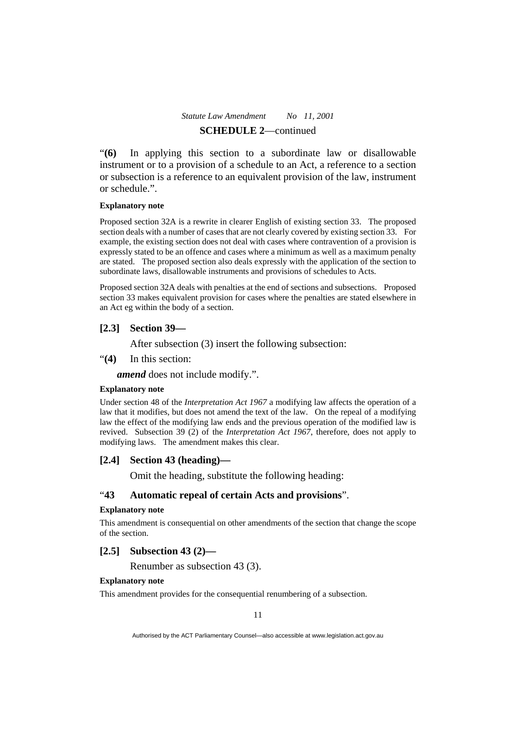"**(6)** In applying this section to a subordinate law or disallowable instrument or to a provision of a schedule to an Act, a reference to a section or subsection is a reference to an equivalent provision of the law, instrument or schedule.".

#### **Explanatory note**

Proposed section 32A is a rewrite in clearer English of existing section 33. The proposed section deals with a number of cases that are not clearly covered by existing section 33. For example, the existing section does not deal with cases where contravention of a provision is expressly stated to be an offence and cases where a minimum as well as a maximum penalty are stated. The proposed section also deals expressly with the application of the section to subordinate laws, disallowable instruments and provisions of schedules to Acts.

Proposed section 32A deals with penalties at the end of sections and subsections. Proposed section 33 makes equivalent provision for cases where the penalties are stated elsewhere in an Act eg within the body of a section.

## **[2.3] Section 39—**

After subsection (3) insert the following subsection:

"**(4)** In this section:

*amend* does not include modify.".

#### **Explanatory note**

Under section 48 of the *Interpretation Act 1967* a modifying law affects the operation of a law that it modifies, but does not amend the text of the law. On the repeal of a modifying law the effect of the modifying law ends and the previous operation of the modified law is revived. Subsection 39 (2) of the *Interpretation Act 1967*, therefore, does not apply to modifying laws. The amendment makes this clear.

## **[2.4] Section 43 (heading)—**

Omit the heading, substitute the following heading:

## "**43 Automatic repeal of certain Acts and provisions**".

#### **Explanatory note**

This amendment is consequential on other amendments of the section that change the scope of the section.

## **[2.5] Subsection 43 (2)—**

Renumber as subsection 43 (3).

#### **Explanatory note**

This amendment provides for the consequential renumbering of a subsection.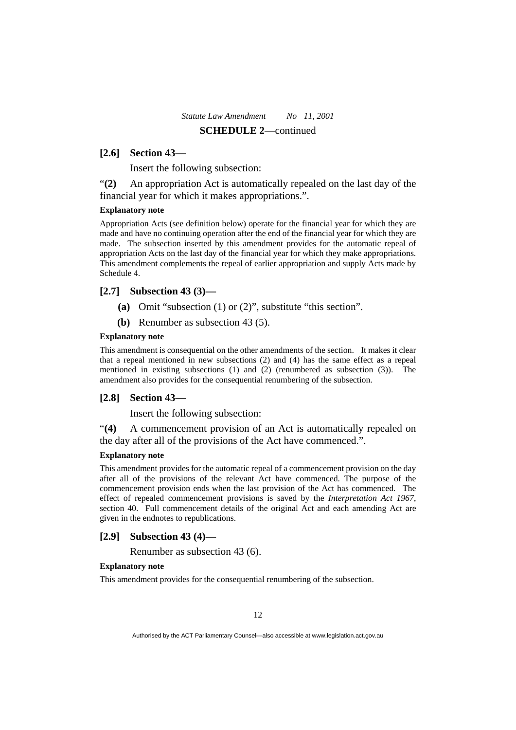## **[2.6] Section 43—**

Insert the following subsection:

"**(2)** An appropriation Act is automatically repealed on the last day of the financial year for which it makes appropriations.".

## **Explanatory note**

Appropriation Acts (see definition below) operate for the financial year for which they are made and have no continuing operation after the end of the financial year for which they are made. The subsection inserted by this amendment provides for the automatic repeal of appropriation Acts on the last day of the financial year for which they make appropriations. This amendment complements the repeal of earlier appropriation and supply Acts made by Schedule 4.

## **[2.7] Subsection 43 (3)—**

- **(a)** Omit "subsection (1) or (2)", substitute "this section".
- **(b)** Renumber as subsection 43 (5).

#### **Explanatory note**

This amendment is consequential on the other amendments of the section. It makes it clear that a repeal mentioned in new subsections (2) and (4) has the same effect as a repeal mentioned in existing subsections (1) and (2) (renumbered as subsection (3)). The amendment also provides for the consequential renumbering of the subsection.

#### **[2.8] Section 43—**

Insert the following subsection:

"**(4)** A commencement provision of an Act is automatically repealed on the day after all of the provisions of the Act have commenced.".

#### **Explanatory note**

This amendment provides for the automatic repeal of a commencement provision on the day after all of the provisions of the relevant Act have commenced. The purpose of the commencement provision ends when the last provision of the Act has commenced. The effect of repealed commencement provisions is saved by the *Interpretation Act 1967*, section 40. Full commencement details of the original Act and each amending Act are given in the endnotes to republications.

## **[2.9] Subsection 43 (4)—**

Renumber as subsection 43 (6).

#### **Explanatory note**

This amendment provides for the consequential renumbering of the subsection.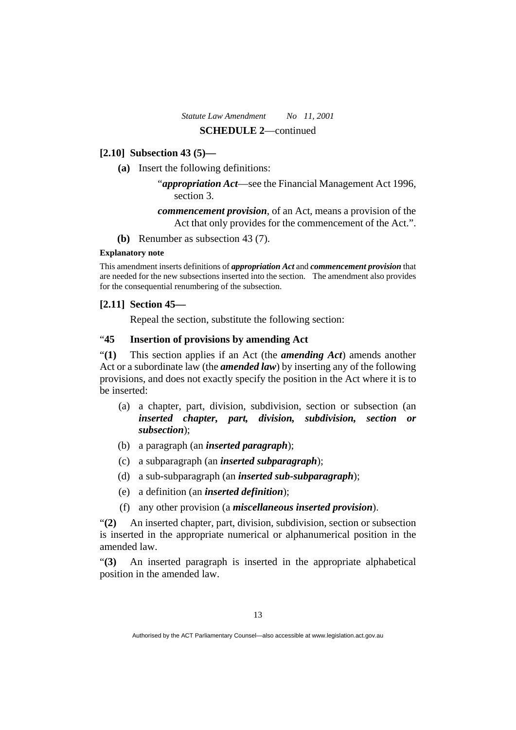## **[2.10] Subsection 43 (5)—**

**(a)** Insert the following definitions:

"*appropriation Act*—see the Financial Management Act 1996, section 3.

*commencement provision*, of an Act, means a provision of the Act that only provides for the commencement of the Act.".

**(b)** Renumber as subsection 43 (7).

## **Explanatory note**

This amendment inserts definitions of *appropriation Act* and *commencement provision* that are needed for the new subsections inserted into the section. The amendment also provides for the consequential renumbering of the subsection.

## **[2.11] Section 45—**

Repeal the section, substitute the following section:

## "**45 Insertion of provisions by amending Act**

"**(1)** This section applies if an Act (the *amending Act*) amends another Act or a subordinate law (the *amended law*) by inserting any of the following provisions, and does not exactly specify the position in the Act where it is to be inserted:

- (a) a chapter, part, division, subdivision, section or subsection (an *inserted chapter, part, division, subdivision, section or subsection*);
- (b) a paragraph (an *inserted paragraph*);
- (c) a subparagraph (an *inserted subparagraph*);
- (d) a sub-subparagraph (an *inserted sub-subparagraph*);
- (e) a definition (an *inserted definition*);
- (f) any other provision (a *miscellaneous inserted provision*).

"**(2)** An inserted chapter, part, division, subdivision, section or subsection is inserted in the appropriate numerical or alphanumerical position in the amended law.

"**(3)** An inserted paragraph is inserted in the appropriate alphabetical position in the amended law.

Authorised by the ACT Parliamentary Counsel—also accessible at www.legislation.act.gov.au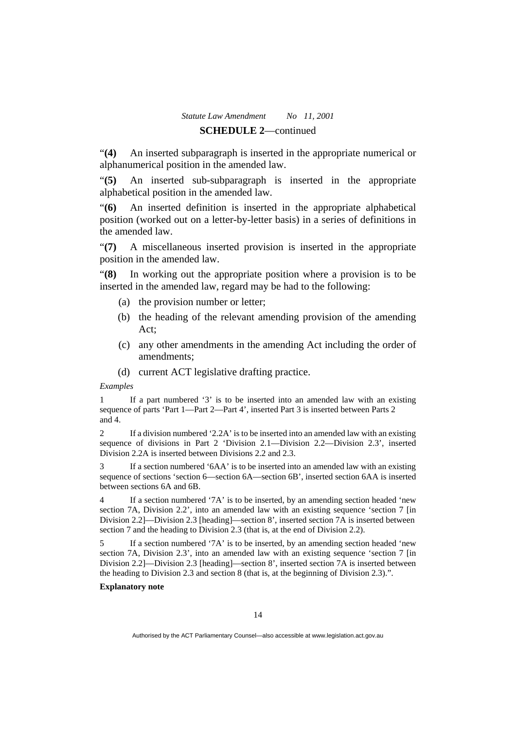"**(4)** An inserted subparagraph is inserted in the appropriate numerical or alphanumerical position in the amended law.

"**(5)** An inserted sub-subparagraph is inserted in the appropriate alphabetical position in the amended law.

"**(6)** An inserted definition is inserted in the appropriate alphabetical position (worked out on a letter-by-letter basis) in a series of definitions in the amended law.

"**(7)** A miscellaneous inserted provision is inserted in the appropriate position in the amended law.

"**(8)** In working out the appropriate position where a provision is to be inserted in the amended law, regard may be had to the following:

- (a) the provision number or letter;
- (b) the heading of the relevant amending provision of the amending Act;
- (c) any other amendments in the amending Act including the order of amendments;
- (d) current ACT legislative drafting practice.

*Examples* 

1 If a part numbered '3' is to be inserted into an amended law with an existing sequence of parts 'Part 1—Part 2—Part 4', inserted Part 3 is inserted between Parts 2 and 4.

2 If a division numbered '2.2A' is to be inserted into an amended law with an existing sequence of divisions in Part 2 'Division 2.1—Division 2.2—Division 2.3', inserted Division 2.2A is inserted between Divisions 2.2 and 2.3.

If a section numbered '6AA' is to be inserted into an amended law with an existing sequence of sections 'section 6—section 6A—section 6B', inserted section 6AA is inserted between sections 6A and 6B.

If a section numbered '7A' is to be inserted, by an amending section headed 'new section 7A, Division 2.2', into an amended law with an existing sequence 'section 7 [in Division 2.2]—Division 2.3 [heading]—section 8', inserted section 7A is inserted between section 7 and the heading to Division 2.3 (that is, at the end of Division 2.2).

5 If a section numbered '7A' is to be inserted, by an amending section headed 'new section 7A, Division 2.3', into an amended law with an existing sequence 'section 7 [in Division 2.2]—Division 2.3 [heading]—section 8', inserted section 7A is inserted between the heading to Division 2.3 and section 8 (that is, at the beginning of Division 2.3).".

## **Explanatory note**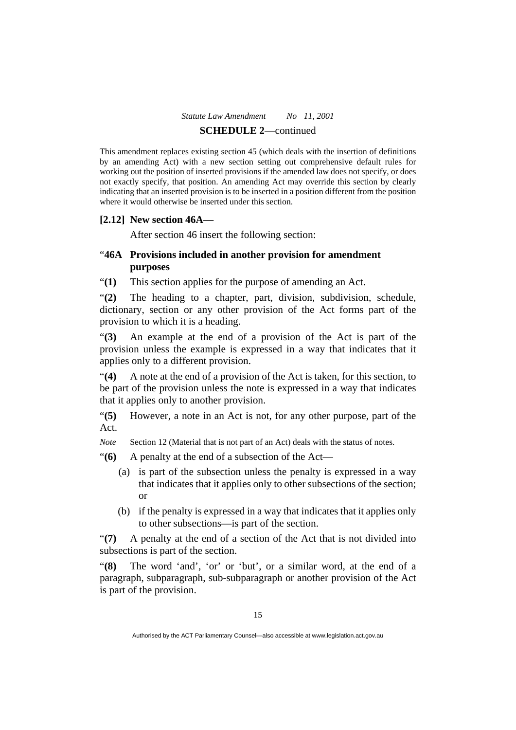This amendment replaces existing section 45 (which deals with the insertion of definitions by an amending Act) with a new section setting out comprehensive default rules for working out the position of inserted provisions if the amended law does not specify, or does not exactly specify, that position. An amending Act may override this section by clearly indicating that an inserted provision is to be inserted in a position different from the position where it would otherwise be inserted under this section.

## **[2.12] New section 46A—**

After section 46 insert the following section:

## "**46A Provisions included in another provision for amendment purposes**

"**(1)** This section applies for the purpose of amending an Act.

"**(2)** The heading to a chapter, part, division, subdivision, schedule, dictionary, section or any other provision of the Act forms part of the provision to which it is a heading.

"**(3)** An example at the end of a provision of the Act is part of the provision unless the example is expressed in a way that indicates that it applies only to a different provision.

"**(4)** A note at the end of a provision of the Act is taken, for this section, to be part of the provision unless the note is expressed in a way that indicates that it applies only to another provision.

"**(5)** However, a note in an Act is not, for any other purpose, part of the Act.

*Note* Section 12 (Material that is not part of an Act) deals with the status of notes.

"**(6)** A penalty at the end of a subsection of the Act—

- (a) is part of the subsection unless the penalty is expressed in a way that indicates that it applies only to other subsections of the section; or
- (b) if the penalty is expressed in a way that indicates that it applies only to other subsections—is part of the section.

"**(7)** A penalty at the end of a section of the Act that is not divided into subsections is part of the section.

"**(8)** The word 'and', 'or' or 'but', or a similar word, at the end of a paragraph, subparagraph, sub-subparagraph or another provision of the Act is part of the provision.

Authorised by the ACT Parliamentary Counsel—also accessible at www.legislation.act.gov.au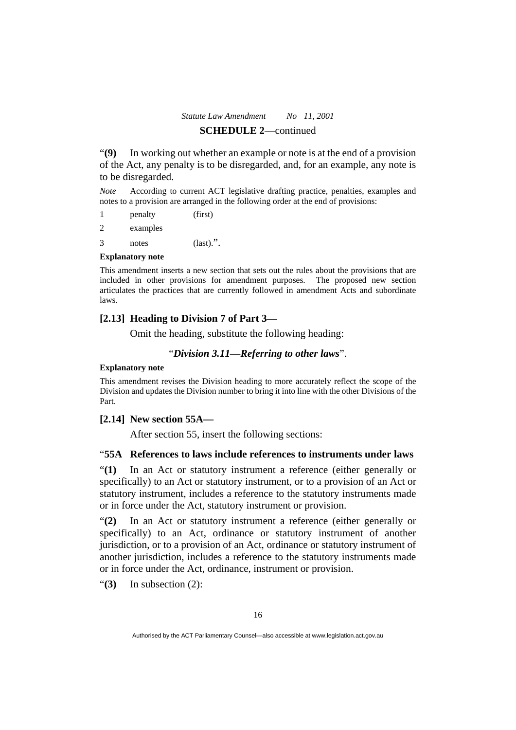"**(9)** In working out whether an example or note is at the end of a provision of the Act, any penalty is to be disregarded, and, for an example, any note is to be disregarded.

*Note* According to current ACT legislative drafting practice, penalties, examples and notes to a provision are arranged in the following order at the end of provisions:

1 penalty (first) 2 examples 3 notes (last).".

#### **Explanatory note**

This amendment inserts a new section that sets out the rules about the provisions that are included in other provisions for amendment purposes. The proposed new section articulates the practices that are currently followed in amendment Acts and subordinate laws.

## **[2.13] Heading to Division 7 of Part 3—**

Omit the heading, substitute the following heading:

#### "*Division 3.11—Referring to other laws*".

#### **Explanatory note**

This amendment revises the Division heading to more accurately reflect the scope of the Division and updates the Division number to bring it into line with the other Divisions of the Part.

## **[2.14] New section 55A—**

After section 55, insert the following sections:

## "**55A References to laws include references to instruments under laws**

"**(1)** In an Act or statutory instrument a reference (either generally or specifically) to an Act or statutory instrument, or to a provision of an Act or statutory instrument, includes a reference to the statutory instruments made or in force under the Act, statutory instrument or provision.

"**(2)** In an Act or statutory instrument a reference (either generally or specifically) to an Act, ordinance or statutory instrument of another jurisdiction, or to a provision of an Act, ordinance or statutory instrument of another jurisdiction, includes a reference to the statutory instruments made or in force under the Act, ordinance, instrument or provision.

"**(3)** In subsection (2):

Authorised by the ACT Parliamentary Counsel—also accessible at www.legislation.act.gov.au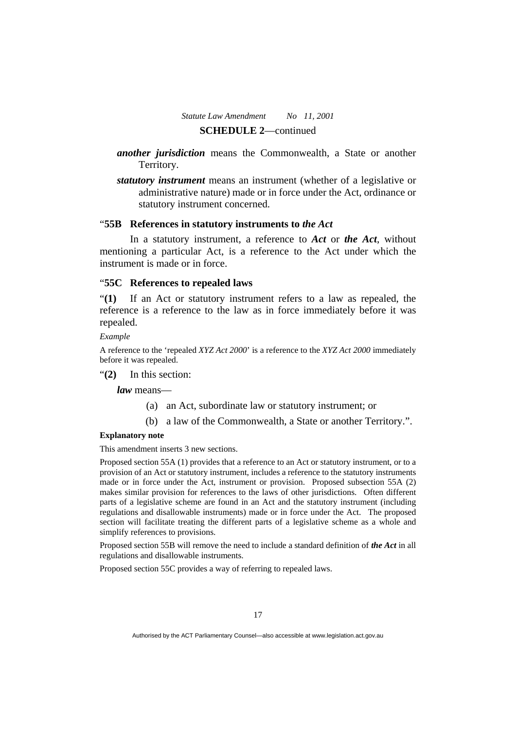- *another jurisdiction* means the Commonwealth, a State or another Territory.
- *statutory instrument* means an instrument (whether of a legislative or administrative nature) made or in force under the Act, ordinance or statutory instrument concerned.

## "**55B References in statutory instruments to** *the Act*

 In a statutory instrument, a reference to *Act* or *the Act*, without mentioning a particular Act, is a reference to the Act under which the instrument is made or in force.

## "**55C References to repealed laws**

"**(1)** If an Act or statutory instrument refers to a law as repealed, the reference is a reference to the law as in force immediately before it was repealed.

*Example* 

A reference to the 'repealed *XYZ Act 2000*' is a reference to the *XYZ Act 2000* immediately before it was repealed.

"**(2)** In this section:

*law* means—

- (a) an Act, subordinate law or statutory instrument; or
- (b) a law of the Commonwealth, a State or another Territory.".

#### **Explanatory note**

This amendment inserts 3 new sections.

Proposed section 55A (1) provides that a reference to an Act or statutory instrument, or to a provision of an Act or statutory instrument, includes a reference to the statutory instruments made or in force under the Act, instrument or provision. Proposed subsection 55A (2) makes similar provision for references to the laws of other jurisdictions. Often different parts of a legislative scheme are found in an Act and the statutory instrument (including regulations and disallowable instruments) made or in force under the Act. The proposed section will facilitate treating the different parts of a legislative scheme as a whole and simplify references to provisions.

Proposed section 55B will remove the need to include a standard definition of *the Act* in all regulations and disallowable instruments.

Proposed section 55C provides a way of referring to repealed laws.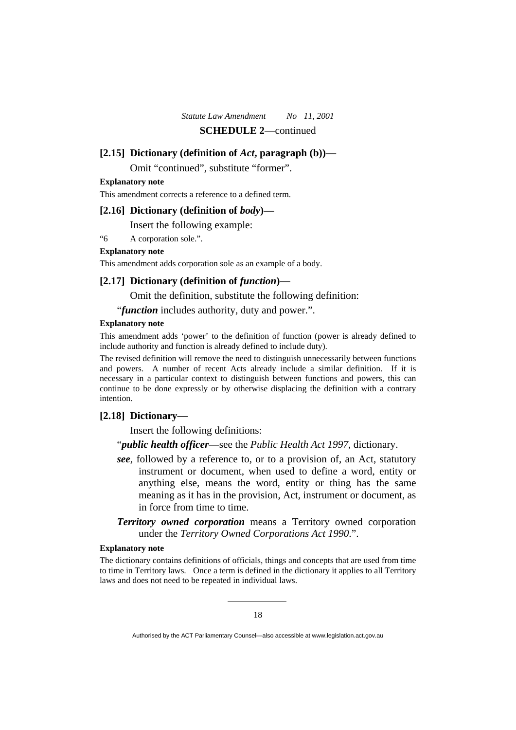#### **[2.15] Dictionary (definition of** *Act***, paragraph (b))—**

Omit "continued", substitute "former".

#### **Explanatory note**

This amendment corrects a reference to a defined term.

## **[2.16] Dictionary (definition of** *body***)—**

Insert the following example:

"6 A corporation sole.".

#### **Explanatory note**

This amendment adds corporation sole as an example of a body.

## **[2.17] Dictionary (definition of** *function***)—**

Omit the definition, substitute the following definition:

"*function* includes authority, duty and power.".

#### **Explanatory note**

This amendment adds 'power' to the definition of function (power is already defined to include authority and function is already defined to include duty).

The revised definition will remove the need to distinguish unnecessarily between functions and powers. A number of recent Acts already include a similar definition. If it is necessary in a particular context to distinguish between functions and powers, this can continue to be done expressly or by otherwise displacing the definition with a contrary intention.

## **[2.18] Dictionary—**

Insert the following definitions:

"*public health officer*—see the *Public Health Act 1997*, dictionary.

- *see*, followed by a reference to, or to a provision of, an Act, statutory instrument or document, when used to define a word, entity or anything else, means the word, entity or thing has the same meaning as it has in the provision, Act, instrument or document, as in force from time to time.
- *Territory owned corporation* means a Territory owned corporation under the *Territory Owned Corporations Act 1990*.".

#### **Explanatory note**

The dictionary contains definitions of officials, things and concepts that are used from time to time in Territory laws. Once a term is defined in the dictionary it applies to all Territory laws and does not need to be repeated in individual laws.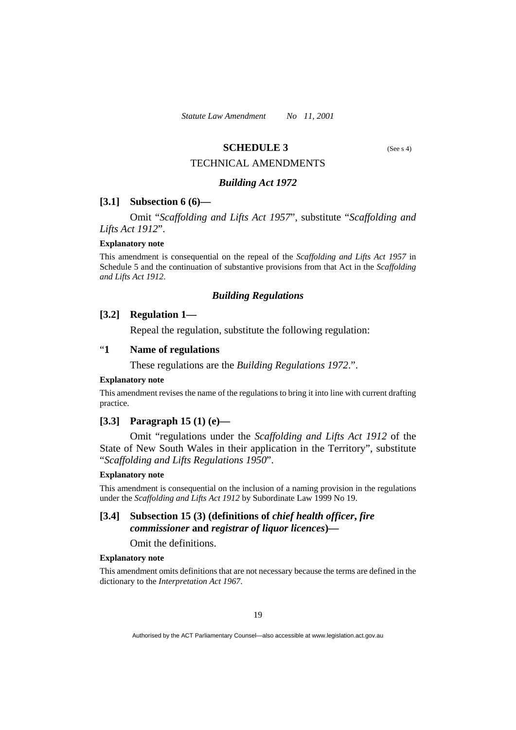## **SCHEDULE 3** (See s 4)

#### TECHNICAL AMENDMENTS

#### *Building Act 1972*

#### **[3.1] Subsection 6 (6)—**

 Omit "*Scaffolding and Lifts Act 1957*", substitute "*Scaffolding and Lifts Act 1912*".

#### **Explanatory note**

This amendment is consequential on the repeal of the *Scaffolding and Lifts Act 1957* in Schedule 5 and the continuation of substantive provisions from that Act in the *Scaffolding and Lifts Act 1912*.

#### *Building Regulations*

### **[3.2] Regulation 1—**

Repeal the regulation, substitute the following regulation:

## "**1 Name of regulations**

These regulations are the *Building Regulations 1972*.".

#### **Explanatory note**

This amendment revises the name of the regulations to bring it into line with current drafting practice.

## **[3.3] Paragraph 15 (1) (e)—**

 Omit "regulations under the *Scaffolding and Lifts Act 1912* of the State of New South Wales in their application in the Territory", substitute "*Scaffolding and Lifts Regulations 1950*".

#### **Explanatory note**

This amendment is consequential on the inclusion of a naming provision in the regulations under the *Scaffolding and Lifts Act 1912* by Subordinate Law 1999 No 19.

## **[3.4] Subsection 15 (3) (definitions of** *chief health officer***,** *fire commissioner* **and** *registrar of liquor licences***)—**

Omit the definitions.

#### **Explanatory note**

This amendment omits definitions that are not necessary because the terms are defined in the dictionary to the *Interpretation Act 1967*.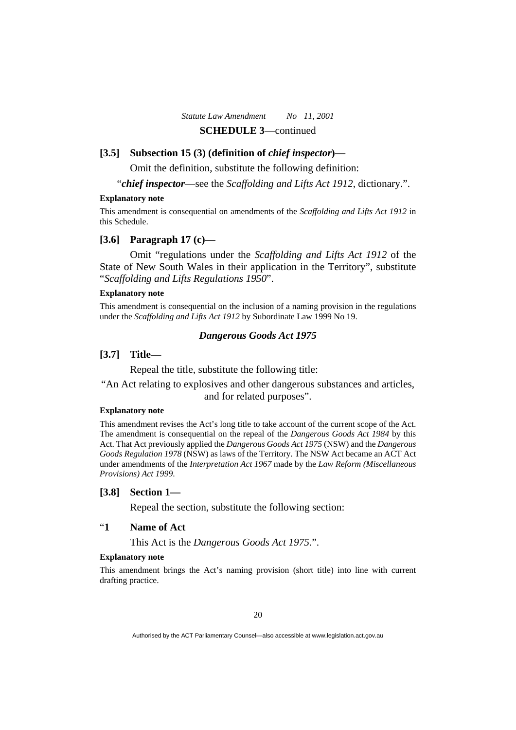## **[3.5] Subsection 15 (3) (definition of** *chief inspector***)—**

Omit the definition, substitute the following definition:

"*chief inspector*—see the *Scaffolding and Lifts Act 1912*, dictionary.".

#### **Explanatory note**

This amendment is consequential on amendments of the *Scaffolding and Lifts Act 1912* in this Schedule.

## **[3.6] Paragraph 17 (c)—**

 Omit "regulations under the *Scaffolding and Lifts Act 1912* of the State of New South Wales in their application in the Territory", substitute "*Scaffolding and Lifts Regulations 1950*".

## **Explanatory note**

This amendment is consequential on the inclusion of a naming provision in the regulations under the *Scaffolding and Lifts Act 1912* by Subordinate Law 1999 No 19.

#### *Dangerous Goods Act 1975*

## **[3.7] Title—**

Repeal the title, substitute the following title:

"An Act relating to explosives and other dangerous substances and articles, and for related purposes".

#### **Explanatory note**

This amendment revises the Act's long title to take account of the current scope of the Act. The amendment is consequential on the repeal of the *Dangerous Goods Act 1984* by this Act. That Act previously applied the *Dangerous Goods Act 1975* (NSW) and the *Dangerous Goods Regulation 1978* (NSW) as laws of the Territory. The NSW Act became an ACT Act under amendments of the *Interpretation Act 1967* made by the *Law Reform (Miscellaneous Provisions) Act 1999*.

## **[3.8] Section 1—**

Repeal the section, substitute the following section:

## "**1 Name of Act**

This Act is the *Dangerous Goods Act 1975*.".

#### **Explanatory note**

This amendment brings the Act's naming provision (short title) into line with current drafting practice.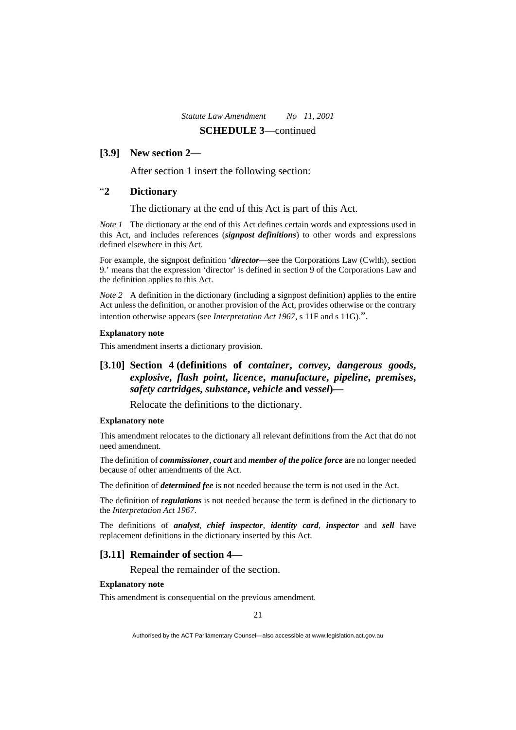## **[3.9] New section 2—**

After section 1 insert the following section:

## "**2 Dictionary**

The dictionary at the end of this Act is part of this Act.

*Note 1* The dictionary at the end of this Act defines certain words and expressions used in this Act, and includes references (*signpost definitions*) to other words and expressions defined elsewhere in this Act.

For example, the signpost definition '*director*—see the Corporations Law (Cwlth), section 9.' means that the expression 'director' is defined in section 9 of the Corporations Law and the definition applies to this Act.

*Note 2* A definition in the dictionary (including a signpost definition) applies to the entire Act unless the definition, or another provision of the Act, provides otherwise or the contrary intention otherwise appears (see *Interpretation Act 1967*, s 11F and s 11G).".

#### **Explanatory note**

This amendment inserts a dictionary provision.

## **[3.10] Section 4 (definitions of** *container***,** *convey***,** *dangerous goods***,**  *explosive***,** *flash point***,** *licence***,** *manufacture***,** *pipeline***,** *premises***,**  *safety cartridges***,** *substance***,** *vehicle* **and** *vessel***)—**

Relocate the definitions to the dictionary.

#### **Explanatory note**

This amendment relocates to the dictionary all relevant definitions from the Act that do not need amendment.

The definition of *commissioner*, *court* and *member of the police force* are no longer needed because of other amendments of the Act.

The definition of *determined fee* is not needed because the term is not used in the Act.

The definition of *regulations* is not needed because the term is defined in the dictionary to the *Interpretation Act 1967*.

The definitions of *analyst*, *chief inspector*, *identity card*, *inspector* and *sell* have replacement definitions in the dictionary inserted by this Act.

## **[3.11] Remainder of section 4—**

Repeal the remainder of the section.

#### **Explanatory note**

This amendment is consequential on the previous amendment.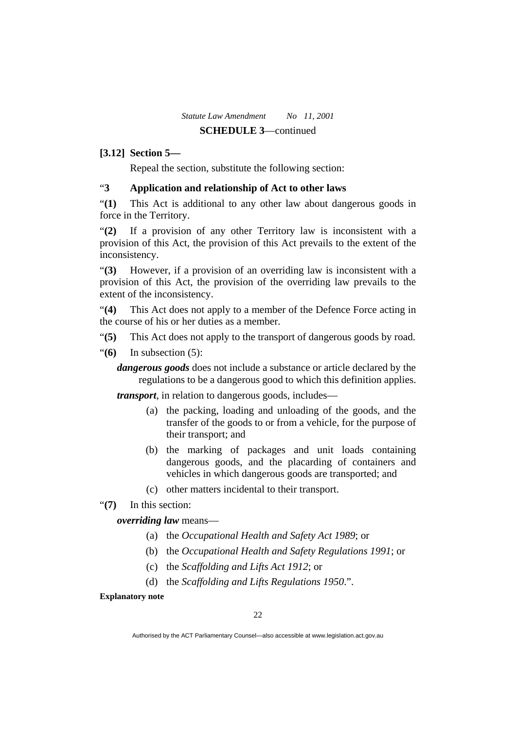## **[3.12] Section 5—**

Repeal the section, substitute the following section:

## "**3 Application and relationship of Act to other laws**

"**(1)** This Act is additional to any other law about dangerous goods in force in the Territory.

"**(2)** If a provision of any other Territory law is inconsistent with a provision of this Act, the provision of this Act prevails to the extent of the inconsistency.

"**(3)** However, if a provision of an overriding law is inconsistent with a provision of this Act, the provision of the overriding law prevails to the extent of the inconsistency.

"**(4)** This Act does not apply to a member of the Defence Force acting in the course of his or her duties as a member.

- "**(5)** This Act does not apply to the transport of dangerous goods by road.
- "**(6)** In subsection (5):

*dangerous goods* does not include a substance or article declared by the regulations to be a dangerous good to which this definition applies.

*transport*, in relation to dangerous goods, includes—

- (a) the packing, loading and unloading of the goods, and the transfer of the goods to or from a vehicle, for the purpose of their transport; and
- (b) the marking of packages and unit loads containing dangerous goods, and the placarding of containers and vehicles in which dangerous goods are transported; and
- (c) other matters incidental to their transport.
- "**(7)** In this section:

*overriding law* means—

- (a) the *Occupational Health and Safety Act 1989*; or
- (b) the *Occupational Health and Safety Regulations 1991*; or
- (c) the *Scaffolding and Lifts Act 1912*; or
- (d) the *Scaffolding and Lifts Regulations 1950*.".

**Explanatory note** 

Authorised by the ACT Parliamentary Counsel—also accessible at www.legislation.act.gov.au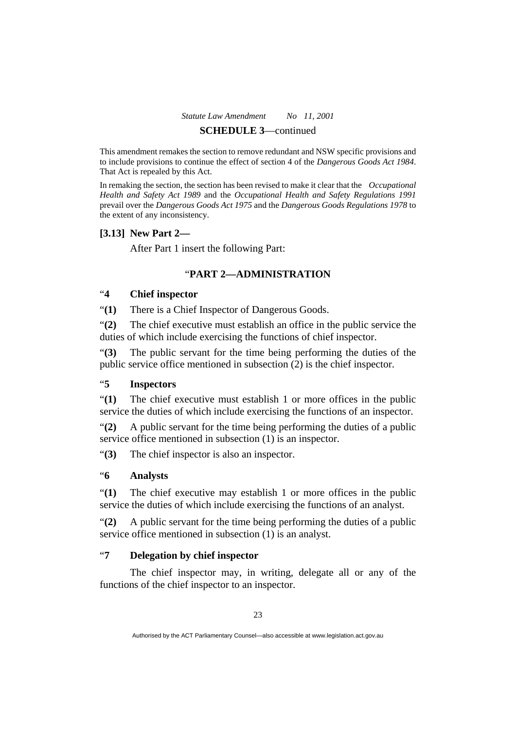This amendment remakes the section to remove redundant and NSW specific provisions and to include provisions to continue the effect of section 4 of the *Dangerous Goods Act 1984*. That Act is repealed by this Act.

In remaking the section, the section has been revised to make it clear that the *Occupational Health and Safety Act 1989* and the *Occupational Health and Safety Regulations 1991* prevail over the *Dangerous Goods Act 1975* and the *Dangerous Goods Regulations 1978* to the extent of any inconsistency.

## **[3.13] New Part 2—**

After Part 1 insert the following Part:

## "**PART 2—ADMINISTRATION**

## "**4 Chief inspector**

"**(1)** There is a Chief Inspector of Dangerous Goods.

"**(2)** The chief executive must establish an office in the public service the duties of which include exercising the functions of chief inspector.

"**(3)** The public servant for the time being performing the duties of the public service office mentioned in subsection (2) is the chief inspector.

## "**5 Inspectors**

"**(1)** The chief executive must establish 1 or more offices in the public service the duties of which include exercising the functions of an inspector.

"**(2)** A public servant for the time being performing the duties of a public service office mentioned in subsection (1) is an inspector.

"**(3)** The chief inspector is also an inspector.

## "**6 Analysts**

"**(1)** The chief executive may establish 1 or more offices in the public service the duties of which include exercising the functions of an analyst.

"**(2)** A public servant for the time being performing the duties of a public service office mentioned in subsection (1) is an analyst.

## "**7 Delegation by chief inspector**

 The chief inspector may, in writing, delegate all or any of the functions of the chief inspector to an inspector.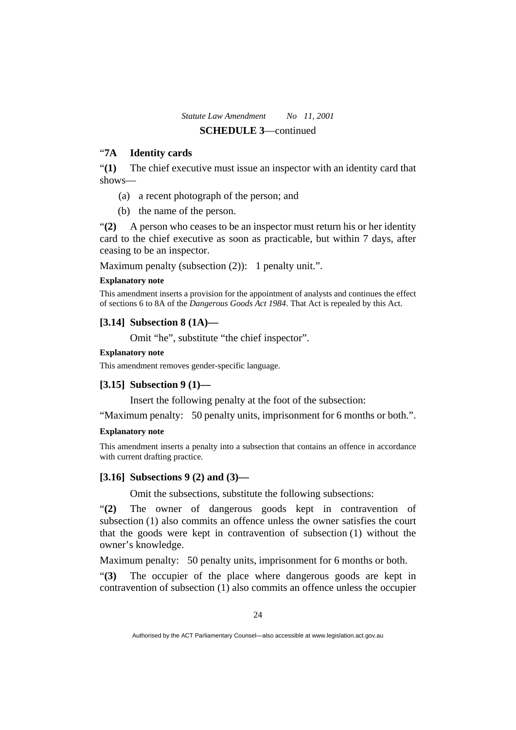## "**7A Identity cards**

"**(1)** The chief executive must issue an inspector with an identity card that shows—

- (a) a recent photograph of the person; and
- (b) the name of the person.

"**(2)** A person who ceases to be an inspector must return his or her identity card to the chief executive as soon as practicable, but within 7 days, after ceasing to be an inspector.

Maximum penalty (subsection  $(2)$ ): 1 penalty unit.".

## **Explanatory note**

This amendment inserts a provision for the appointment of analysts and continues the effect of sections 6 to 8A of the *Dangerous Goods Act 1984*. That Act is repealed by this Act.

## **[3.14] Subsection 8 (1A)—**

Omit "he", substitute "the chief inspector".

## **Explanatory note**

This amendment removes gender-specific language.

## **[3.15] Subsection 9 (1)—**

Insert the following penalty at the foot of the subsection:

"Maximum penalty: 50 penalty units, imprisonment for 6 months or both.".

## **Explanatory note**

This amendment inserts a penalty into a subsection that contains an offence in accordance with current drafting practice.

## **[3.16] Subsections 9 (2) and (3)—**

Omit the subsections, substitute the following subsections:

"**(2)** The owner of dangerous goods kept in contravention of subsection (1) also commits an offence unless the owner satisfies the court that the goods were kept in contravention of subsection (1) without the owner's knowledge.

Maximum penalty: 50 penalty units, imprisonment for 6 months or both.

"**(3)** The occupier of the place where dangerous goods are kept in contravention of subsection (1) also commits an offence unless the occupier

Authorised by the ACT Parliamentary Counsel—also accessible at www.legislation.act.gov.au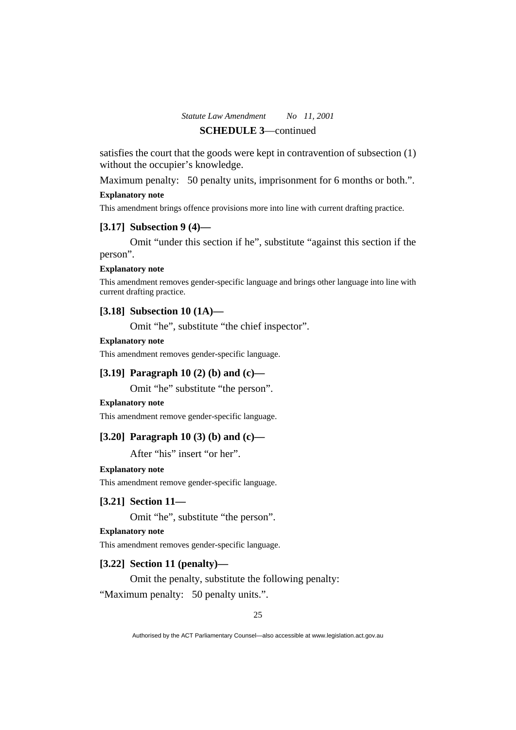satisfies the court that the goods were kept in contravention of subsection (1) without the occupier's knowledge.

Maximum penalty: 50 penalty units, imprisonment for 6 months or both.".

#### **Explanatory note**

This amendment brings offence provisions more into line with current drafting practice.

## **[3.17] Subsection 9 (4)—**

 Omit "under this section if he", substitute "against this section if the person".

#### **Explanatory note**

This amendment removes gender-specific language and brings other language into line with current drafting practice.

## **[3.18] Subsection 10 (1A)—**

Omit "he", substitute "the chief inspector".

## **Explanatory note**

This amendment removes gender-specific language.

## **[3.19] Paragraph 10 (2) (b) and (c)—**

Omit "he" substitute "the person".

## **Explanatory note**

This amendment remove gender-specific language.

## **[3.20] Paragraph 10 (3) (b) and (c)—**

After "his" insert "or her".

## **Explanatory note**

This amendment remove gender-specific language.

## **[3.21] Section 11—**

Omit "he", substitute "the person".

## **Explanatory note**

This amendment removes gender-specific language.

## **[3.22] Section 11 (penalty)—**

Omit the penalty, substitute the following penalty:

"Maximum penalty: 50 penalty units.".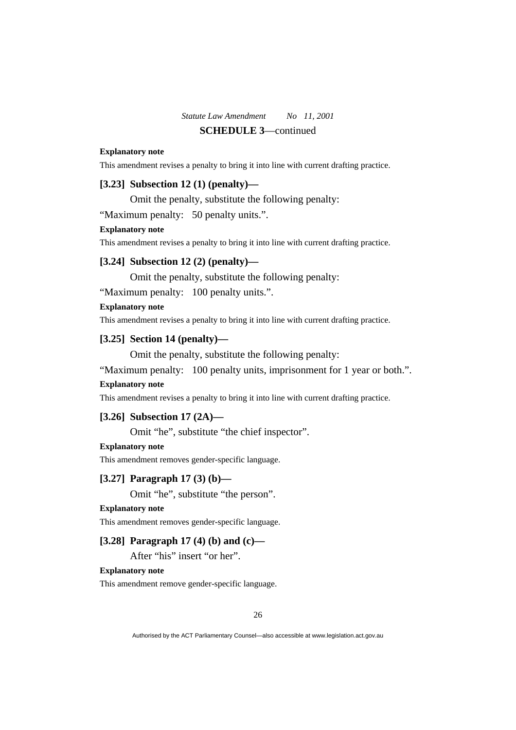#### **Explanatory note**

This amendment revises a penalty to bring it into line with current drafting practice.

## **[3.23] Subsection 12 (1) (penalty)—**

Omit the penalty, substitute the following penalty:

"Maximum penalty: 50 penalty units.".

#### **Explanatory note**

This amendment revises a penalty to bring it into line with current drafting practice.

## **[3.24] Subsection 12 (2) (penalty)—**

Omit the penalty, substitute the following penalty:

"Maximum penalty: 100 penalty units.".

#### **Explanatory note**

This amendment revises a penalty to bring it into line with current drafting practice.

## **[3.25] Section 14 (penalty)—**

Omit the penalty, substitute the following penalty:

"Maximum penalty: 100 penalty units, imprisonment for 1 year or both.".

## **Explanatory note**

This amendment revises a penalty to bring it into line with current drafting practice.

## **[3.26] Subsection 17 (2A)—**

Omit "he", substitute "the chief inspector".

## **Explanatory note**

This amendment removes gender-specific language.

## **[3.27] Paragraph 17 (3) (b)—**

Omit "he", substitute "the person".

## **Explanatory note**

This amendment removes gender-specific language.

## **[3.28] Paragraph 17 (4) (b) and (c)—**

After "his" insert "or her".

#### **Explanatory note**

This amendment remove gender-specific language.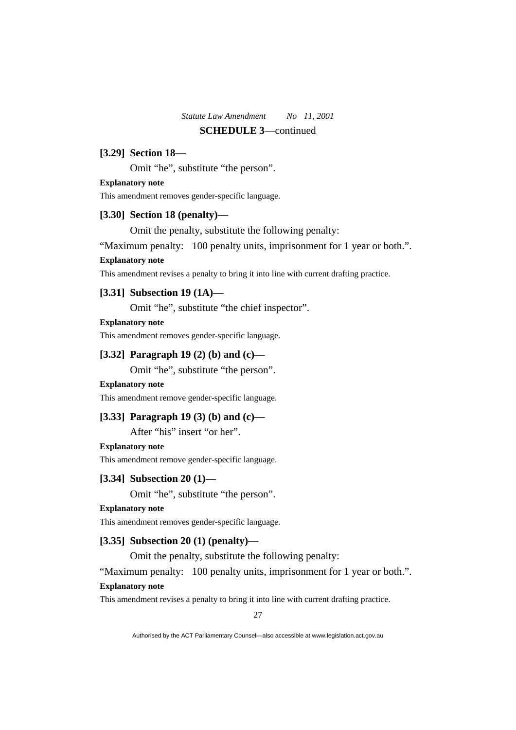## **[3.29] Section 18—**

Omit "he", substitute "the person".

#### **Explanatory note**

This amendment removes gender-specific language.

## **[3.30] Section 18 (penalty)—**

Omit the penalty, substitute the following penalty:

"Maximum penalty: 100 penalty units, imprisonment for 1 year or both.".

## **Explanatory note**

This amendment revises a penalty to bring it into line with current drafting practice.

## **[3.31] Subsection 19 (1A)—**

Omit "he", substitute "the chief inspector".

## **Explanatory note**

This amendment removes gender-specific language.

## **[3.32] Paragraph 19 (2) (b) and (c)—**

Omit "he", substitute "the person".

#### **Explanatory note**

This amendment remove gender-specific language.

## **[3.33] Paragraph 19 (3) (b) and (c)—**

After "his" insert "or her".

## **Explanatory note**

This amendment remove gender-specific language.

## **[3.34] Subsection 20 (1)—**

Omit "he", substitute "the person".

## **Explanatory note**

This amendment removes gender-specific language.

## **[3.35] Subsection 20 (1) (penalty)—**

Omit the penalty, substitute the following penalty:

"Maximum penalty: 100 penalty units, imprisonment for 1 year or both.". **Explanatory note** 

This amendment revises a penalty to bring it into line with current drafting practice.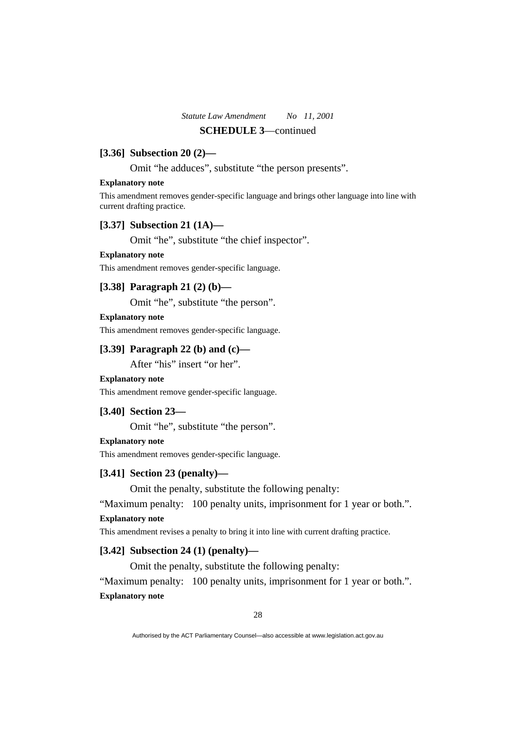## **[3.36] Subsection 20 (2)—**

Omit "he adduces", substitute "the person presents".

#### **Explanatory note**

This amendment removes gender-specific language and brings other language into line with current drafting practice.

## **[3.37] Subsection 21 (1A)—**

Omit "he", substitute "the chief inspector".

#### **Explanatory note**

This amendment removes gender-specific language.

## **[3.38] Paragraph 21 (2) (b)—**

Omit "he", substitute "the person".

## **Explanatory note**

This amendment removes gender-specific language.

## **[3.39] Paragraph 22 (b) and (c)—**

After "his" insert "or her".

#### **Explanatory note**

This amendment remove gender-specific language.

#### **[3.40] Section 23—**

Omit "he", substitute "the person".

#### **Explanatory note**

This amendment removes gender-specific language.

## **[3.41] Section 23 (penalty)—**

Omit the penalty, substitute the following penalty:

"Maximum penalty: 100 penalty units, imprisonment for 1 year or both.".

#### **Explanatory note**

This amendment revises a penalty to bring it into line with current drafting practice.

## **[3.42] Subsection 24 (1) (penalty)—**

Omit the penalty, substitute the following penalty:

"Maximum penalty: 100 penalty units, imprisonment for 1 year or both.". **Explanatory note**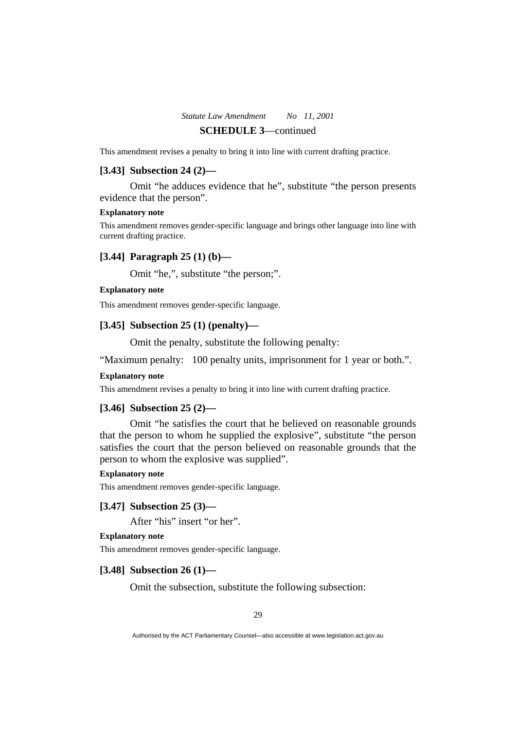This amendment revises a penalty to bring it into line with current drafting practice.

## **[3.43] Subsection 24 (2)—**

 Omit "he adduces evidence that he", substitute "the person presents evidence that the person".

#### **Explanatory note**

This amendment removes gender-specific language and brings other language into line with current drafting practice.

## **[3.44] Paragraph 25 (1) (b)—**

Omit "he,", substitute "the person;".

## **Explanatory note**

This amendment removes gender-specific language.

#### **[3.45] Subsection 25 (1) (penalty)—**

Omit the penalty, substitute the following penalty:

"Maximum penalty: 100 penalty units, imprisonment for 1 year or both.".

## **Explanatory note**

This amendment revises a penalty to bring it into line with current drafting practice.

#### **[3.46] Subsection 25 (2)—**

 Omit "he satisfies the court that he believed on reasonable grounds that the person to whom he supplied the explosive", substitute "the person satisfies the court that the person believed on reasonable grounds that the person to whom the explosive was supplied".

#### **Explanatory note**

This amendment removes gender-specific language.

## **[3.47] Subsection 25 (3)—**

After "his" insert "or her".

## **Explanatory note**

This amendment removes gender-specific language.

## **[3.48] Subsection 26 (1)—**

Omit the subsection, substitute the following subsection: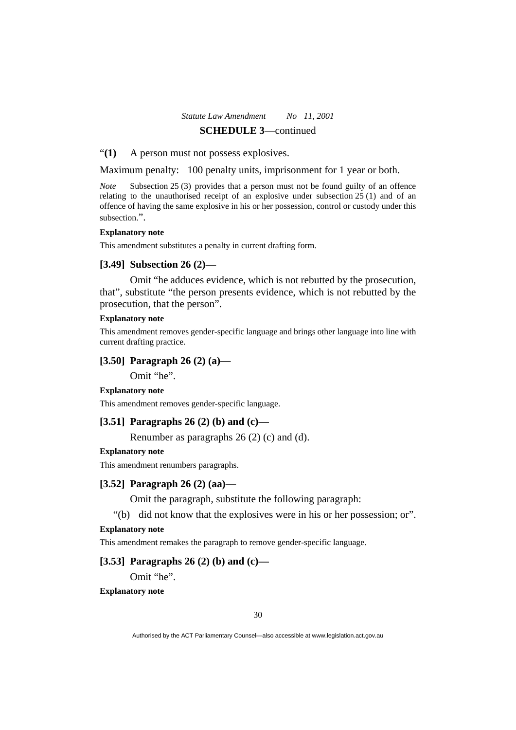#### "**(1)** A person must not possess explosives.

Maximum penalty: 100 penalty units, imprisonment for 1 year or both.

*Note* Subsection 25 (3) provides that a person must not be found guilty of an offence relating to the unauthorised receipt of an explosive under subsection  $25(1)$  and of an offence of having the same explosive in his or her possession, control or custody under this subsection".

#### **Explanatory note**

This amendment substitutes a penalty in current drafting form.

## **[3.49] Subsection 26 (2)—**

 Omit "he adduces evidence, which is not rebutted by the prosecution, that", substitute "the person presents evidence, which is not rebutted by the prosecution, that the person".

## **Explanatory note**

This amendment removes gender-specific language and brings other language into line with current drafting practice.

## **[3.50] Paragraph 26 (2) (a)—**

Omit "he".

**Explanatory note** 

This amendment removes gender-specific language.

## **[3.51] Paragraphs 26 (2) (b) and (c)—**

Renumber as paragraphs 26 (2) (c) and (d).

## **Explanatory note**

This amendment renumbers paragraphs.

## **[3.52] Paragraph 26 (2) (aa)—**

Omit the paragraph, substitute the following paragraph:

"(b) did not know that the explosives were in his or her possession; or".

#### **Explanatory note**

This amendment remakes the paragraph to remove gender-specific language.

## **[3.53] Paragraphs 26 (2) (b) and (c)—**

Omit "he".

**Explanatory note**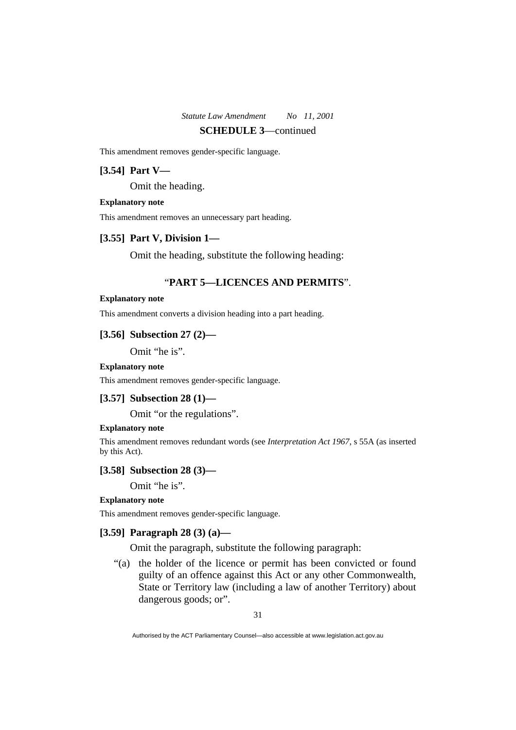This amendment removes gender-specific language.

## **[3.54] Part V—**

Omit the heading.

#### **Explanatory note**

This amendment removes an unnecessary part heading.

## **[3.55] Part V, Division 1—**

Omit the heading, substitute the following heading:

## "**PART 5—LICENCES AND PERMITS**".

#### **Explanatory note**

This amendment converts a division heading into a part heading.

#### **[3.56] Subsection 27 (2)—**

Omit "he is".

## **Explanatory note**

This amendment removes gender-specific language.

## **[3.57] Subsection 28 (1)—**

Omit "or the regulations".

#### **Explanatory note**

This amendment removes redundant words (see *Interpretation Act 1967*, s 55A (as inserted by this Act).

## **[3.58] Subsection 28 (3)—**

Omit "he is".

## **Explanatory note**

This amendment removes gender-specific language.

## **[3.59] Paragraph 28 (3) (a)—**

Omit the paragraph, substitute the following paragraph:

 "(a) the holder of the licence or permit has been convicted or found guilty of an offence against this Act or any other Commonwealth, State or Territory law (including a law of another Territory) about dangerous goods; or".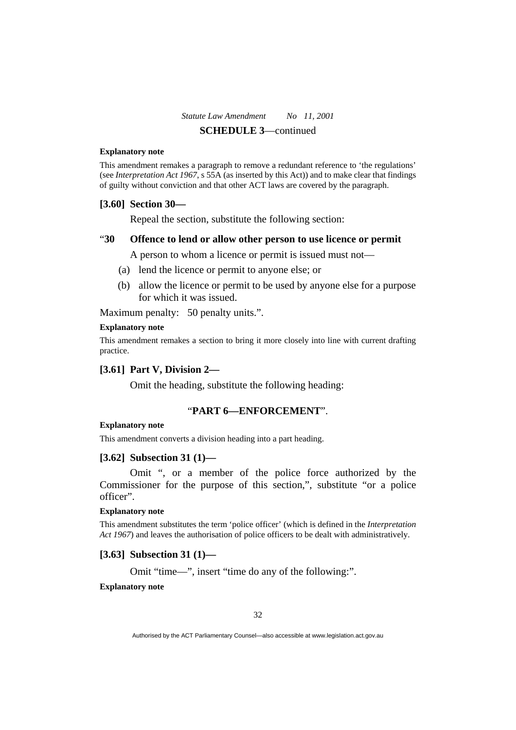#### **Explanatory note**

This amendment remakes a paragraph to remove a redundant reference to 'the regulations' (see *Interpretation Act 1967*, s 55A (as inserted by this Act)) and to make clear that findings of guilty without conviction and that other ACT laws are covered by the paragraph.

#### **[3.60] Section 30—**

Repeal the section, substitute the following section:

#### "**30 Offence to lend or allow other person to use licence or permit**

A person to whom a licence or permit is issued must not—

- (a) lend the licence or permit to anyone else; or
- (b) allow the licence or permit to be used by anyone else for a purpose for which it was issued.

Maximum penalty: 50 penalty units.".

#### **Explanatory note**

This amendment remakes a section to bring it more closely into line with current drafting practice.

## **[3.61] Part V, Division 2—**

Omit the heading, substitute the following heading:

## "**PART 6—ENFORCEMENT**".

#### **Explanatory note**

This amendment converts a division heading into a part heading.

#### **[3.62] Subsection 31 (1)—**

 Omit ", or a member of the police force authorized by the Commissioner for the purpose of this section,", substitute "or a police officer".

#### **Explanatory note**

This amendment substitutes the term 'police officer' (which is defined in the *Interpretation Act 1967*) and leaves the authorisation of police officers to be dealt with administratively.

## **[3.63] Subsection 31 (1)—**

Omit "time—", insert "time do any of the following:".

## **Explanatory note**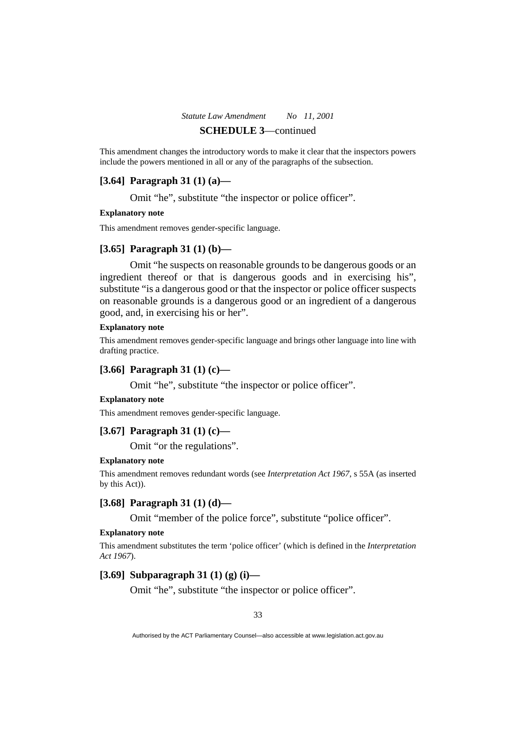This amendment changes the introductory words to make it clear that the inspectors powers include the powers mentioned in all or any of the paragraphs of the subsection.

## **[3.64] Paragraph 31 (1) (a)—**

Omit "he", substitute "the inspector or police officer".

#### **Explanatory note**

This amendment removes gender-specific language.

## **[3.65] Paragraph 31 (1) (b)—**

 Omit "he suspects on reasonable grounds to be dangerous goods or an ingredient thereof or that is dangerous goods and in exercising his", substitute "is a dangerous good or that the inspector or police officer suspects on reasonable grounds is a dangerous good or an ingredient of a dangerous good, and, in exercising his or her".

#### **Explanatory note**

This amendment removes gender-specific language and brings other language into line with drafting practice.

#### **[3.66] Paragraph 31 (1) (c)—**

Omit "he", substitute "the inspector or police officer".

#### **Explanatory note**

This amendment removes gender-specific language.

## **[3.67] Paragraph 31 (1) (c)—**

Omit "or the regulations".

### **Explanatory note**

This amendment removes redundant words (see *Interpretation Act 1967*, s 55A (as inserted by this Act)).

## **[3.68] Paragraph 31 (1) (d)—**

Omit "member of the police force", substitute "police officer".

#### **Explanatory note**

This amendment substitutes the term 'police officer' (which is defined in the *Interpretation Act 1967*).

## **[3.69] Subparagraph 31 (1) (g) (i)—**

Omit "he", substitute "the inspector or police officer".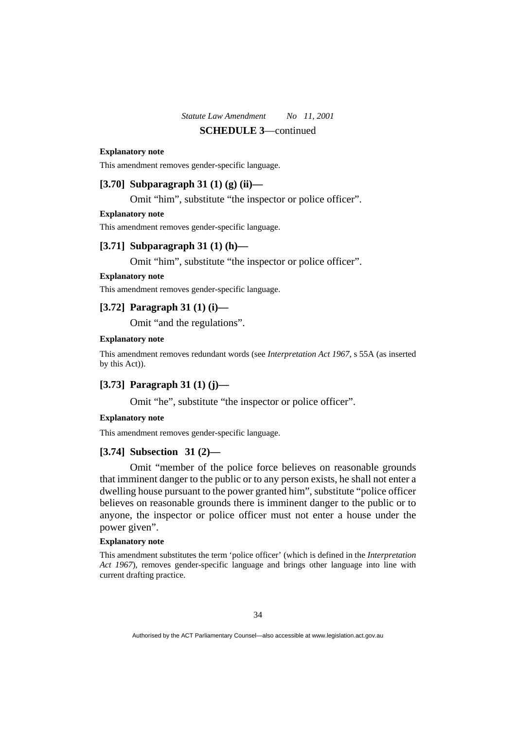#### **Explanatory note**

This amendment removes gender-specific language.

## **[3.70] Subparagraph 31 (1) (g) (ii)—**

Omit "him", substitute "the inspector or police officer".

#### **Explanatory note**

This amendment removes gender-specific language.

## **[3.71] Subparagraph 31 (1) (h)—**

Omit "him", substitute "the inspector or police officer".

#### **Explanatory note**

This amendment removes gender-specific language.

## **[3.72] Paragraph 31 (1) (i)—**

Omit "and the regulations".

## **Explanatory note**

This amendment removes redundant words (see *Interpretation Act 1967*, s 55A (as inserted by this Act)).

## **[3.73] Paragraph 31 (1) (j)—**

Omit "he", substitute "the inspector or police officer".

#### **Explanatory note**

This amendment removes gender-specific language.

## **[3.74] Subsection 31 (2)—**

 Omit "member of the police force believes on reasonable grounds that imminent danger to the public or to any person exists, he shall not enter a dwelling house pursuant to the power granted him", substitute "police officer believes on reasonable grounds there is imminent danger to the public or to anyone, the inspector or police officer must not enter a house under the power given".

#### **Explanatory note**

This amendment substitutes the term 'police officer' (which is defined in the *Interpretation Act 1967*), removes gender-specific language and brings other language into line with current drafting practice.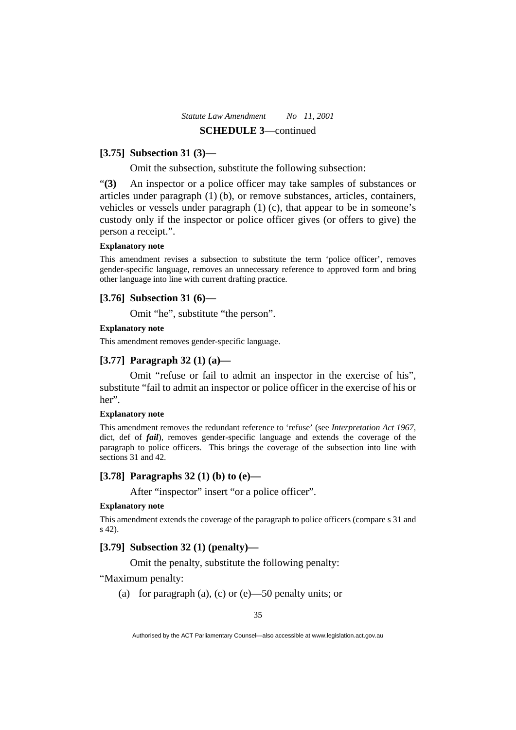### **[3.75] Subsection 31 (3)—**

Omit the subsection, substitute the following subsection:

"**(3)** An inspector or a police officer may take samples of substances or articles under paragraph (1) (b), or remove substances, articles, containers, vehicles or vessels under paragraph (1) (c), that appear to be in someone's custody only if the inspector or police officer gives (or offers to give) the person a receipt.".

#### **Explanatory note**

This amendment revises a subsection to substitute the term 'police officer', removes gender-specific language, removes an unnecessary reference to approved form and bring other language into line with current drafting practice.

### **[3.76] Subsection 31 (6)—**

Omit "he", substitute "the person".

#### **Explanatory note**

This amendment removes gender-specific language.

### **[3.77] Paragraph 32 (1) (a)—**

 Omit "refuse or fail to admit an inspector in the exercise of his", substitute "fail to admit an inspector or police officer in the exercise of his or her".

### **Explanatory note**

This amendment removes the redundant reference to 'refuse' (see *Interpretation Act 1967*, dict, def of *fail*), removes gender-specific language and extends the coverage of the paragraph to police officers. This brings the coverage of the subsection into line with sections 31 and 42.

#### **[3.78] Paragraphs 32 (1) (b) to (e)—**

After "inspector" insert "or a police officer".

### **Explanatory note**

This amendment extends the coverage of the paragraph to police officers (compare s 31 and s 42).

# **[3.79] Subsection 32 (1) (penalty)—**

Omit the penalty, substitute the following penalty:

### "Maximum penalty:

(a) for paragraph (a), (c) or  $(e)$ —50 penalty units; or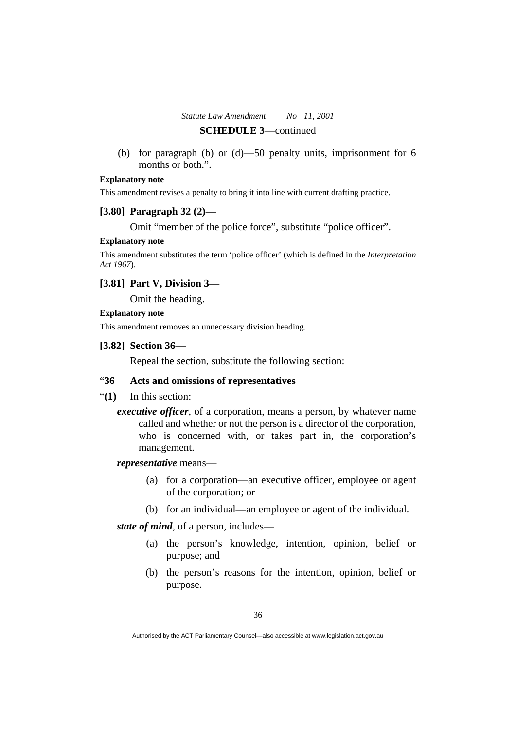(b) for paragraph (b) or (d)—50 penalty units, imprisonment for 6 months or both.".

#### **Explanatory note**

This amendment revises a penalty to bring it into line with current drafting practice.

#### **[3.80] Paragraph 32 (2)—**

Omit "member of the police force", substitute "police officer".

### **Explanatory note**

This amendment substitutes the term 'police officer' (which is defined in the *Interpretation Act 1967*).

### **[3.81] Part V, Division 3—**

Omit the heading.

#### **Explanatory note**

This amendment removes an unnecessary division heading.

### **[3.82] Section 36—**

Repeal the section, substitute the following section:

# "**36 Acts and omissions of representatives**

- "**(1)** In this section:
	- *executive officer*, of a corporation, means a person, by whatever name called and whether or not the person is a director of the corporation, who is concerned with, or takes part in, the corporation's management.

#### *representative* means—

- (a) for a corporation—an executive officer, employee or agent of the corporation; or
- (b) for an individual—an employee or agent of the individual.

*state of mind*, of a person, includes—

- (a) the person's knowledge, intention, opinion, belief or purpose; and
- (b) the person's reasons for the intention, opinion, belief or purpose.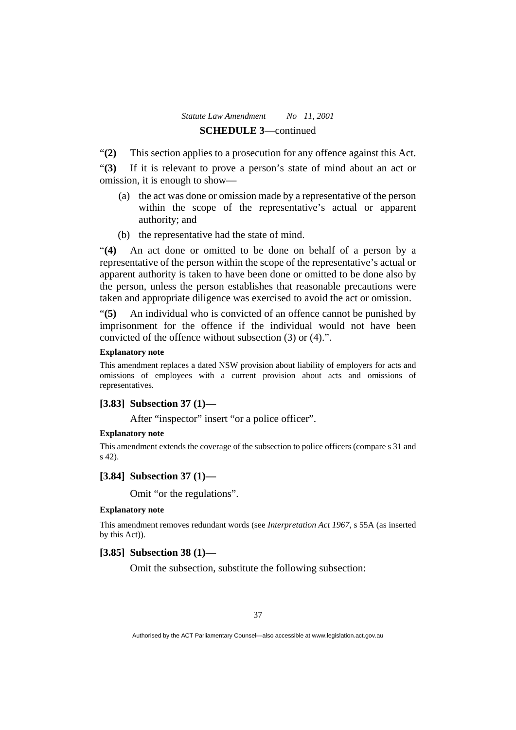"**(2)** This section applies to a prosecution for any offence against this Act.

"**(3)** If it is relevant to prove a person's state of mind about an act or omission, it is enough to show—

- (a) the act was done or omission made by a representative of the person within the scope of the representative's actual or apparent authority; and
- (b) the representative had the state of mind.

"**(4)** An act done or omitted to be done on behalf of a person by a representative of the person within the scope of the representative's actual or apparent authority is taken to have been done or omitted to be done also by the person, unless the person establishes that reasonable precautions were taken and appropriate diligence was exercised to avoid the act or omission.

"**(5)** An individual who is convicted of an offence cannot be punished by imprisonment for the offence if the individual would not have been convicted of the offence without subsection (3) or (4).".

### **Explanatory note**

This amendment replaces a dated NSW provision about liability of employers for acts and omissions of employees with a current provision about acts and omissions of representatives.

#### **[3.83] Subsection 37 (1)—**

After "inspector" insert "or a police officer".

### **Explanatory note**

This amendment extends the coverage of the subsection to police officers (compare s 31 and s 42).

### **[3.84] Subsection 37 (1)—**

Omit "or the regulations".

### **Explanatory note**

This amendment removes redundant words (see *Interpretation Act 1967*, s 55A (as inserted by this Act)).

### **[3.85] Subsection 38 (1)—**

Omit the subsection, substitute the following subsection: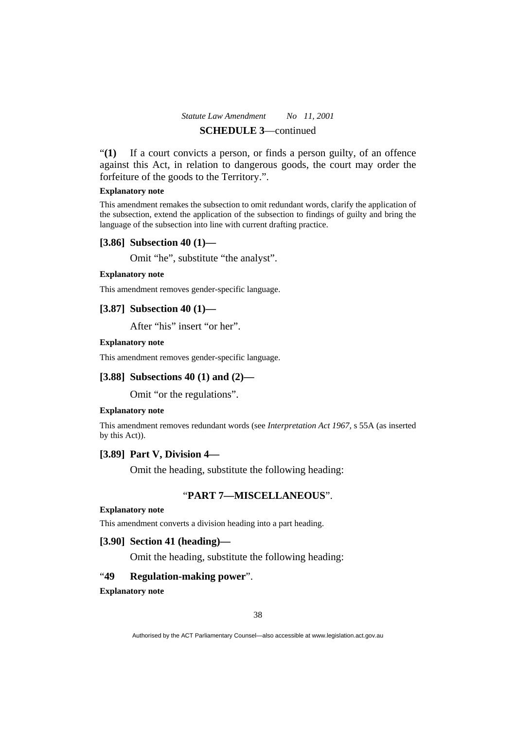"**(1)** If a court convicts a person, or finds a person guilty, of an offence against this Act, in relation to dangerous goods, the court may order the forfeiture of the goods to the Territory.".

#### **Explanatory note**

This amendment remakes the subsection to omit redundant words, clarify the application of the subsection, extend the application of the subsection to findings of guilty and bring the language of the subsection into line with current drafting practice.

#### **[3.86] Subsection 40 (1)—**

Omit "he", substitute "the analyst".

#### **Explanatory note**

This amendment removes gender-specific language.

### **[3.87] Subsection 40 (1)—**

After "his" insert "or her".

#### **Explanatory note**

This amendment removes gender-specific language.

#### **[3.88] Subsections 40 (1) and (2)—**

Omit "or the regulations".

#### **Explanatory note**

This amendment removes redundant words (see *Interpretation Act 1967*, s 55A (as inserted by this Act)).

# **[3.89] Part V, Division 4—**

Omit the heading, substitute the following heading:

### "**PART 7—MISCELLANEOUS**".

#### **Explanatory note**

This amendment converts a division heading into a part heading.

### **[3.90] Section 41 (heading)—**

Omit the heading, substitute the following heading:

# "**49 Regulation-making power**".

#### **Explanatory note**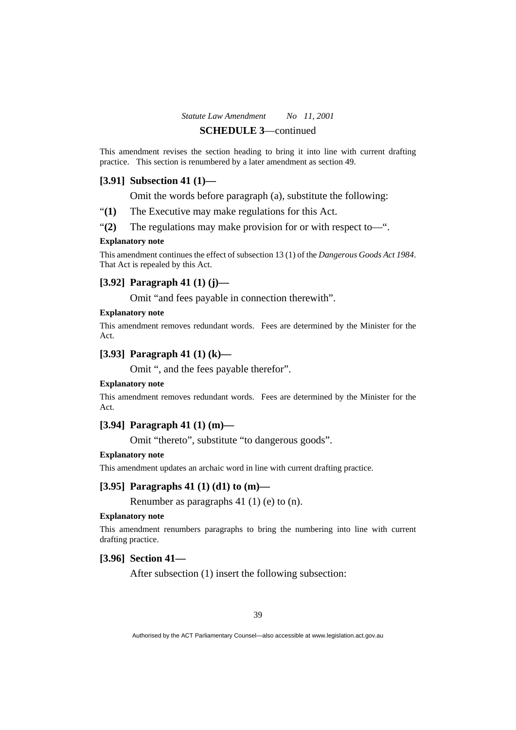This amendment revises the section heading to bring it into line with current drafting practice. This section is renumbered by a later amendment as section 49.

### **[3.91] Subsection 41 (1)—**

Omit the words before paragraph (a), substitute the following:

- "**(1)** The Executive may make regulations for this Act.
- "**(2)** The regulations may make provision for or with respect to—".

#### **Explanatory note**

This amendment continues the effect of subsection 13 (1) of the *Dangerous Goods Act 1984*. That Act is repealed by this Act.

### **[3.92] Paragraph 41 (1) (j)—**

Omit "and fees payable in connection therewith".

#### **Explanatory note**

This amendment removes redundant words. Fees are determined by the Minister for the Act.

### **[3.93] Paragraph 41 (1) (k)—**

Omit ", and the fees payable therefor".

#### **Explanatory note**

This amendment removes redundant words. Fees are determined by the Minister for the Act.

# **[3.94] Paragraph 41 (1) (m)—**

Omit "thereto", substitute "to dangerous goods".

#### **Explanatory note**

This amendment updates an archaic word in line with current drafting practice.

#### **[3.95] Paragraphs 41 (1) (d1) to (m)—**

Renumber as paragraphs 41 (1) (e) to (n).

### **Explanatory note**

This amendment renumbers paragraphs to bring the numbering into line with current drafting practice.

### **[3.96] Section 41—**

After subsection (1) insert the following subsection: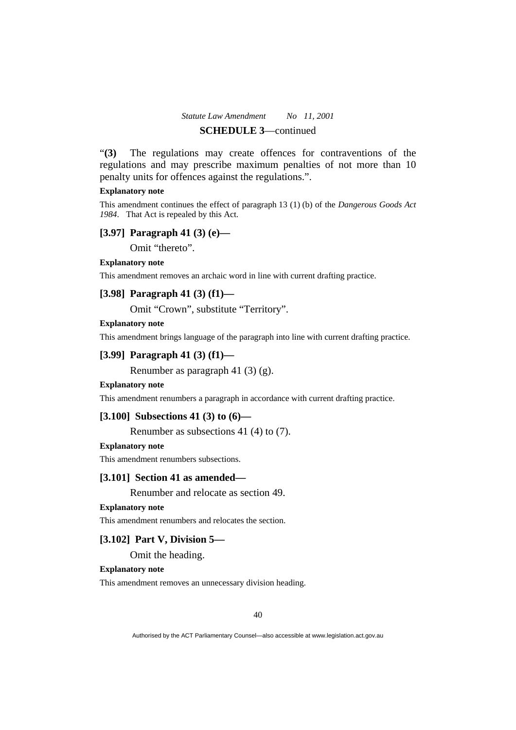"**(3)** The regulations may create offences for contraventions of the regulations and may prescribe maximum penalties of not more than 10 penalty units for offences against the regulations.".

#### **Explanatory note**

This amendment continues the effect of paragraph 13 (1) (b) of the *Dangerous Goods Act 1984*. That Act is repealed by this Act.

# **[3.97] Paragraph 41 (3) (e)—**

Omit "thereto".

#### **Explanatory note**

This amendment removes an archaic word in line with current drafting practice.

# **[3.98] Paragraph 41 (3) (f1)—**

Omit "Crown", substitute "Territory".

#### **Explanatory note**

This amendment brings language of the paragraph into line with current drafting practice.

### **[3.99] Paragraph 41 (3) (f1)—**

Renumber as paragraph 41 (3) (g).

#### **Explanatory note**

This amendment renumbers a paragraph in accordance with current drafting practice.

#### **[3.100] Subsections 41 (3) to (6)—**

Renumber as subsections 41 (4) to (7).

#### **Explanatory note**

This amendment renumbers subsections.

#### **[3.101] Section 41 as amended—**

Renumber and relocate as section 49.

#### **Explanatory note**

This amendment renumbers and relocates the section.

# **[3.102] Part V, Division 5—**

Omit the heading.

#### **Explanatory note**

This amendment removes an unnecessary division heading.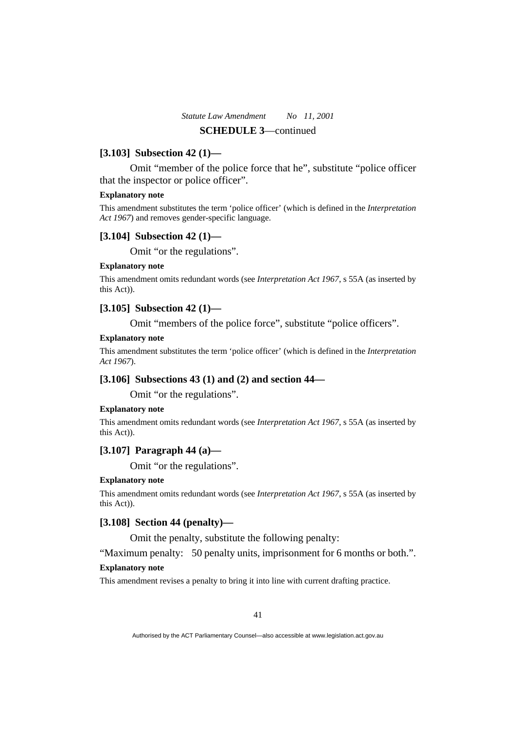### **[3.103] Subsection 42 (1)—**

 Omit "member of the police force that he", substitute "police officer that the inspector or police officer".

#### **Explanatory note**

This amendment substitutes the term 'police officer' (which is defined in the *Interpretation Act 1967*) and removes gender-specific language.

### **[3.104] Subsection 42 (1)—**

Omit "or the regulations".

#### **Explanatory note**

This amendment omits redundant words (see *Interpretation Act 1967*, s 55A (as inserted by this Act)).

# **[3.105] Subsection 42 (1)—**

Omit "members of the police force", substitute "police officers".

### **Explanatory note**

This amendment substitutes the term 'police officer' (which is defined in the *Interpretation Act 1967*).

### **[3.106] Subsections 43 (1) and (2) and section 44—**

Omit "or the regulations".

### **Explanatory note**

This amendment omits redundant words (see *Interpretation Act 1967*, s 55A (as inserted by this Act)).

### **[3.107] Paragraph 44 (a)—**

Omit "or the regulations".

#### **Explanatory note**

This amendment omits redundant words (see *Interpretation Act 1967*, s 55A (as inserted by this Act)).

### **[3.108] Section 44 (penalty)—**

Omit the penalty, substitute the following penalty:

"Maximum penalty: 50 penalty units, imprisonment for 6 months or both.".

### **Explanatory note**

This amendment revises a penalty to bring it into line with current drafting practice.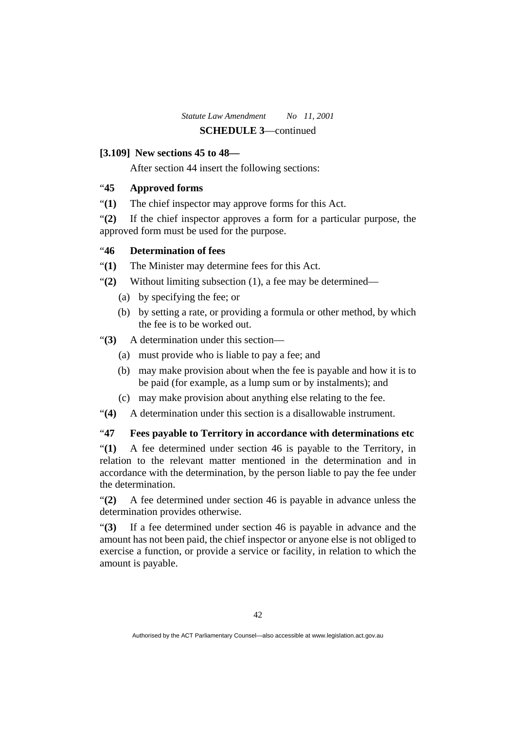# **[3.109] New sections 45 to 48—**

After section 44 insert the following sections:

# "**45 Approved forms**

"**(1)** The chief inspector may approve forms for this Act.

"**(2)** If the chief inspector approves a form for a particular purpose, the approved form must be used for the purpose.

# "**46 Determination of fees**

"**(1)** The Minister may determine fees for this Act.

- "**(2)** Without limiting subsection (1), a fee may be determined—
	- (a) by specifying the fee; or
	- (b) by setting a rate, or providing a formula or other method, by which the fee is to be worked out.

"**(3)** A determination under this section—

- (a) must provide who is liable to pay a fee; and
- (b) may make provision about when the fee is payable and how it is to be paid (for example, as a lump sum or by instalments); and
- (c) may make provision about anything else relating to the fee.
- "**(4)** A determination under this section is a disallowable instrument.

# "**47 Fees payable to Territory in accordance with determinations etc**

"**(1)** A fee determined under section 46 is payable to the Territory, in relation to the relevant matter mentioned in the determination and in accordance with the determination, by the person liable to pay the fee under the determination.

"**(2)** A fee determined under section 46 is payable in advance unless the determination provides otherwise.

"**(3)** If a fee determined under section 46 is payable in advance and the amount has not been paid, the chief inspector or anyone else is not obliged to exercise a function, or provide a service or facility, in relation to which the amount is payable.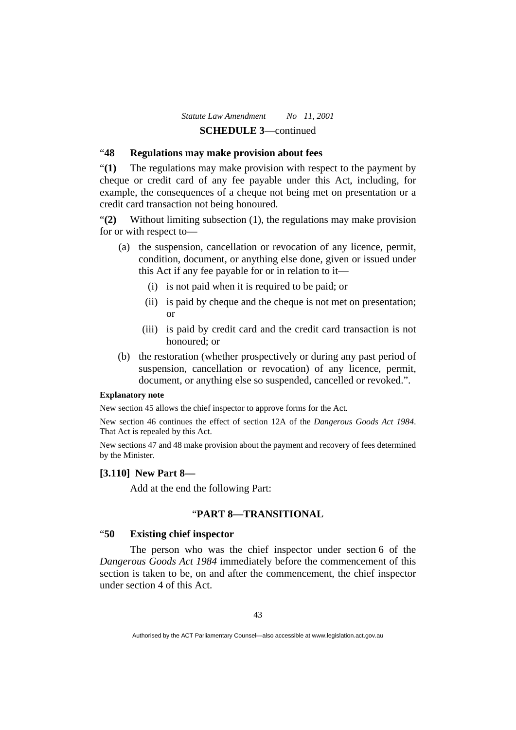# "**48 Regulations may make provision about fees**

"**(1)** The regulations may make provision with respect to the payment by cheque or credit card of any fee payable under this Act, including, for example, the consequences of a cheque not being met on presentation or a credit card transaction not being honoured.

"**(2)** Without limiting subsection (1), the regulations may make provision for or with respect to—

- (a) the suspension, cancellation or revocation of any licence, permit, condition, document, or anything else done, given or issued under this Act if any fee payable for or in relation to it—
	- (i) is not paid when it is required to be paid; or
	- (ii) is paid by cheque and the cheque is not met on presentation; or
	- (iii) is paid by credit card and the credit card transaction is not honoured; or
- (b) the restoration (whether prospectively or during any past period of suspension, cancellation or revocation) of any licence, permit, document, or anything else so suspended, cancelled or revoked.".

### **Explanatory note**

New section 45 allows the chief inspector to approve forms for the Act.

New section 46 continues the effect of section 12A of the *Dangerous Goods Act 1984*. That Act is repealed by this Act.

New sections 47 and 48 make provision about the payment and recovery of fees determined by the Minister.

### **[3.110] New Part 8—**

Add at the end the following Part:

### "**PART 8—TRANSITIONAL**

### "**50 Existing chief inspector**

 The person who was the chief inspector under section 6 of the *Dangerous Goods Act 1984* immediately before the commencement of this section is taken to be, on and after the commencement, the chief inspector under section 4 of this Act.

Authorised by the ACT Parliamentary Counsel—also accessible at www.legislation.act.gov.au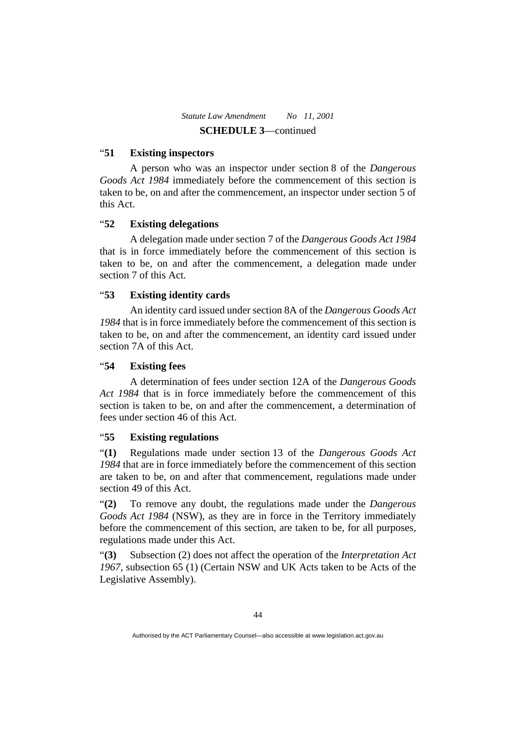# "**51 Existing inspectors**

 A person who was an inspector under section 8 of the *Dangerous Goods Act 1984* immediately before the commencement of this section is taken to be, on and after the commencement, an inspector under section 5 of this Act.

# "**52 Existing delegations**

 A delegation made under section 7 of the *Dangerous Goods Act 1984* that is in force immediately before the commencement of this section is taken to be, on and after the commencement, a delegation made under section 7 of this Act.

# "**53 Existing identity cards**

 An identity card issued under section 8A of the *Dangerous Goods Act 1984* that is in force immediately before the commencement of this section is taken to be, on and after the commencement, an identity card issued under section 7A of this Act.

# "**54 Existing fees**

 A determination of fees under section 12A of the *Dangerous Goods Act 1984* that is in force immediately before the commencement of this section is taken to be, on and after the commencement, a determination of fees under section 46 of this Act.

# "**55 Existing regulations**

"**(1)** Regulations made under section 13 of the *Dangerous Goods Act 1984* that are in force immediately before the commencement of this section are taken to be, on and after that commencement, regulations made under section 49 of this Act.

"**(2)** To remove any doubt, the regulations made under the *Dangerous Goods Act 1984* (NSW), as they are in force in the Territory immediately before the commencement of this section, are taken to be, for all purposes, regulations made under this Act.

"**(3)** Subsection (2) does not affect the operation of the *Interpretation Act 1967*, subsection 65 (1) (Certain NSW and UK Acts taken to be Acts of the Legislative Assembly).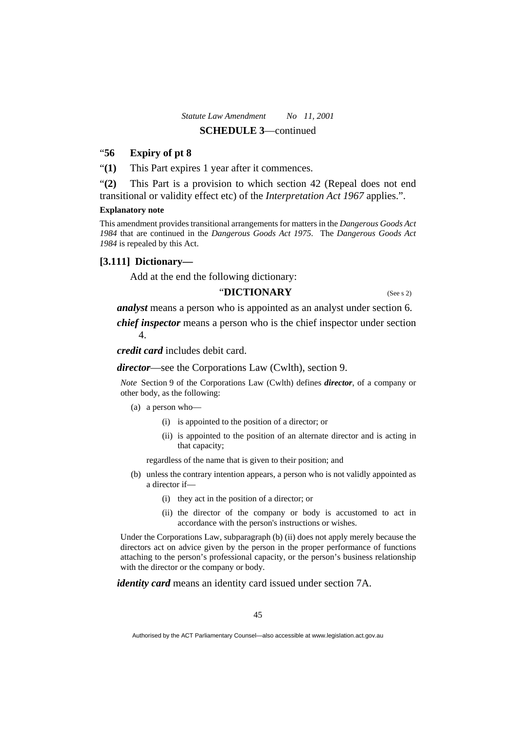### "**56 Expiry of pt 8**

"**(1)** This Part expires 1 year after it commences.

"**(2)** This Part is a provision to which section 42 (Repeal does not end transitional or validity effect etc) of the *Interpretation Act 1967* applies.".

#### **Explanatory note**

This amendment provides transitional arrangements for matters in the *Dangerous Goods Act 1984* that are continued in the *Dangerous Goods Act 1975*. The *Dangerous Goods Act 1984* is repealed by this Act.

### **[3.111] Dictionary—**

Add at the end the following dictionary:

# "**DICTIONARY** (See s 2)

*analyst* means a person who is appointed as an analyst under section 6.

*chief inspector* means a person who is the chief inspector under section 4.

*credit card* includes debit card.

*director*—see the Corporations Law (Cwlth), section 9.

*Note* Section 9 of the Corporations Law (Cwlth) defines *director*, of a company or other body, as the following:

- (a) a person who—
	- (i) is appointed to the position of a director; or
	- (ii) is appointed to the position of an alternate director and is acting in that capacity;

regardless of the name that is given to their position; and

- (b) unless the contrary intention appears, a person who is not validly appointed as a director if—
	- (i) they act in the position of a director; or
	- (ii) the director of the company or body is accustomed to act in accordance with the person's instructions or wishes.

Under the Corporations Law, subparagraph (b) (ii) does not apply merely because the directors act on advice given by the person in the proper performance of functions attaching to the person's professional capacity, or the person's business relationship with the director or the company or body.

*identity card* means an identity card issued under section 7A.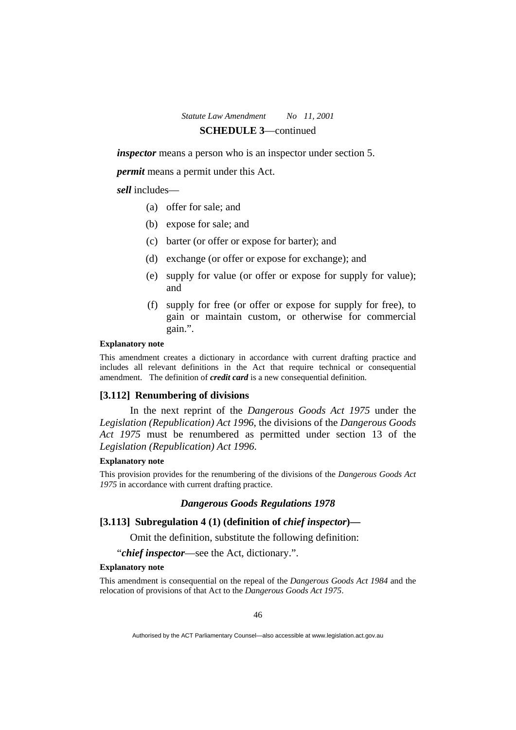*inspector* means a person who is an inspector under section 5.

*permit* means a permit under this Act.

#### *sell* includes—

- (a) offer for sale; and
- (b) expose for sale; and
- (c) barter (or offer or expose for barter); and
- (d) exchange (or offer or expose for exchange); and
- (e) supply for value (or offer or expose for supply for value); and
- (f) supply for free (or offer or expose for supply for free), to gain or maintain custom, or otherwise for commercial gain.".

#### **Explanatory note**

This amendment creates a dictionary in accordance with current drafting practice and includes all relevant definitions in the Act that require technical or consequential amendment. The definition of *credit card* is a new consequential definition.

### **[3.112] Renumbering of divisions**

 In the next reprint of the *Dangerous Goods Act 1975* under the *Legislation (Republication) Act 1996*, the divisions of the *Dangerous Goods Act 1975* must be renumbered as permitted under section 13 of the *Legislation (Republication) Act 1996*.

#### **Explanatory note**

This provision provides for the renumbering of the divisions of the *Dangerous Goods Act 1975* in accordance with current drafting practice.

### *Dangerous Goods Regulations 1978*

### **[3.113] Subregulation 4 (1) (definition of** *chief inspector***)—**

Omit the definition, substitute the following definition:

"*chief inspector*—see the Act, dictionary.".

#### **Explanatory note**

This amendment is consequential on the repeal of the *Dangerous Goods Act 1984* and the relocation of provisions of that Act to the *Dangerous Goods Act 1975*.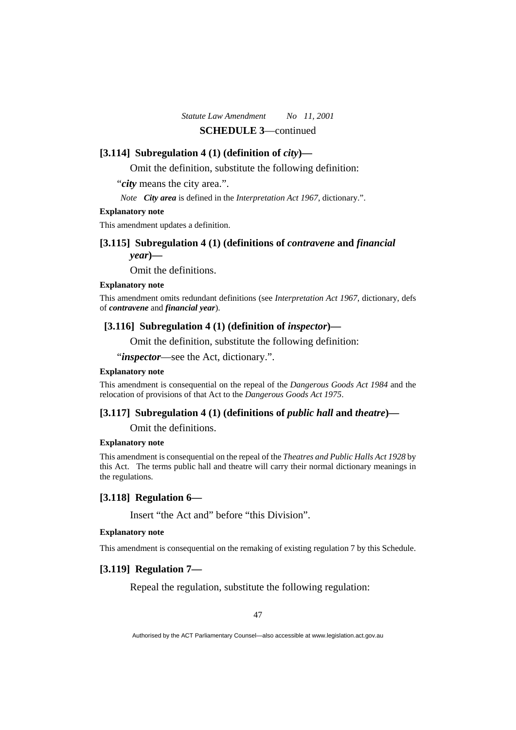#### **[3.114] Subregulation 4 (1) (definition of** *city***)—**

Omit the definition, substitute the following definition:

"*city* means the city area.".

*Note City area* is defined in the *Interpretation Act 1967*, dictionary.".

#### **Explanatory note**

This amendment updates a definition.

### **[3.115] Subregulation 4 (1) (definitions of** *contravene* **and** *financial*

*year***)—** 

Omit the definitions.

#### **Explanatory note**

This amendment omits redundant definitions (see *Interpretation Act 1967*, dictionary, defs of *contravene* and *financial year*).

### **[3.116] Subregulation 4 (1) (definition of** *inspector***)—**

Omit the definition, substitute the following definition:

"*inspector*—see the Act, dictionary.".

#### **Explanatory note**

This amendment is consequential on the repeal of the *Dangerous Goods Act 1984* and the relocation of provisions of that Act to the *Dangerous Goods Act 1975*.

### **[3.117] Subregulation 4 (1) (definitions of** *public hall* **and** *theatre***)—**

Omit the definitions.

#### **Explanatory note**

This amendment is consequential on the repeal of the *Theatres and Public Halls Act 1928* by this Act. The terms public hall and theatre will carry their normal dictionary meanings in the regulations.

#### **[3.118] Regulation 6—**

Insert "the Act and" before "this Division".

#### **Explanatory note**

This amendment is consequential on the remaking of existing regulation 7 by this Schedule.

# **[3.119] Regulation 7—**

Repeal the regulation, substitute the following regulation: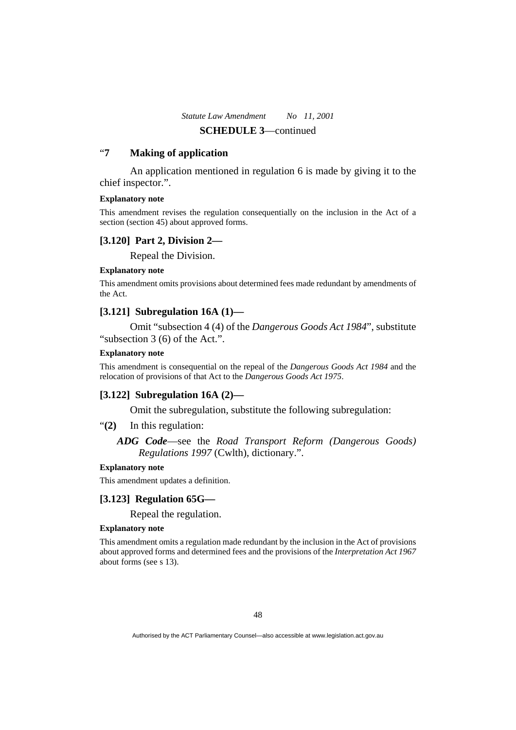# "**7 Making of application**

 An application mentioned in regulation 6 is made by giving it to the chief inspector.".

### **Explanatory note**

This amendment revises the regulation consequentially on the inclusion in the Act of a section (section 45) about approved forms.

#### **[3.120] Part 2, Division 2—**

Repeal the Division.

#### **Explanatory note**

This amendment omits provisions about determined fees made redundant by amendments of the Act.

### **[3.121] Subregulation 16A (1)—**

 Omit "subsection 4 (4) of the *Dangerous Goods Act 1984*", substitute "subsection 3 (6) of the Act.".

#### **Explanatory note**

This amendment is consequential on the repeal of the *Dangerous Goods Act 1984* and the relocation of provisions of that Act to the *Dangerous Goods Act 1975*.

### **[3.122] Subregulation 16A (2)—**

Omit the subregulation, substitute the following subregulation:

"**(2)** In this regulation:

*ADG Code*—see the *Road Transport Reform (Dangerous Goods) Regulations 1997* (Cwlth), dictionary.".

#### **Explanatory note**

This amendment updates a definition.

### **[3.123] Regulation 65G—**

Repeal the regulation.

#### **Explanatory note**

This amendment omits a regulation made redundant by the inclusion in the Act of provisions about approved forms and determined fees and the provisions of the *Interpretation Act 1967* about forms (see s 13).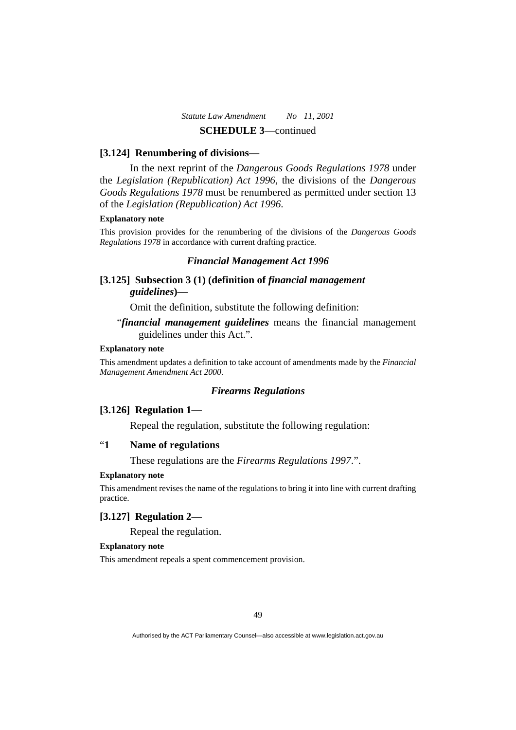#### **[3.124] Renumbering of divisions—**

 In the next reprint of the *Dangerous Goods Regulations 1978* under the *Legislation (Republication) Act 1996*, the divisions of the *Dangerous Goods Regulations 1978* must be renumbered as permitted under section 13 of the *Legislation (Republication) Act 1996*.

#### **Explanatory note**

This provision provides for the renumbering of the divisions of the *Dangerous Goods Regulations 1978* in accordance with current drafting practice.

# *Financial Management Act 1996*

# [3.125] Subsection 3 (1) (definition of *financial management guidelines***)—**

Omit the definition, substitute the following definition:

# "*financial management guidelines* means the financial management guidelines under this Act.".

### **Explanatory note**

This amendment updates a definition to take account of amendments made by the *Financial Management Amendment Act 2000*.

#### *Firearms Regulations*

### **[3.126] Regulation 1—**

Repeal the regulation, substitute the following regulation:

# "**1 Name of regulations**

These regulations are the *Firearms Regulations 1997*.".

#### **Explanatory note**

This amendment revises the name of the regulations to bring it into line with current drafting practice.

# **[3.127] Regulation 2—**

Repeal the regulation.

### **Explanatory note**

This amendment repeals a spent commencement provision.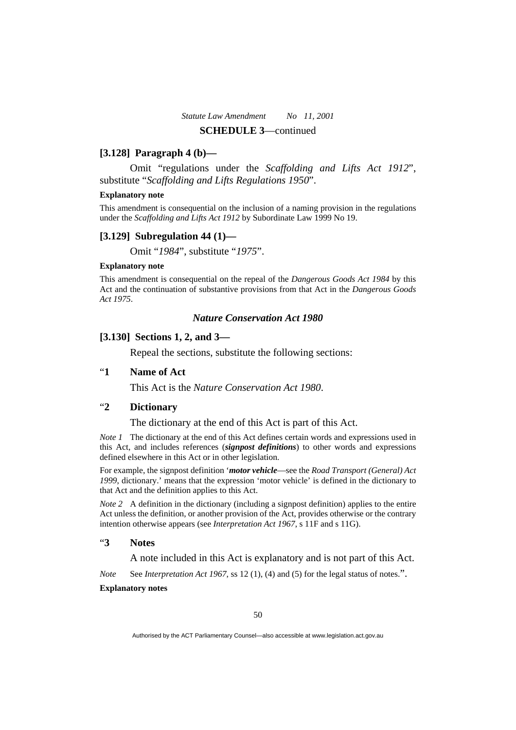# **[3.128] Paragraph 4 (b)—**

 Omit "regulations under the *Scaffolding and Lifts Act 1912*", substitute "*Scaffolding and Lifts Regulations 1950*".

#### **Explanatory note**

This amendment is consequential on the inclusion of a naming provision in the regulations under the *Scaffolding and Lifts Act 1912* by Subordinate Law 1999 No 19.

#### **[3.129] Subregulation 44 (1)—**

Omit "*1984*", substitute "*1975*".

#### **Explanatory note**

This amendment is consequential on the repeal of the *Dangerous Goods Act 1984* by this Act and the continuation of substantive provisions from that Act in the *Dangerous Goods Act 1975*.

# *Nature Conservation Act 1980*

# **[3.130] Sections 1, 2, and 3—**

Repeal the sections, substitute the following sections:

### "**1 Name of Act**

This Act is the *Nature Conservation Act 1980*.

# "**2 Dictionary**

The dictionary at the end of this Act is part of this Act.

*Note 1* The dictionary at the end of this Act defines certain words and expressions used in this Act, and includes references (*signpost definitions*) to other words and expressions defined elsewhere in this Act or in other legislation.

For example, the signpost definition '*motor vehicle*—see the *Road Transport (General) Act 1999*, dictionary.' means that the expression 'motor vehicle' is defined in the dictionary to that Act and the definition applies to this Act.

*Note 2* A definition in the dictionary (including a signpost definition) applies to the entire Act unless the definition, or another provision of the Act, provides otherwise or the contrary intention otherwise appears (see *Interpretation Act 1967*, s 11F and s 11G).

# "**3 Notes**

A note included in this Act is explanatory and is not part of this Act.

*Note* See *Interpretation Act 1967*, ss 12 (1), (4) and (5) for the legal status of notes.".

#### **Explanatory notes**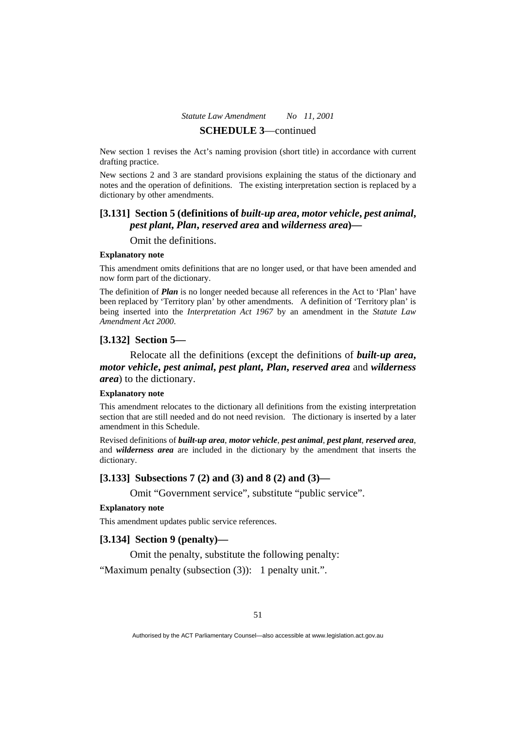New section 1 revises the Act's naming provision (short title) in accordance with current drafting practice.

New sections 2 and 3 are standard provisions explaining the status of the dictionary and notes and the operation of definitions. The existing interpretation section is replaced by a dictionary by other amendments.

# **[3.131] Section 5 (definitions of** *built-up area***,** *motor vehicle***,** *pest animal***,**  *pest plant***,** *Plan***,** *reserved area* **and** *wilderness area***)—**

Omit the definitions.

#### **Explanatory note**

This amendment omits definitions that are no longer used, or that have been amended and now form part of the dictionary.

The definition of *Plan* is no longer needed because all references in the Act to 'Plan' have been replaced by 'Territory plan' by other amendments. A definition of 'Territory plan' is being inserted into the *Interpretation Act 1967* by an amendment in the *Statute Law Amendment Act 2000*.

### **[3.132] Section 5—**

 Relocate all the definitions (except the definitions of *built-up area***,**  *motor vehicle***,** *pest animal***,** *pest plant***,** *Plan***,** *reserved area* and *wilderness area*) to the dictionary.

#### **Explanatory note**

This amendment relocates to the dictionary all definitions from the existing interpretation section that are still needed and do not need revision. The dictionary is inserted by a later amendment in this Schedule.

Revised definitions of *built-up area*, *motor vehicle*, *pest animal*, *pest plant*, *reserved area*, and *wilderness area* are included in the dictionary by the amendment that inserts the dictionary.

#### **[3.133] Subsections 7 (2) and (3) and 8 (2) and (3)—**

Omit "Government service", substitute "public service".

### **Explanatory note**

This amendment updates public service references.

### **[3.134] Section 9 (penalty)—**

Omit the penalty, substitute the following penalty:

"Maximum penalty (subsection (3)): 1 penalty unit.".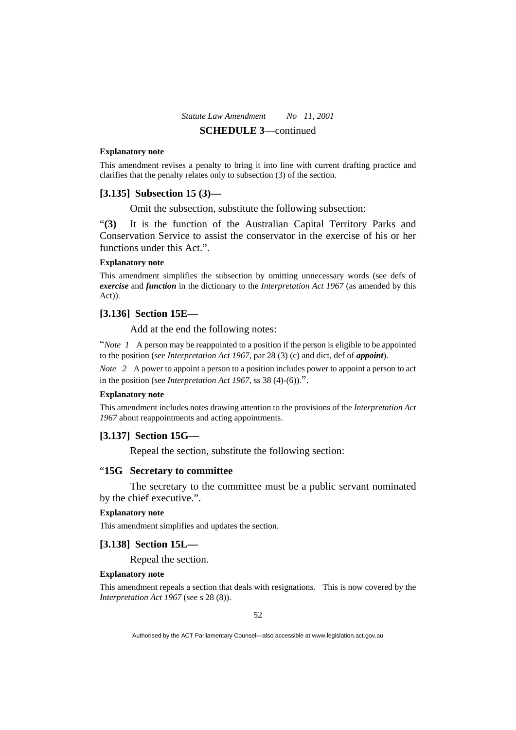#### **Explanatory note**

This amendment revises a penalty to bring it into line with current drafting practice and clarifies that the penalty relates only to subsection (3) of the section.

#### **[3.135] Subsection 15 (3)—**

Omit the subsection, substitute the following subsection:

"**(3)** It is the function of the Australian Capital Territory Parks and Conservation Service to assist the conservator in the exercise of his or her functions under this Act.".

#### **Explanatory note**

This amendment simplifies the subsection by omitting unnecessary words (see defs of *exercise* and *function* in the dictionary to the *Interpretation Act 1967* (as amended by this Act)).

#### **[3.136] Section 15E—**

Add at the end the following notes:

"*Note 1* A person may be reappointed to a position if the person is eligible to be appointed to the position (see *Interpretation Act 1967*, par 28 (3) (c) and dict, def of *appoint*).

*Note* 2 A power to appoint a person to a position includes power to appoint a person to act in the position (see *Interpretation Act 1967*, ss 38 (4)-(6)).".

#### **Explanatory note**

This amendment includes notes drawing attention to the provisions of the *Interpretation Act 1967* about reappointments and acting appointments.

### **[3.137] Section 15G—**

Repeal the section, substitute the following section:

### "**15G Secretary to committee**

The secretary to the committee must be a public servant nominated

# by the chief executive.".

#### **Explanatory note**

This amendment simplifies and updates the section.

#### **[3.138] Section 15L—**

Repeal the section.

### **Explanatory note**

This amendment repeals a section that deals with resignations. This is now covered by the *Interpretation Act 1967* (see s 28 (8)).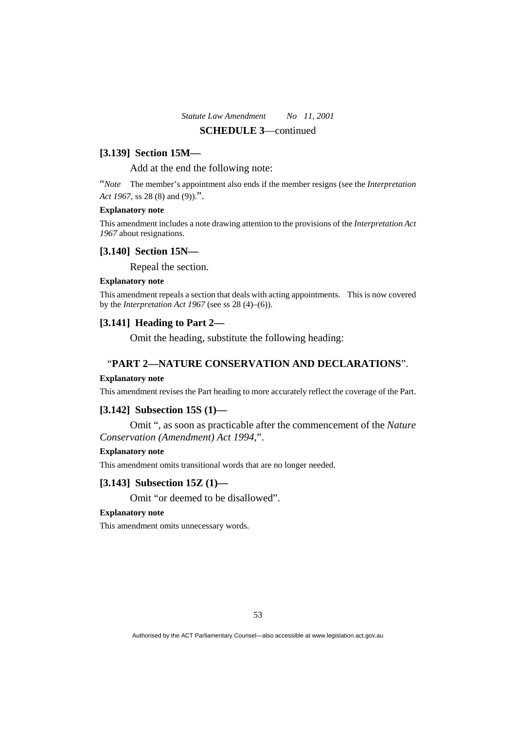### **[3.139] Section 15M—**

Add at the end the following note:

"*Note* The member's appointment also ends if the member resigns (see the *Interpretation Act 1967*, ss 28 (8) and (9)).".

#### **Explanatory note**

This amendment includes a note drawing attention to the provisions of the *Interpretation Act 1967* about resignations.

#### **[3.140] Section 15N—**

Repeal the section.

### **Explanatory note**

This amendment repeals a section that deals with acting appointments. This is now covered by the *Interpretation Act 1967* (see ss 28 (4)–(6)).

### **[3.141] Heading to Part 2—**

Omit the heading, substitute the following heading:

### "**PART 2—NATURE CONSERVATION AND DECLARATIONS**".

#### **Explanatory note**

This amendment revises the Part heading to more accurately reflect the coverage of the Part.

### **[3.142] Subsection 15S (1)—**

 Omit ", as soon as practicable after the commencement of the *Nature Conservation (Amendment) Act 1994*,".

#### **Explanatory note**

This amendment omits transitional words that are no longer needed.

#### **[3.143] Subsection 15Z (1)—**

Omit "or deemed to be disallowed".

#### **Explanatory note**

This amendment omits unnecessary words.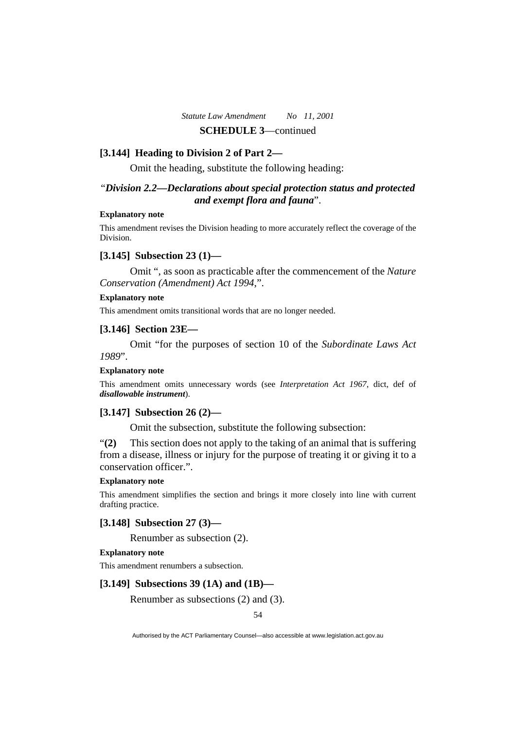#### **[3.144] Heading to Division 2 of Part 2—**

Omit the heading, substitute the following heading:

# "*Division 2.2—Declarations about special protection status and protected and exempt flora and fauna*".

### **Explanatory note**

This amendment revises the Division heading to more accurately reflect the coverage of the Division.

### **[3.145] Subsection 23 (1)—**

 Omit ", as soon as practicable after the commencement of the *Nature Conservation (Amendment) Act 1994*,".

#### **Explanatory note**

This amendment omits transitional words that are no longer needed.

### **[3.146] Section 23E—**

 Omit "for the purposes of section 10 of the *Subordinate Laws Act 1989*".

#### **Explanatory note**

This amendment omits unnecessary words (see *Interpretation Act 1967*, dict, def of *disallowable instrument*).

### **[3.147] Subsection 26 (2)—**

Omit the subsection, substitute the following subsection:

"**(2)** This section does not apply to the taking of an animal that is suffering from a disease, illness or injury for the purpose of treating it or giving it to a conservation officer.".

#### **Explanatory note**

This amendment simplifies the section and brings it more closely into line with current drafting practice.

# **[3.148] Subsection 27 (3)—**

Renumber as subsection (2).

#### **Explanatory note**

This amendment renumbers a subsection.

### **[3.149] Subsections 39 (1A) and (1B)—**

Renumber as subsections (2) and (3).

54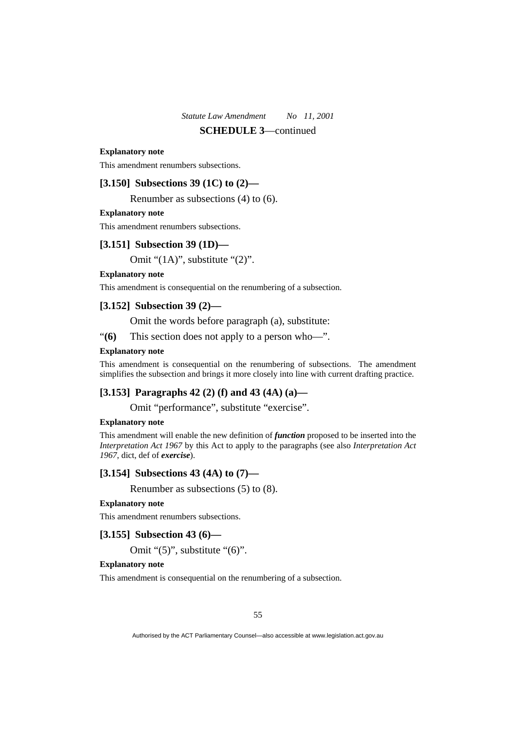#### **Explanatory note**

This amendment renumbers subsections.

### **[3.150] Subsections 39 (1C) to (2)—**

Renumber as subsections (4) to (6).

#### **Explanatory note**

This amendment renumbers subsections.

# **[3.151] Subsection 39 (1D)—**

Omit "(1A)", substitute "(2)".

#### **Explanatory note**

This amendment is consequential on the renumbering of a subsection.

# **[3.152] Subsection 39 (2)—**

Omit the words before paragraph (a), substitute:

"**(6)** This section does not apply to a person who—".

#### **Explanatory note**

This amendment is consequential on the renumbering of subsections. The amendment simplifies the subsection and brings it more closely into line with current drafting practice.

### **[3.153] Paragraphs 42 (2) (f) and 43 (4A) (a)—**

Omit "performance", substitute "exercise".

#### **Explanatory note**

This amendment will enable the new definition of *function* proposed to be inserted into the *Interpretation Act 1967* by this Act to apply to the paragraphs (see also *Interpretation Act 1967*, dict, def of *exercise*).

### **[3.154] Subsections 43 (4A) to (7)—**

Renumber as subsections (5) to (8).

#### **Explanatory note**

This amendment renumbers subsections.

### **[3.155] Subsection 43 (6)—**

Omit "(5)", substitute "(6)".

#### **Explanatory note**

This amendment is consequential on the renumbering of a subsection.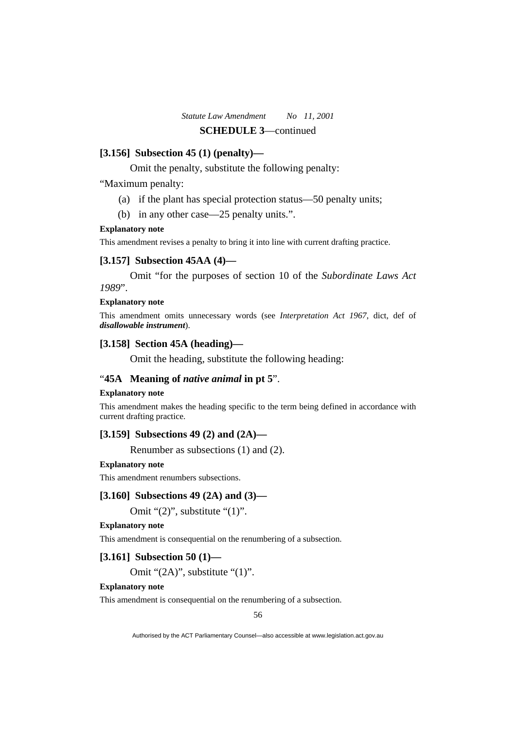### **[3.156] Subsection 45 (1) (penalty)—**

Omit the penalty, substitute the following penalty:

"Maximum penalty:

- (a) if the plant has special protection status—50 penalty units;
- (b) in any other case—25 penalty units.".

#### **Explanatory note**

This amendment revises a penalty to bring it into line with current drafting practice.

### **[3.157] Subsection 45AA (4)—**

 Omit "for the purposes of section 10 of the *Subordinate Laws Act 1989*".

#### **Explanatory note**

This amendment omits unnecessary words (see *Interpretation Act 1967*, dict, def of *disallowable instrument*).

### **[3.158] Section 45A (heading)—**

Omit the heading, substitute the following heading:

### "**45A Meaning of** *native animal* **in pt 5**".

#### **Explanatory note**

This amendment makes the heading specific to the term being defined in accordance with current drafting practice.

# **[3.159] Subsections 49 (2) and (2A)—**

Renumber as subsections (1) and (2).

#### **Explanatory note**

This amendment renumbers subsections.

#### **[3.160] Subsections 49 (2A) and (3)—**

Omit "(2)", substitute "(1)".

### **Explanatory note**

This amendment is consequential on the renumbering of a subsection.

### **[3.161] Subsection 50 (1)—**

Omit "(2A)", substitute "(1)".

### **Explanatory note**

This amendment is consequential on the renumbering of a subsection.

56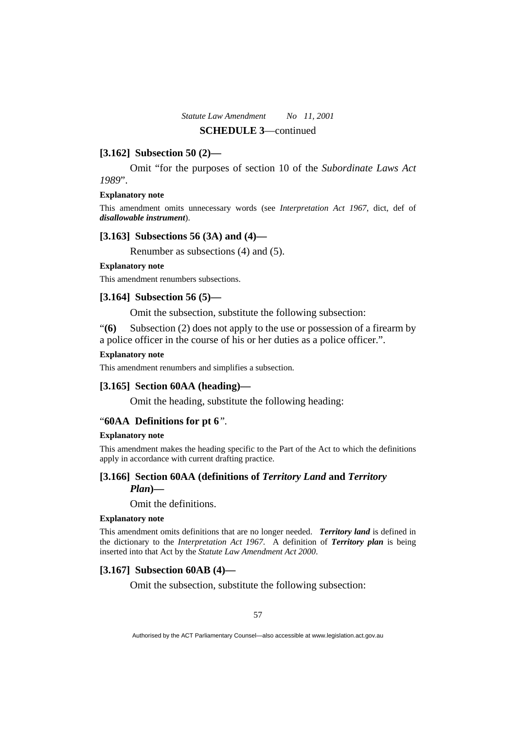### **[3.162] Subsection 50 (2)—**

 Omit "for the purposes of section 10 of the *Subordinate Laws Act 1989*".

#### **Explanatory note**

This amendment omits unnecessary words (see *Interpretation Act 1967*, dict, def of *disallowable instrument*).

### **[3.163] Subsections 56 (3A) and (4)—**

Renumber as subsections (4) and (5).

### **Explanatory note**

This amendment renumbers subsections.

### **[3.164] Subsection 56 (5)—**

Omit the subsection, substitute the following subsection:

"**(6)** Subsection (2) does not apply to the use or possession of a firearm by a police officer in the course of his or her duties as a police officer.".

#### **Explanatory note**

This amendment renumbers and simplifies a subsection.

### **[3.165] Section 60AA (heading)—**

Omit the heading, substitute the following heading:

#### "**60AA Definitions for pt 6***".*

#### **Explanatory note**

This amendment makes the heading specific to the Part of the Act to which the definitions apply in accordance with current drafting practice.

### **[3.166] Section 60AA (definitions of** *Territory Land* **and** *Territory Plan*)—

Omit the definitions.

#### **Explanatory note**

This amendment omits definitions that are no longer needed. *Territory land* is defined in the dictionary to the *Interpretation Act 1967*. A definition of *Territory plan* is being inserted into that Act by the *Statute Law Amendment Act 2000*.

### **[3.167] Subsection 60AB (4)—**

Omit the subsection, substitute the following subsection: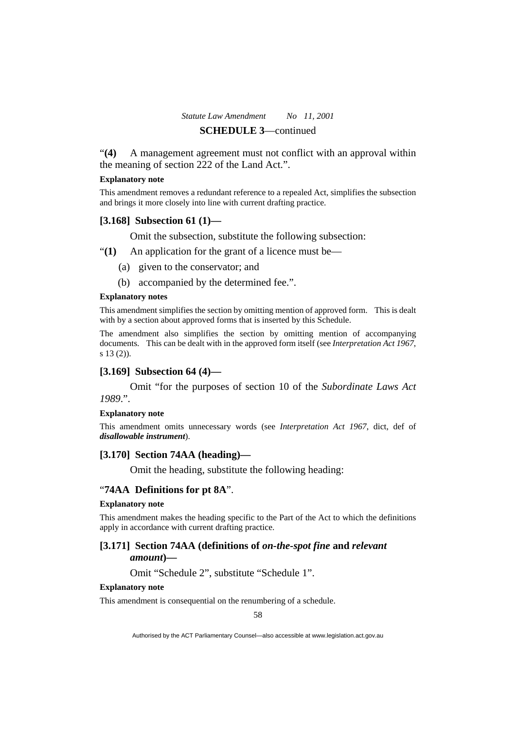"**(4)** A management agreement must not conflict with an approval within the meaning of section 222 of the Land Act.".

#### **Explanatory note**

This amendment removes a redundant reference to a repealed Act, simplifies the subsection and brings it more closely into line with current drafting practice.

#### **[3.168] Subsection 61 (1)—**

Omit the subsection, substitute the following subsection:

"**(1)** An application for the grant of a licence must be—

- (a) given to the conservator; and
- (b) accompanied by the determined fee.".

#### **Explanatory notes**

This amendment simplifies the section by omitting mention of approved form. This is dealt with by a section about approved forms that is inserted by this Schedule.

The amendment also simplifies the section by omitting mention of accompanying documents. This can be dealt with in the approved form itself (see *Interpretation Act 1967*, s 13 (2)).

#### **[3.169] Subsection 64 (4)—**

 Omit "for the purposes of section 10 of the *Subordinate Laws Act 1989*.".

#### **Explanatory note**

This amendment omits unnecessary words (see *Interpretation Act 1967*, dict, def of *disallowable instrument*).

### **[3.170] Section 74AA (heading)—**

Omit the heading, substitute the following heading:

#### "**74AA Definitions for pt 8A**".

#### **Explanatory note**

This amendment makes the heading specific to the Part of the Act to which the definitions apply in accordance with current drafting practice.

### **[3.171] Section 74AA (definitions of** *on-the-spot fine* **and** *relevant amount***)—**

### Omit "Schedule 2", substitute "Schedule 1".

#### **Explanatory note**

This amendment is consequential on the renumbering of a schedule.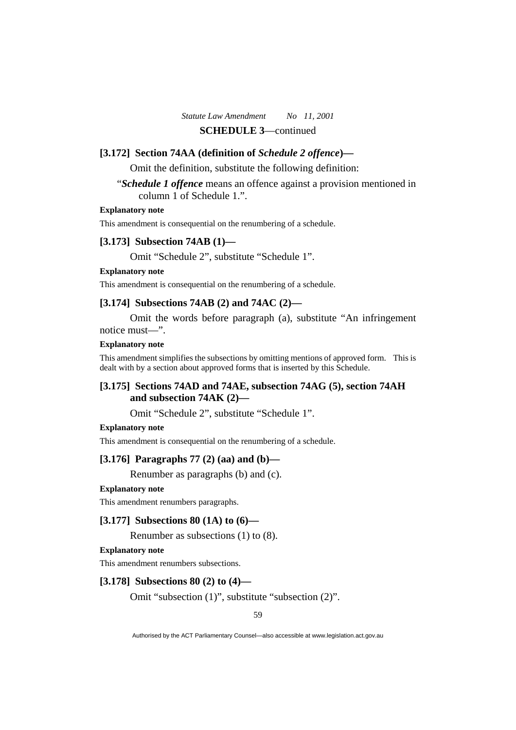#### **[3.172] Section 74AA (definition of** *Schedule 2 offence***)—**

Omit the definition, substitute the following definition:

"*Schedule 1 offence* means an offence against a provision mentioned in column 1 of Schedule 1.".

### **Explanatory note**

This amendment is consequential on the renumbering of a schedule.

# **[3.173] Subsection 74AB (1)—**

Omit "Schedule 2", substitute "Schedule 1".

### **Explanatory note**

This amendment is consequential on the renumbering of a schedule.

### **[3.174] Subsections 74AB (2) and 74AC (2)—**

 Omit the words before paragraph (a), substitute "An infringement notice must—".

#### **Explanatory note**

This amendment simplifies the subsections by omitting mentions of approved form. This is dealt with by a section about approved forms that is inserted by this Schedule.

# **[3.175] Sections 74AD and 74AE, subsection 74AG (5), section 74AH and subsection 74AK (2)—**

Omit "Schedule 2", substitute "Schedule 1".

#### **Explanatory note**

This amendment is consequential on the renumbering of a schedule.

#### **[3.176] Paragraphs 77 (2) (aa) and (b)—**

Renumber as paragraphs (b) and (c).

### **Explanatory note**

This amendment renumbers paragraphs.

### **[3.177] Subsections 80 (1A) to (6)—**

Renumber as subsections (1) to (8).

#### **Explanatory note**

This amendment renumbers subsections.

#### **[3.178] Subsections 80 (2) to (4)—**

Omit "subsection (1)", substitute "subsection (2)".

59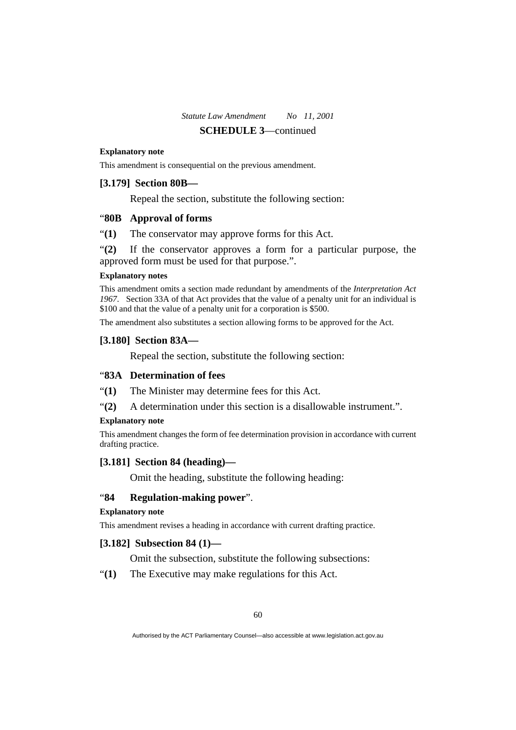#### **Explanatory note**

This amendment is consequential on the previous amendment.

#### **[3.179] Section 80B—**

Repeal the section, substitute the following section:

### "**80B Approval of forms**

"**(1)** The conservator may approve forms for this Act.

"**(2)** If the conservator approves a form for a particular purpose, the approved form must be used for that purpose.".

#### **Explanatory notes**

This amendment omits a section made redundant by amendments of the *Interpretation Act 1967*. Section 33A of that Act provides that the value of a penalty unit for an individual is \$100 and that the value of a penalty unit for a corporation is \$500.

The amendment also substitutes a section allowing forms to be approved for the Act.

#### **[3.180] Section 83A—**

Repeal the section, substitute the following section:

# "**83A Determination of fees**

"**(1)** The Minister may determine fees for this Act.

"**(2)** A determination under this section is a disallowable instrument.".

#### **Explanatory note**

This amendment changes the form of fee determination provision in accordance with current drafting practice.

# **[3.181] Section 84 (heading)—**

Omit the heading, substitute the following heading:

#### "**84 Regulation-making power**".

#### **Explanatory note**

This amendment revises a heading in accordance with current drafting practice.

### **[3.182] Subsection 84 (1)—**

Omit the subsection, substitute the following subsections:

"**(1)** The Executive may make regulations for this Act.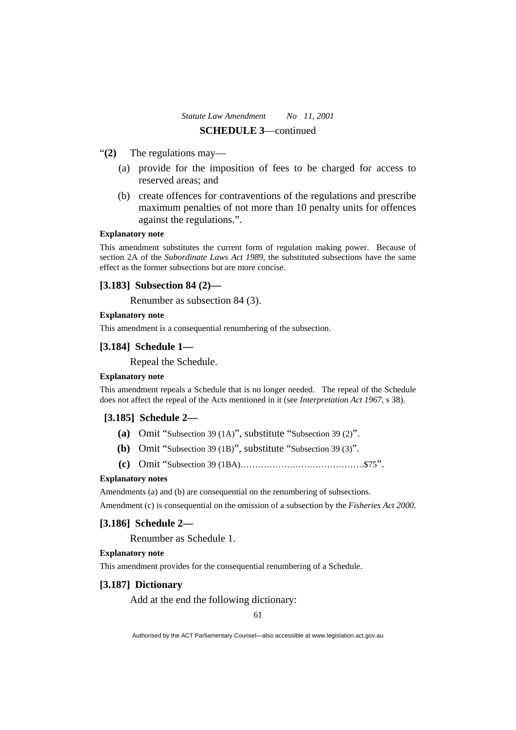- "**(2)** The regulations may—
	- (a) provide for the imposition of fees to be charged for access to reserved areas; and
	- (b) create offences for contraventions of the regulations and prescribe maximum penalties of not more than 10 penalty units for offences against the regulations.".

#### **Explanatory note**

This amendment substitutes the current form of regulation making power. Because of section 2A of the *Subordinate Laws Act 1989*, the substituted subsections have the same effect as the former subsections but are more concise.

# **[3.183] Subsection 84 (2)—**

Renumber as subsection 84 (3).

#### **Explanatory note**

This amendment is a consequential renumbering of the subsection.

#### **[3.184] Schedule 1—**

Repeal the Schedule.

#### **Explanatory note**

This amendment repeals a Schedule that is no longer needed. The repeal of the Schedule does not affect the repeal of the Acts mentioned in it (see *Interpretation Act 1967*, s 38).

#### **[3.185] Schedule 2—**

- **(a)** Omit "Subsection 39 (1A)", substitute "Subsection 39 (2)".
- **(b)** Omit "Subsection 39 (1B)", substitute "Subsection 39 (3)".
- **(c)** Omit "Subsection 39 (1BA)…………………………………….\$75".

### **Explanatory notes**

Amendments (a) and (b) are consequential on the renumbering of subsections.

Amendment (c) is consequential on the omission of a subsection by the *Fisheries Act 2000*.

#### **[3.186] Schedule 2—**

Renumber as Schedule 1.

#### **Explanatory note**

This amendment provides for the consequential renumbering of a Schedule.

### **[3.187] Dictionary**

Add at the end the following dictionary:

61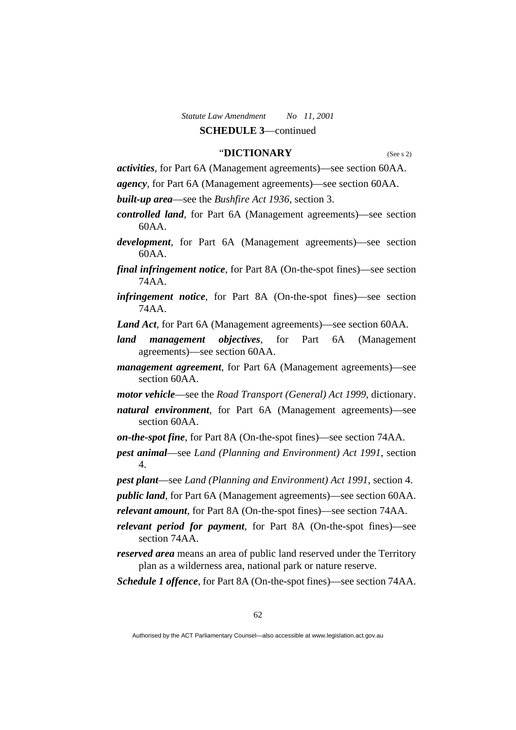## "**DICTIONARY** (See s 2)

*activities*, for Part 6A (Management agreements)—see section 60AA.

*agency*, for Part 6A (Management agreements)—see section 60AA.

*built-up area*—see the *Bushfire Act 1936*, section 3.

- *controlled land*, for Part 6A (Management agreements)—see section 60AA.
- *development*, for Part 6A (Management agreements)—see section 60AA.
- *final infringement notice*, for Part 8A (On-the-spot fines)—see section 74AA.
- *infringement notice*, for Part 8A (On-the-spot fines)—see section 74AA.
- *Land Act*, for Part 6A (Management agreements)—see section 60AA.
- *land management objectives*, for Part 6A (Management agreements)—see section 60AA.
- *management agreement*, for Part 6A (Management agreements)—see section 60AA.
- *motor vehicle*—see the *Road Transport (General) Act 1999*, dictionary.
- *natural environment*, for Part 6A (Management agreements)—see section 60AA.
- *on-the-spot fine*, for Part 8A (On-the-spot fines)—see section 74AA.
- *pest animal*—see *Land (Planning and Environment) Act 1991*, section 4.
- *pest plant*—see *Land (Planning and Environment) Act 1991*, section 4.
- *public land*, for Part 6A (Management agreements)—see section 60AA.
- *relevant amount*, for Part 8A (On-the-spot fines)—see section 74AA.
- *relevant period for payment*, for Part 8A (On-the-spot fines)—see section 74AA
- *reserved area* means an area of public land reserved under the Territory plan as a wilderness area, national park or nature reserve.
- *Schedule 1 offence*, for Part 8A (On-the-spot fines)—see section 74AA.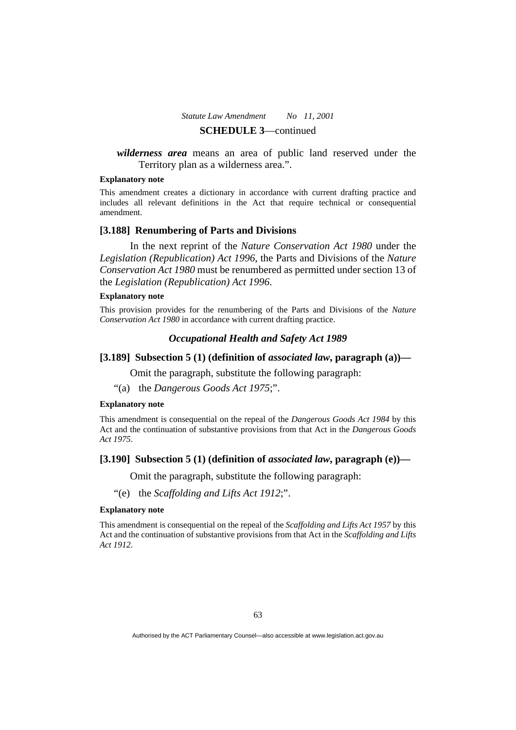# *wilderness area* means an area of public land reserved under the Territory plan as a wilderness area.".

### **Explanatory note**

This amendment creates a dictionary in accordance with current drafting practice and includes all relevant definitions in the Act that require technical or consequential amendment.

#### **[3.188] Renumbering of Parts and Divisions**

 In the next reprint of the *Nature Conservation Act 1980* under the *Legislation (Republication) Act 1996*, the Parts and Divisions of the *Nature Conservation Act 1980* must be renumbered as permitted under section 13 of the *Legislation (Republication) Act 1996*.

#### **Explanatory note**

This provision provides for the renumbering of the Parts and Divisions of the *Nature Conservation Act 1980* in accordance with current drafting practice.

### *Occupational Health and Safety Act 1989*

### **[3.189] Subsection 5 (1) (definition of** *associated law***, paragraph (a))—**

Omit the paragraph, substitute the following paragraph:

"(a) the *Dangerous Goods Act 1975*;".

#### **Explanatory note**

This amendment is consequential on the repeal of the *Dangerous Goods Act 1984* by this Act and the continuation of substantive provisions from that Act in the *Dangerous Goods Act 1975*.

### **[3.190] Subsection 5 (1) (definition of** *associated law***, paragraph (e))—**

Omit the paragraph, substitute the following paragraph:

"(e) the *Scaffolding and Lifts Act 1912*;".

#### **Explanatory note**

This amendment is consequential on the repeal of the *Scaffolding and Lifts Act 1957* by this Act and the continuation of substantive provisions from that Act in the *Scaffolding and Lifts Act 1912*.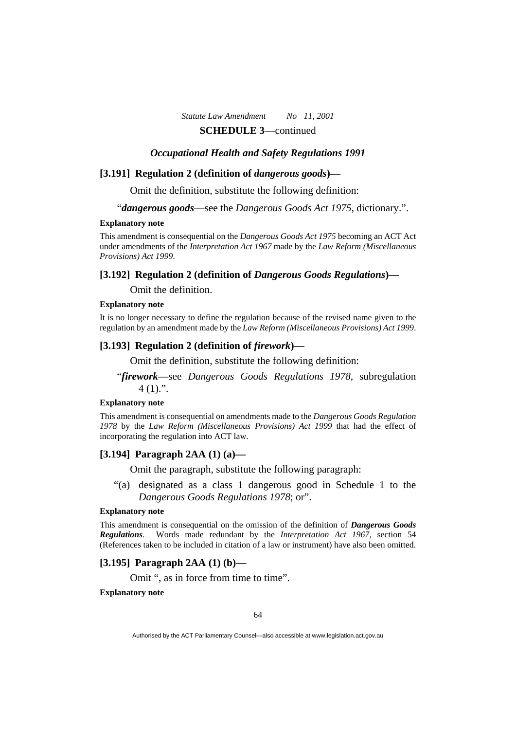#### *Occupational Health and Safety Regulations 1991*

### **[3.191] Regulation 2 (definition of** *dangerous goods***)—**

Omit the definition, substitute the following definition:

"*dangerous goods*—see the *Dangerous Goods Act 1975*, dictionary.".

#### **Explanatory note**

This amendment is consequential on the *Dangerous Goods Act 1975* becoming an ACT Act under amendments of the *Interpretation Act 1967* made by the *Law Reform (Miscellaneous Provisions) Act 1999*.

#### **[3.192] Regulation 2 (definition of** *Dangerous Goods Regulations***)—**

Omit the definition.

#### **Explanatory note**

It is no longer necessary to define the regulation because of the revised name given to the regulation by an amendment made by the *Law Reform (Miscellaneous Provisions) Act 1999*.

#### **[3.193] Regulation 2 (definition of** *firework***)—**

Omit the definition, substitute the following definition:

"*firework*—see *Dangerous Goods Regulations 1978*, subregulation  $4(1)$ .".

#### **Explanatory note**

This amendment is consequential on amendments made to the *Dangerous Goods Regulation 1978* by the *Law Reform (Miscellaneous Provisions) Act 1999* that had the effect of incorporating the regulation into ACT law.

### **[3.194] Paragraph 2AA (1) (a)—**

Omit the paragraph, substitute the following paragraph:

 "(a) designated as a class 1 dangerous good in Schedule 1 to the *Dangerous Goods Regulations 1978*; or".

#### **Explanatory note**

This amendment is consequential on the omission of the definition of *Dangerous Goods Regulations*. Words made redundant by the *Interpretation Act 1967*, section 54 (References taken to be included in citation of a law or instrument) have also been omitted.

### **[3.195] Paragraph 2AA (1) (b)—**

Omit ", as in force from time to time".

**Explanatory note**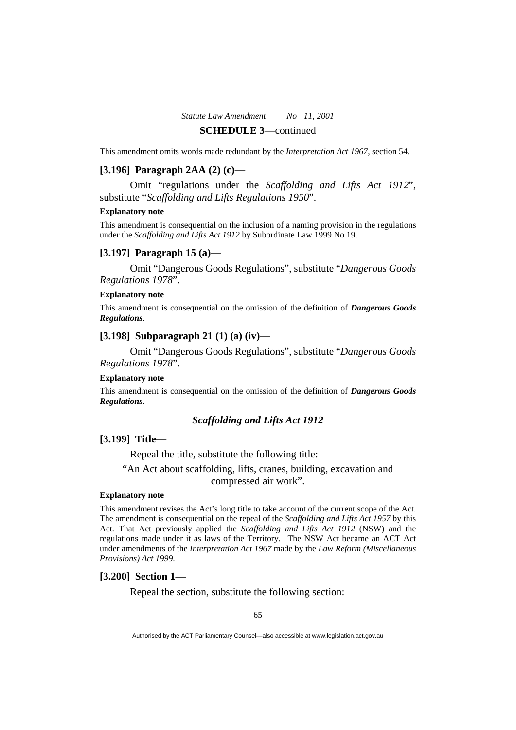#### This amendment omits words made redundant by the *Interpretation Act 1967*, section 54.

### **[3.196] Paragraph 2AA (2) (c)—**

 Omit "regulations under the *Scaffolding and Lifts Act 1912*", substitute "*Scaffolding and Lifts Regulations 1950*".

#### **Explanatory note**

This amendment is consequential on the inclusion of a naming provision in the regulations under the *Scaffolding and Lifts Act 1912* by Subordinate Law 1999 No 19.

### **[3.197] Paragraph 15 (a)—**

 Omit "Dangerous Goods Regulations", substitute "*Dangerous Goods Regulations 1978*".

#### **Explanatory note**

This amendment is consequential on the omission of the definition of *Dangerous Goods Regulations*.

### **[3.198] Subparagraph 21 (1) (a) (iv)—**

 Omit "Dangerous Goods Regulations", substitute "*Dangerous Goods Regulations 1978*".

### **Explanatory note**

This amendment is consequential on the omission of the definition of *Dangerous Goods Regulations*.

### *Scaffolding and Lifts Act 1912*

### **[3.199] Title—**

Repeal the title, substitute the following title:

"An Act about scaffolding, lifts, cranes, building, excavation and compressed air work".

### **Explanatory note**

This amendment revises the Act's long title to take account of the current scope of the Act. The amendment is consequential on the repeal of the *Scaffolding and Lifts Act 1957* by this Act. That Act previously applied the *Scaffolding and Lifts Act 1912* (NSW) and the regulations made under it as laws of the Territory. The NSW Act became an ACT Act under amendments of the *Interpretation Act 1967* made by the *Law Reform (Miscellaneous Provisions) Act 1999*.

#### **[3.200] Section 1—**

Repeal the section, substitute the following section: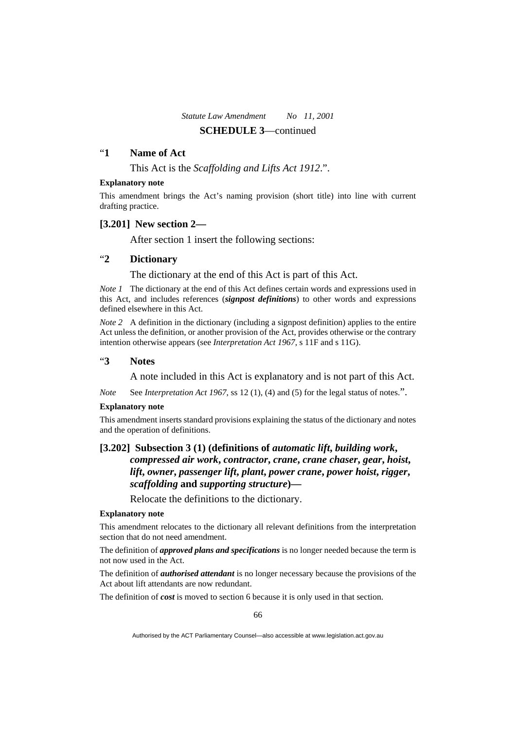### "**1 Name of Act**

This Act is the *Scaffolding and Lifts Act 1912*.".

#### **Explanatory note**

This amendment brings the Act's naming provision (short title) into line with current drafting practice.

### **[3.201] New section 2—**

After section 1 insert the following sections:

# "**2 Dictionary**

The dictionary at the end of this Act is part of this Act.

*Note 1* The dictionary at the end of this Act defines certain words and expressions used in this Act, and includes references (*signpost definitions*) to other words and expressions defined elsewhere in this Act.

*Note 2* A definition in the dictionary (including a signpost definition) applies to the entire Act unless the definition, or another provision of the Act, provides otherwise or the contrary intention otherwise appears (see *Interpretation Act 1967*, s 11F and s 11G).

### "**3 Notes**

A note included in this Act is explanatory and is not part of this Act.

*Note* See *Interpretation Act 1967*, ss 12 (1), (4) and (5) for the legal status of notes.".

#### **Explanatory note**

This amendment inserts standard provisions explaining the status of the dictionary and notes and the operation of definitions.

# **[3.202] Subsection 3 (1) (definitions of** *automatic lift***,** *building work***,**  *compressed air work***,** *contractor***,** *crane***,** *crane chaser***,** *gear***,** *hoist***,**  *lift***,** *owner***,** *passenger lift***,** *plant***,** *power crane***,** *power hoist***,** *rigger***,**  *scaffolding* **and** *supporting structure***)—**

Relocate the definitions to the dictionary.

#### **Explanatory note**

This amendment relocates to the dictionary all relevant definitions from the interpretation section that do not need amendment.

The definition of *approved plans and specifications* is no longer needed because the term is not now used in the Act.

The definition of *authorised attendant* is no longer necessary because the provisions of the Act about lift attendants are now redundant.

The definition of *cost* is moved to section 6 because it is only used in that section.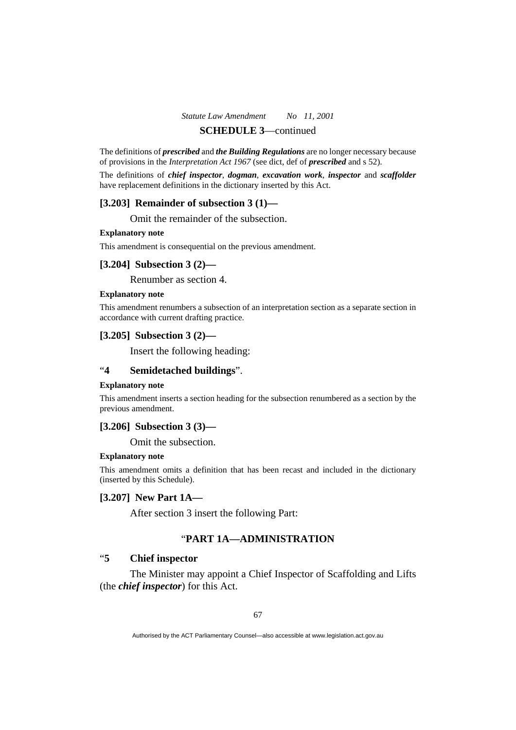# *Statute Law Amendment No 11, 2001*

# **SCHEDULE 3**—continued

The definitions of *prescribed* and *the Building Regulations* are no longer necessary because of provisions in the *Interpretation Act 1967* (see dict, def of *prescribed* and s 52).

The definitions of *chief inspector*, *dogman*, *excavation work*, *inspector* and *scaffolder* have replacement definitions in the dictionary inserted by this Act.

### **[3.203] Remainder of subsection 3 (1)—**

Omit the remainder of the subsection.

#### **Explanatory note**

This amendment is consequential on the previous amendment.

### **[3.204] Subsection 3 (2)—**

Renumber as section 4.

#### **Explanatory note**

This amendment renumbers a subsection of an interpretation section as a separate section in accordance with current drafting practice.

# **[3.205] Subsection 3 (2)—**

Insert the following heading:

# "**4 Semidetached buildings**".

#### **Explanatory note**

This amendment inserts a section heading for the subsection renumbered as a section by the previous amendment.

### **[3.206] Subsection 3 (3)—**

Omit the subsection.

#### **Explanatory note**

This amendment omits a definition that has been recast and included in the dictionary (inserted by this Schedule).

#### **[3.207] New Part 1A—**

After section 3 insert the following Part:

# "**PART 1A—ADMINISTRATION**

# "**5 Chief inspector**

 The Minister may appoint a Chief Inspector of Scaffolding and Lifts (the *chief inspector*) for this Act.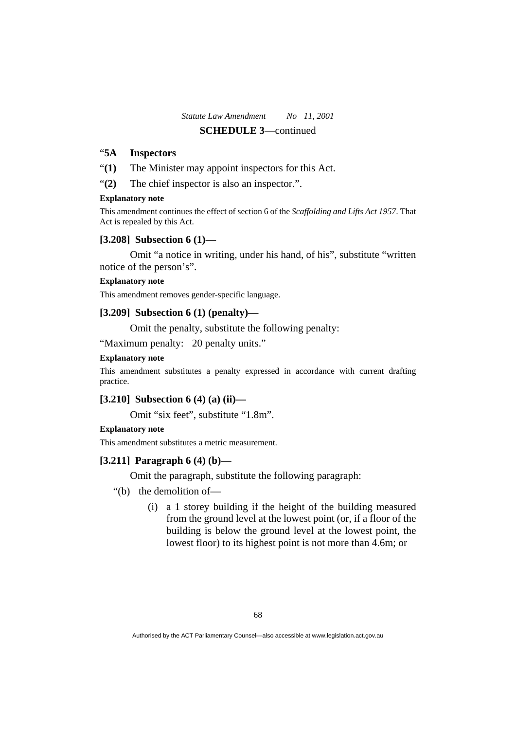# "**5A Inspectors**

"**(1)** The Minister may appoint inspectors for this Act.

"(2) The chief inspector is also an inspector.".

### **Explanatory note**

This amendment continues the effect of section 6 of the *Scaffolding and Lifts Act 1957*. That Act is repealed by this Act.

### **[3.208] Subsection 6 (1)—**

 Omit "a notice in writing, under his hand, of his", substitute "written notice of the person's".

#### **Explanatory note**

This amendment removes gender-specific language.

# **[3.209] Subsection 6 (1) (penalty)—**

Omit the penalty, substitute the following penalty:

"Maximum penalty: 20 penalty units."

### **Explanatory note**

This amendment substitutes a penalty expressed in accordance with current drafting practice.

### **[3.210] Subsection 6 (4) (a) (ii)—**

Omit "six feet", substitute "1.8m".

### **Explanatory note**

This amendment substitutes a metric measurement.

### **[3.211] Paragraph 6 (4) (b)—**

Omit the paragraph, substitute the following paragraph:

- "(b) the demolition of—
	- (i) a 1 storey building if the height of the building measured from the ground level at the lowest point (or, if a floor of the building is below the ground level at the lowest point, the lowest floor) to its highest point is not more than 4.6m; or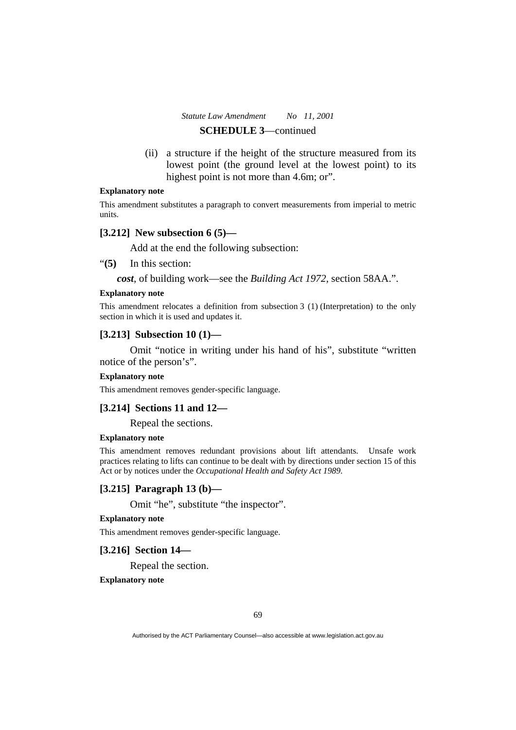(ii) a structure if the height of the structure measured from its lowest point (the ground level at the lowest point) to its highest point is not more than 4.6m; or".

#### **Explanatory note**

This amendment substitutes a paragraph to convert measurements from imperial to metric units.

# **[3.212] New subsection 6 (5)—**

Add at the end the following subsection:

"**(5)** In this section:

*cost*, of building work—see the *Building Act 1972*, section 58AA.".

### **Explanatory note**

This amendment relocates a definition from subsection 3 (1) (Interpretation) to the only section in which it is used and updates it.

#### **[3.213] Subsection 10 (1)—**

 Omit "notice in writing under his hand of his", substitute "written notice of the person's".

#### **Explanatory note**

This amendment removes gender-specific language.

### **[3.214] Sections 11 and 12—**

Repeal the sections.

#### **Explanatory note**

This amendment removes redundant provisions about lift attendants. Unsafe work practices relating to lifts can continue to be dealt with by directions under section 15 of this Act or by notices under the *Occupational Health and Safety Act 1989*.

### **[3.215] Paragraph 13 (b)—**

Omit "he", substitute "the inspector".

### **Explanatory note**

This amendment removes gender-specific language.

# **[3.216] Section 14—**

Repeal the section.

**Explanatory note**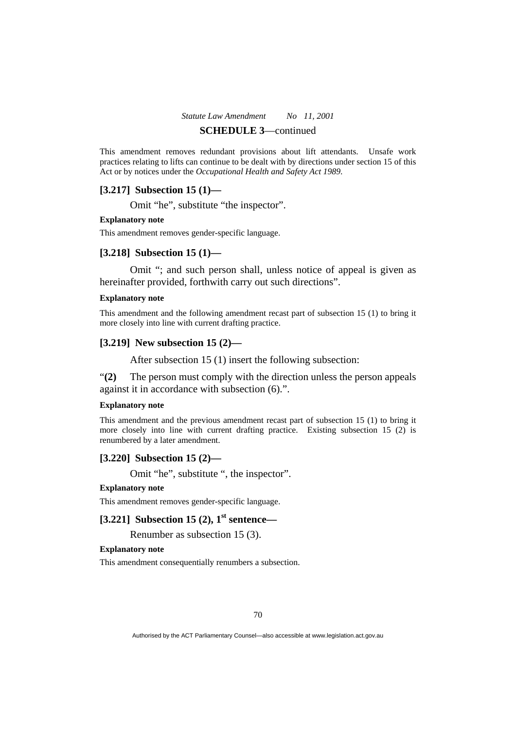# *Statute Law Amendment No 11, 2001*

# **SCHEDULE 3**—continued

This amendment removes redundant provisions about lift attendants. Unsafe work practices relating to lifts can continue to be dealt with by directions under section 15 of this Act or by notices under the *Occupational Health and Safety Act 1989*.

# **[3.217] Subsection 15 (1)—**

Omit "he", substitute "the inspector".

### **Explanatory note**

This amendment removes gender-specific language.

# **[3.218] Subsection 15 (1)—**

 Omit "; and such person shall, unless notice of appeal is given as hereinafter provided, forthwith carry out such directions".

#### **Explanatory note**

This amendment and the following amendment recast part of subsection 15 (1) to bring it more closely into line with current drafting practice.

### **[3.219] New subsection 15 (2)—**

After subsection 15 (1) insert the following subsection:

"**(2)** The person must comply with the direction unless the person appeals against it in accordance with subsection (6).".

#### **Explanatory note**

This amendment and the previous amendment recast part of subsection 15 (1) to bring it more closely into line with current drafting practice. Existing subsection 15 (2) is renumbered by a later amendment.

# **[3.220] Subsection 15 (2)—**

Omit "he", substitute ", the inspector".

#### **Explanatory note**

This amendment removes gender-specific language.

# **[3.221] Subsection 15 (2), 1st sentence—**

Renumber as subsection 15 (3).

#### **Explanatory note**

This amendment consequentially renumbers a subsection.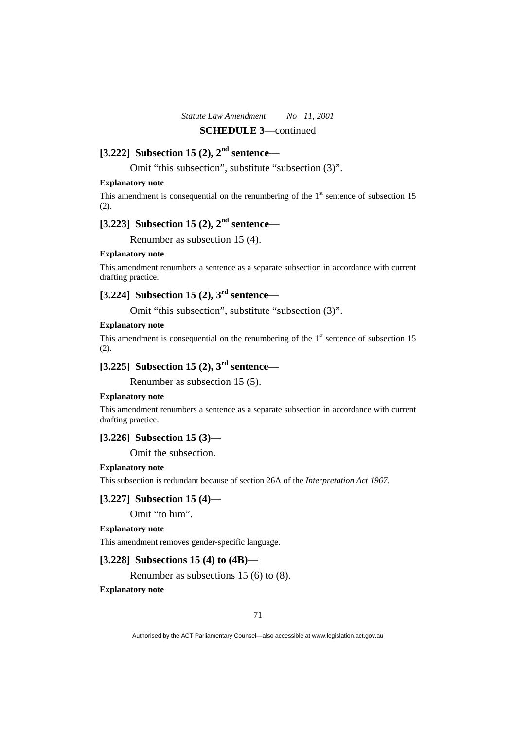# **[3.222] Subsection 15 (2), 2nd sentence—**

Omit "this subsection", substitute "subsection (3)".

### **Explanatory note**

This amendment is consequential on the renumbering of the  $1<sup>st</sup>$  sentence of subsection 15 (2).

# **[3.223] Subsection 15 (2), 2nd sentence—**

Renumber as subsection 15 (4).

#### **Explanatory note**

This amendment renumbers a sentence as a separate subsection in accordance with current drafting practice.

# **[3.224] Subsection 15 (2), 3rd sentence—**

Omit "this subsection", substitute "subsection (3)".

#### **Explanatory note**

This amendment is consequential on the renumbering of the  $1<sup>st</sup>$  sentence of subsection 15 (2).

# **[3.225] Subsection 15 (2), 3rd sentence—**

Renumber as subsection 15 (5).

### **Explanatory note**

This amendment renumbers a sentence as a separate subsection in accordance with current drafting practice.

### **[3.226] Subsection 15 (3)—**

Omit the subsection.

#### **Explanatory note**

This subsection is redundant because of section 26A of the *Interpretation Act 1967*.

### **[3.227] Subsection 15 (4)—**

Omit "to him".

#### **Explanatory note**

This amendment removes gender-specific language.

### **[3.228] Subsections 15 (4) to (4B)—**

Renumber as subsections 15 (6) to (8).

### **Explanatory note**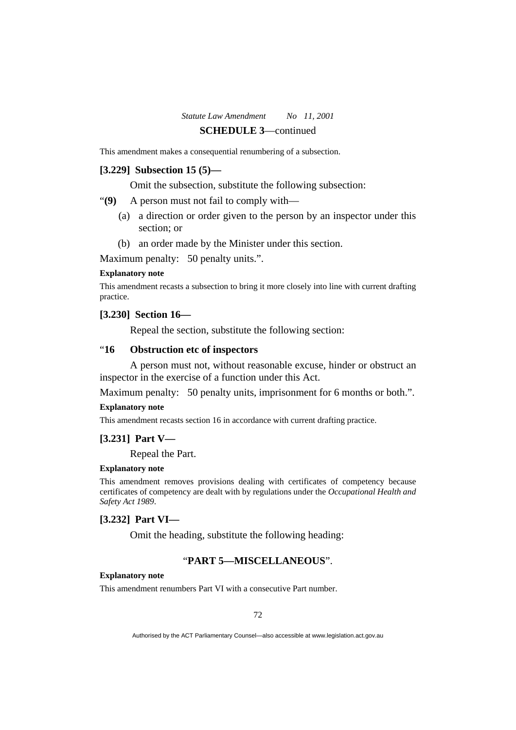This amendment makes a consequential renumbering of a subsection.

### **[3.229] Subsection 15 (5)—**

Omit the subsection, substitute the following subsection:

"**(9)** A person must not fail to comply with—

- (a) a direction or order given to the person by an inspector under this section; or
- (b) an order made by the Minister under this section.

Maximum penalty: 50 penalty units.".

#### **Explanatory note**

This amendment recasts a subsection to bring it more closely into line with current drafting practice.

### **[3.230] Section 16—**

Repeal the section, substitute the following section:

# "**16 Obstruction etc of inspectors**

 A person must not, without reasonable excuse, hinder or obstruct an inspector in the exercise of a function under this Act.

Maximum penalty: 50 penalty units, imprisonment for 6 months or both.".

### **Explanatory note**

This amendment recasts section 16 in accordance with current drafting practice.

#### **[3.231] Part V—**

Repeal the Part.

#### **Explanatory note**

This amendment removes provisions dealing with certificates of competency because certificates of competency are dealt with by regulations under the *Occupational Health and Safety Act 1989*.

### **[3.232] Part VI—**

Omit the heading, substitute the following heading:

# "**PART 5—MISCELLANEOUS**".

### **Explanatory note**

This amendment renumbers Part VI with a consecutive Part number.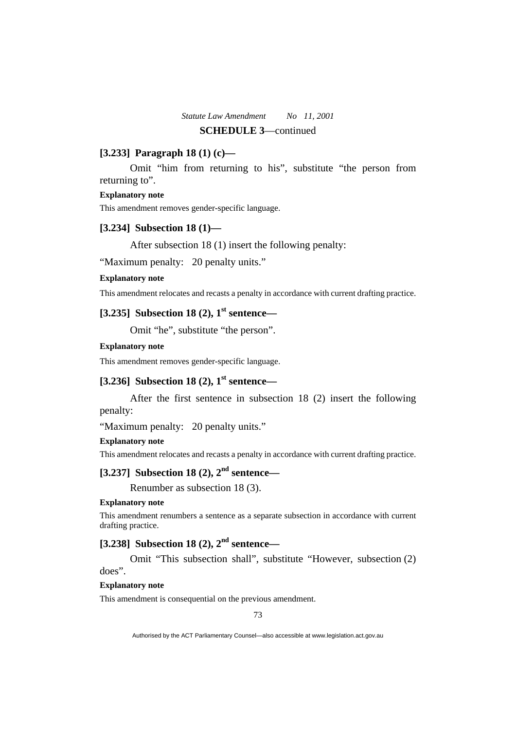### **[3.233] Paragraph 18 (1) (c)—**

 Omit "him from returning to his", substitute "the person from returning to".

### **Explanatory note**

This amendment removes gender-specific language.

### **[3.234] Subsection 18 (1)—**

After subsection 18 (1) insert the following penalty:

"Maximum penalty: 20 penalty units."

#### **Explanatory note**

This amendment relocates and recasts a penalty in accordance with current drafting practice.

# **[3.235] Subsection 18 (2), 1st sentence—**

Omit "he", substitute "the person".

#### **Explanatory note**

This amendment removes gender-specific language.

# **[3.236] Subsection 18 (2), 1st sentence—**

 After the first sentence in subsection 18 (2) insert the following penalty:

"Maximum penalty: 20 penalty units."

### **Explanatory note**

This amendment relocates and recasts a penalty in accordance with current drafting practice.

# **[3.237] Subsection 18 (2), 2nd sentence—**

Renumber as subsection 18 (3).

#### **Explanatory note**

This amendment renumbers a sentence as a separate subsection in accordance with current drafting practice.

# **[3.238] Subsection 18 (2), 2nd sentence—**

 Omit "This subsection shall", substitute "However, subsection (2) does".

### **Explanatory note**

This amendment is consequential on the previous amendment.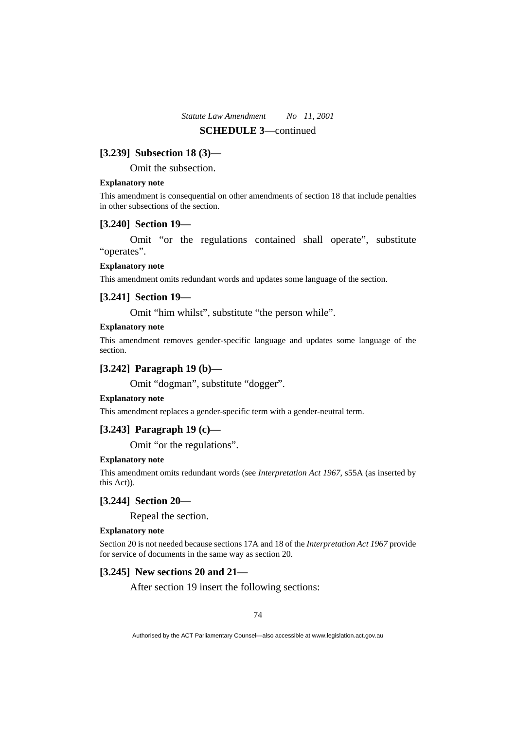### **[3.239] Subsection 18 (3)—**

Omit the subsection.

#### **Explanatory note**

This amendment is consequential on other amendments of section 18 that include penalties in other subsections of the section.

#### **[3.240] Section 19—**

 Omit "or the regulations contained shall operate", substitute "operates".

#### **Explanatory note**

This amendment omits redundant words and updates some language of the section.

#### **[3.241] Section 19—**

Omit "him whilst", substitute "the person while".

#### **Explanatory note**

This amendment removes gender-specific language and updates some language of the section.

# **[3.242] Paragraph 19 (b)—**

Omit "dogman", substitute "dogger".

#### **Explanatory note**

This amendment replaces a gender-specific term with a gender-neutral term.

### **[3.243] Paragraph 19 (c)—**

Omit "or the regulations".

#### **Explanatory note**

This amendment omits redundant words (see *Interpretation Act 1967*, s55A (as inserted by this Act)).

### **[3.244] Section 20—**

Repeal the section.

### **Explanatory note**

Section 20 is not needed because sections 17A and 18 of the *Interpretation Act 1967* provide for service of documents in the same way as section 20.

#### **[3.245] New sections 20 and 21—**

After section 19 insert the following sections: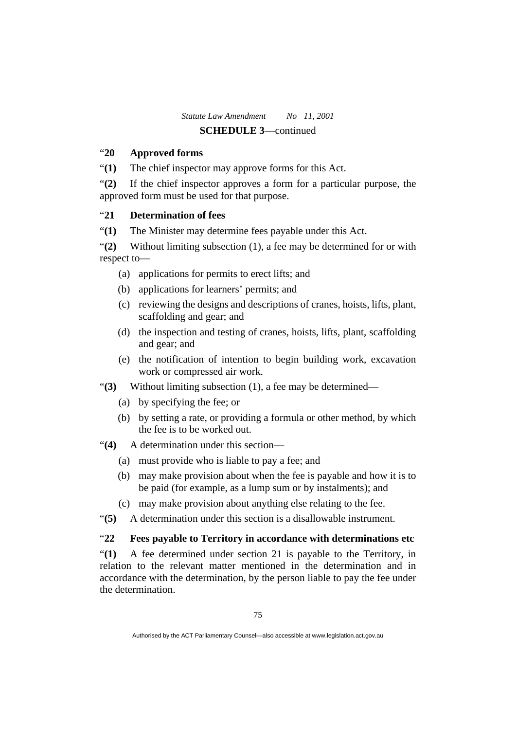# "**20 Approved forms**

"**(1)** The chief inspector may approve forms for this Act.

"**(2)** If the chief inspector approves a form for a particular purpose, the approved form must be used for that purpose.

### "**21 Determination of fees**

"**(1)** The Minister may determine fees payable under this Act.

"**(2)** Without limiting subsection (1), a fee may be determined for or with respect to—

- (a) applications for permits to erect lifts; and
- (b) applications for learners' permits; and
- (c) reviewing the designs and descriptions of cranes, hoists, lifts, plant, scaffolding and gear; and
- (d) the inspection and testing of cranes, hoists, lifts, plant, scaffolding and gear; and
- (e) the notification of intention to begin building work, excavation work or compressed air work.
- "**(3)** Without limiting subsection (1), a fee may be determined—
	- (a) by specifying the fee; or
	- (b) by setting a rate, or providing a formula or other method, by which the fee is to be worked out.

"**(4)** A determination under this section—

- (a) must provide who is liable to pay a fee; and
- (b) may make provision about when the fee is payable and how it is to be paid (for example, as a lump sum or by instalments); and
- (c) may make provision about anything else relating to the fee.
- "**(5)** A determination under this section is a disallowable instrument.

# "**22 Fees payable to Territory in accordance with determinations etc**

"**(1)** A fee determined under section 21 is payable to the Territory, in relation to the relevant matter mentioned in the determination and in accordance with the determination, by the person liable to pay the fee under the determination.

Authorised by the ACT Parliamentary Counsel—also accessible at www.legislation.act.gov.au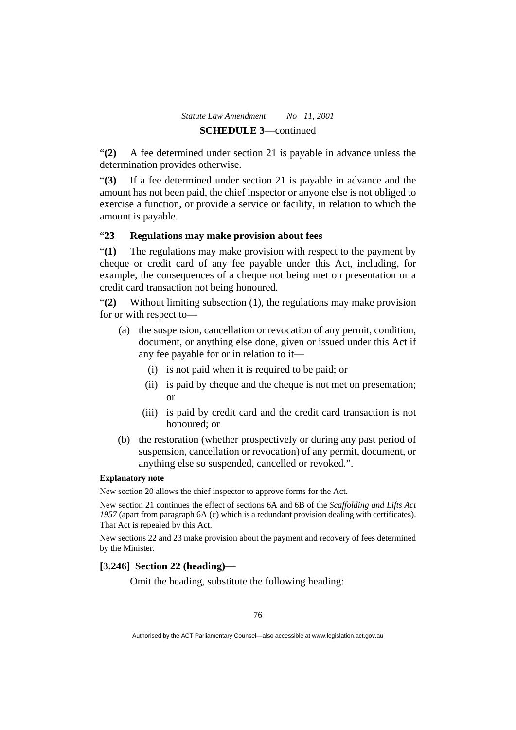"**(2)** A fee determined under section 21 is payable in advance unless the determination provides otherwise.

"**(3)** If a fee determined under section 21 is payable in advance and the amount has not been paid, the chief inspector or anyone else is not obliged to exercise a function, or provide a service or facility, in relation to which the amount is payable.

# "**23 Regulations may make provision about fees**

"**(1)** The regulations may make provision with respect to the payment by cheque or credit card of any fee payable under this Act, including, for example, the consequences of a cheque not being met on presentation or a credit card transaction not being honoured.

"**(2)** Without limiting subsection (1), the regulations may make provision for or with respect to—

- (a) the suspension, cancellation or revocation of any permit, condition, document, or anything else done, given or issued under this Act if any fee payable for or in relation to it—
	- (i) is not paid when it is required to be paid; or
	- (ii) is paid by cheque and the cheque is not met on presentation; or
	- (iii) is paid by credit card and the credit card transaction is not honoured; or
- (b) the restoration (whether prospectively or during any past period of suspension, cancellation or revocation) of any permit, document, or anything else so suspended, cancelled or revoked.".

### **Explanatory note**

New section 20 allows the chief inspector to approve forms for the Act.

New section 21 continues the effect of sections 6A and 6B of the *Scaffolding and Lifts Act 1957* (apart from paragraph 6A (c) which is a redundant provision dealing with certificates). That Act is repealed by this Act.

New sections 22 and 23 make provision about the payment and recovery of fees determined by the Minister.

## **[3.246] Section 22 (heading)—**

Omit the heading, substitute the following heading: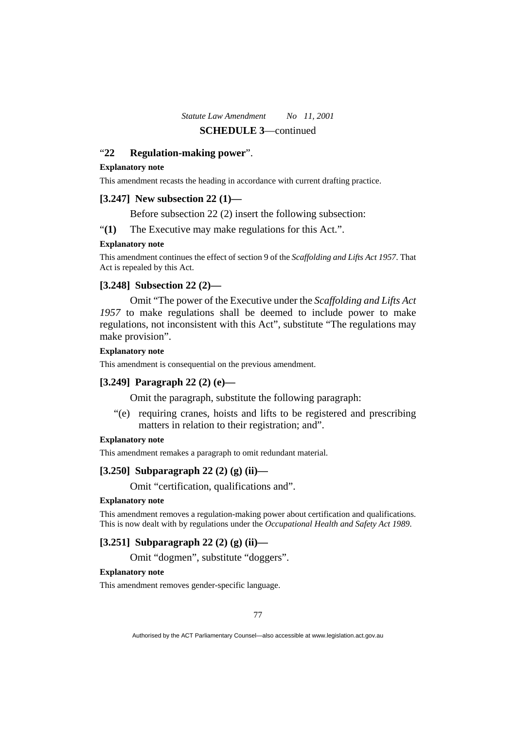### "**22 Regulation-making power**".

#### **Explanatory note**

This amendment recasts the heading in accordance with current drafting practice.

### **[3.247] New subsection 22 (1)—**

Before subsection 22 (2) insert the following subsection:

"**(1)** The Executive may make regulations for this Act.".

#### **Explanatory note**

This amendment continues the effect of section 9 of the *Scaffolding and Lifts Act 1957*. That Act is repealed by this Act.

### **[3.248] Subsection 22 (2)—**

 Omit "The power of the Executive under the *Scaffolding and Lifts Act 1957* to make regulations shall be deemed to include power to make regulations, not inconsistent with this Act", substitute "The regulations may make provision".

#### **Explanatory note**

This amendment is consequential on the previous amendment.

### **[3.249] Paragraph 22 (2) (e)—**

Omit the paragraph, substitute the following paragraph:

 "(e) requiring cranes, hoists and lifts to be registered and prescribing matters in relation to their registration; and".

### **Explanatory note**

This amendment remakes a paragraph to omit redundant material.

### **[3.250] Subparagraph 22 (2) (g) (ii)—**

Omit "certification, qualifications and".

#### **Explanatory note**

This amendment removes a regulation-making power about certification and qualifications. This is now dealt with by regulations under the *Occupational Health and Safety Act 1989*.

### **[3.251] Subparagraph 22 (2) (g) (ii)—**

Omit "dogmen", substitute "doggers".

#### **Explanatory note**

This amendment removes gender-specific language.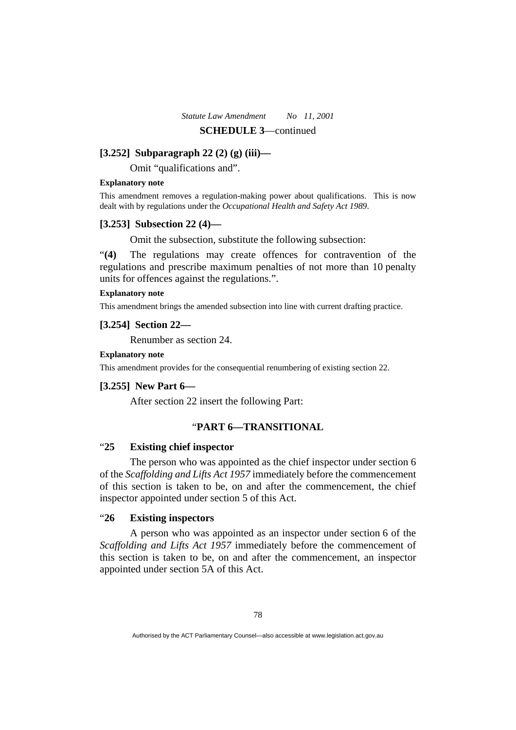# **[3.252] Subparagraph 22 (2) (g) (iii)—**

Omit "qualifications and".

### **Explanatory note**

This amendment removes a regulation-making power about qualifications. This is now dealt with by regulations under the *Occupational Health and Safety Act 1989*.

### **[3.253] Subsection 22 (4)—**

Omit the subsection, substitute the following subsection:

"**(4)** The regulations may create offences for contravention of the regulations and prescribe maximum penalties of not more than 10 penalty units for offences against the regulations.".

### **Explanatory note**

This amendment brings the amended subsection into line with current drafting practice.

### **[3.254] Section 22—**

Renumber as section 24.

### **Explanatory note**

This amendment provides for the consequential renumbering of existing section 22.

### **[3.255] New Part 6—**

After section 22 insert the following Part:

# "**PART 6—TRANSITIONAL**

### "**25 Existing chief inspector**

 The person who was appointed as the chief inspector under section 6 of the *Scaffolding and Lifts Act 1957* immediately before the commencement of this section is taken to be, on and after the commencement, the chief inspector appointed under section 5 of this Act.

# "**26 Existing inspectors**

 A person who was appointed as an inspector under section 6 of the *Scaffolding and Lifts Act 1957* immediately before the commencement of this section is taken to be, on and after the commencement, an inspector appointed under section 5A of this Act.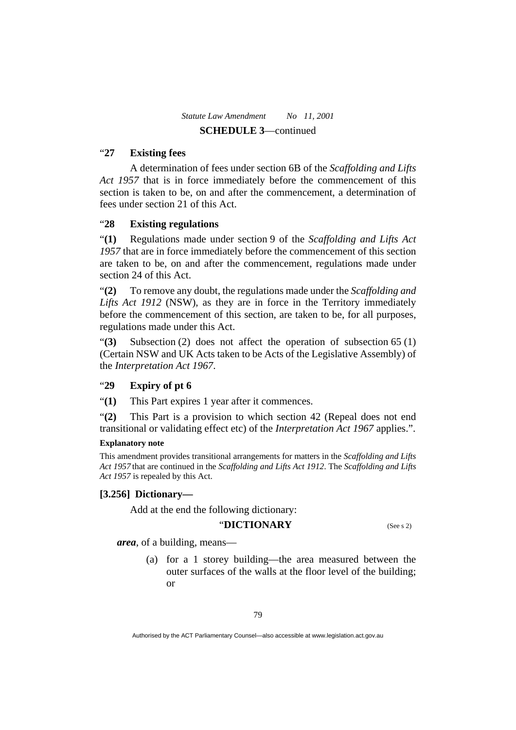### "**27 Existing fees**

 A determination of fees under section 6B of the *Scaffolding and Lifts Act 1957* that is in force immediately before the commencement of this section is taken to be, on and after the commencement, a determination of fees under section 21 of this Act.

# "**28 Existing regulations**

"**(1)** Regulations made under section 9 of the *Scaffolding and Lifts Act 1957* that are in force immediately before the commencement of this section are taken to be, on and after the commencement, regulations made under section 24 of this Act.

"**(2)** To remove any doubt, the regulations made under the *Scaffolding and Lifts Act 1912* (NSW), as they are in force in the Territory immediately before the commencement of this section, are taken to be, for all purposes, regulations made under this Act.

"**(3)** Subsection (2) does not affect the operation of subsection 65 (1) (Certain NSW and UK Acts taken to be Acts of the Legislative Assembly) of the *Interpretation Act 1967*.

# "**29 Expiry of pt 6**

"**(1)** This Part expires 1 year after it commences.

"**(2)** This Part is a provision to which section 42 (Repeal does not end transitional or validating effect etc) of the *Interpretation Act 1967* applies.".

### **Explanatory note**

This amendment provides transitional arrangements for matters in the *Scaffolding and Lifts Act 1957* that are continued in the *Scaffolding and Lifts Act 1912*. The *Scaffolding and Lifts Act 1957* is repealed by this Act.

### **[3.256] Dictionary—**

Add at the end the following dictionary:

### "**DICTIONARY** (See s 2)

*area*, of a building, means—

 (a) for a 1 storey building—the area measured between the outer surfaces of the walls at the floor level of the building; or

Authorised by the ACT Parliamentary Counsel—also accessible at www.legislation.act.gov.au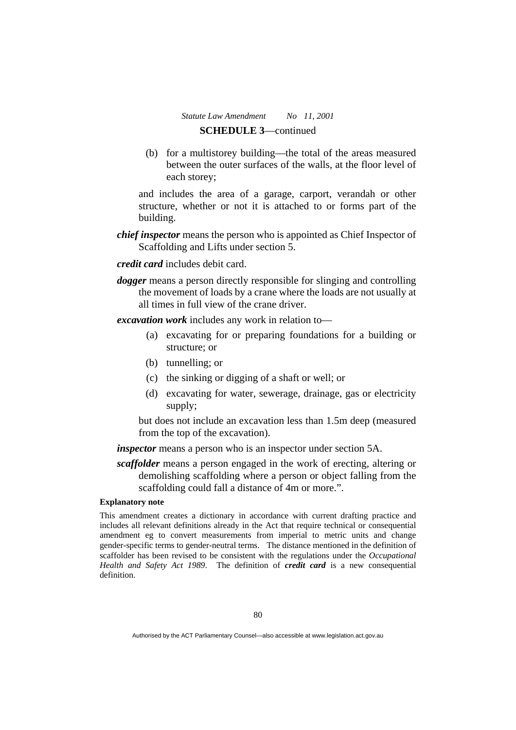(b) for a multistorey building—the total of the areas measured between the outer surfaces of the walls, at the floor level of each storey;

and includes the area of a garage, carport, verandah or other structure, whether or not it is attached to or forms part of the building.

*chief inspector* means the person who is appointed as Chief Inspector of Scaffolding and Lifts under section 5.

*credit card* includes debit card.

*dogger* means a person directly responsible for slinging and controlling the movement of loads by a crane where the loads are not usually at all times in full view of the crane driver.

*excavation work* includes any work in relation to—

- (a) excavating for or preparing foundations for a building or structure; or
- (b) tunnelling; or
- (c) the sinking or digging of a shaft or well; or
- (d) excavating for water, sewerage, drainage, gas or electricity supply;

but does not include an excavation less than 1.5m deep (measured from the top of the excavation).

*inspector* means a person who is an inspector under section 5A.

*scaffolder* means a person engaged in the work of erecting, altering or demolishing scaffolding where a person or object falling from the scaffolding could fall a distance of 4m or more.".

#### **Explanatory note**

This amendment creates a dictionary in accordance with current drafting practice and includes all relevant definitions already in the Act that require technical or consequential amendment eg to convert measurements from imperial to metric units and change gender-specific terms to gender-neutral terms. The distance mentioned in the definition of scaffolder has been revised to be consistent with the regulations under the *Occupational Health and Safety Act 1989*. The definition of *credit card* is a new consequential definition.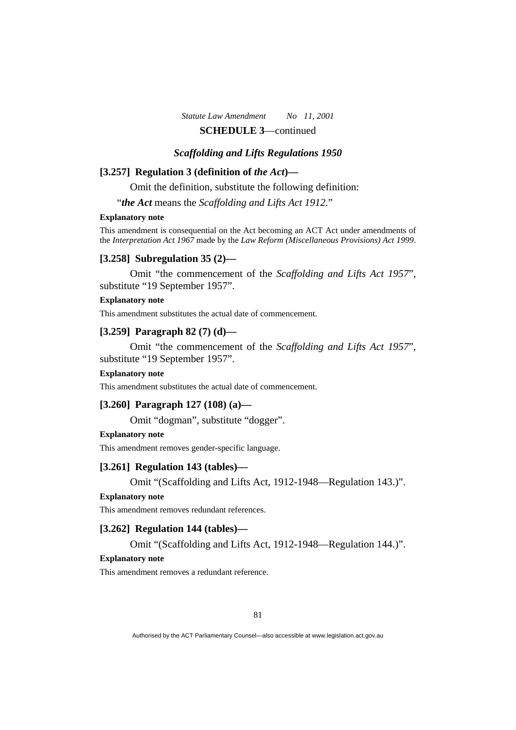# *Scaffolding and Lifts Regulations 1950*

# **[3.257] Regulation 3 (definition of** *the Act***)—**

Omit the definition, substitute the following definition:

"*the Act* means the *Scaffolding and Lifts Act 1912*."

#### **Explanatory note**

This amendment is consequential on the Act becoming an ACT Act under amendments of the *Interpretation Act 1967* made by the *Law Reform (Miscellaneous Provisions) Act 1999*.

### **[3.258] Subregulation 35 (2)—**

 Omit "the commencement of the *Scaffolding and Lifts Act 1957*", substitute "19 September 1957".

### **Explanatory note**

This amendment substitutes the actual date of commencement.

### **[3.259] Paragraph 82 (7) (d)—**

 Omit "the commencement of the *Scaffolding and Lifts Act 1957*", substitute "19 September 1957".

#### **Explanatory note**

This amendment substitutes the actual date of commencement.

### **[3.260] Paragraph 127 (108) (a)—**

Omit "dogman", substitute "dogger".

#### **Explanatory note**

This amendment removes gender-specific language.

#### **[3.261] Regulation 143 (tables)—**

Omit "(Scaffolding and Lifts Act, 1912-1948—Regulation 143.)".

#### **Explanatory note**

This amendment removes redundant references.

### **[3.262] Regulation 144 (tables)—**

Omit "(Scaffolding and Lifts Act, 1912-1948—Regulation 144.)".

#### **Explanatory note**

This amendment removes a redundant reference.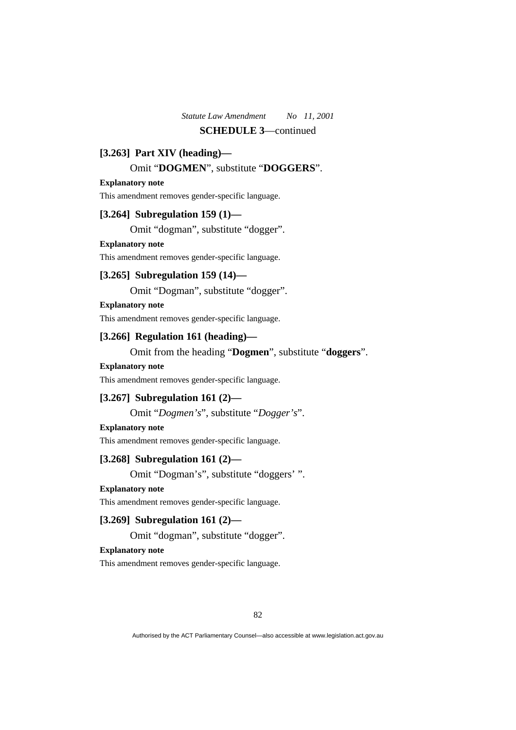# **[3.263] Part XIV (heading)—**

# Omit "**DOGMEN**", substitute "**DOGGERS**".

#### **Explanatory note**

This amendment removes gender-specific language.

# **[3.264] Subregulation 159 (1)—**

Omit "dogman", substitute "dogger".

#### **Explanatory note**

This amendment removes gender-specific language.

### **[3.265] Subregulation 159 (14)—**

Omit "Dogman", substitute "dogger".

### **Explanatory note**

This amendment removes gender-specific language.

### **[3.266] Regulation 161 (heading)—**

Omit from the heading "**Dogmen**", substitute "**doggers**".

#### **Explanatory note**

This amendment removes gender-specific language.

### **[3.267] Subregulation 161 (2)—**

Omit "*Dogmen's*", substitute "*Dogger's*".

#### **Explanatory note**

This amendment removes gender-specific language.

### **[3.268] Subregulation 161 (2)—**

Omit "Dogman's", substitute "doggers' ".

### **Explanatory note**

This amendment removes gender-specific language.

### **[3.269] Subregulation 161 (2)—**

Omit "dogman", substitute "dogger".

# **Explanatory note**

This amendment removes gender-specific language.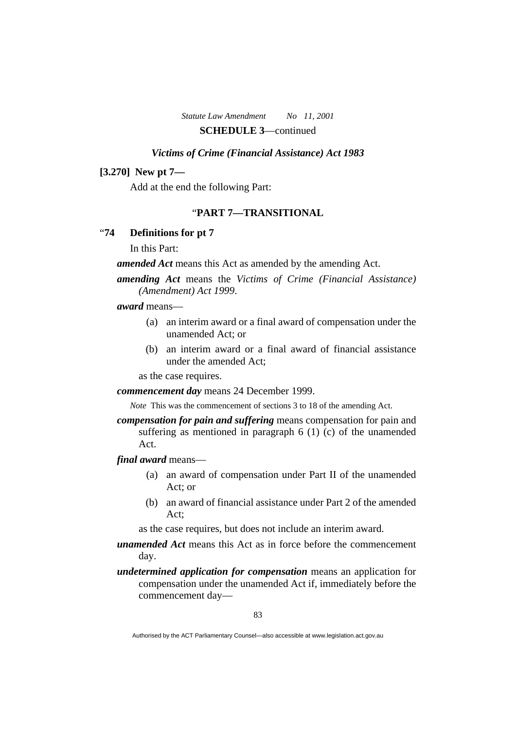### *Victims of Crime (Financial Assistance) Act 1983*

### **[3.270] New pt 7—**

Add at the end the following Part:

# "**PART 7—TRANSITIONAL**

### "**74 Definitions for pt 7**

In this Part:

*amended Act* means this Act as amended by the amending Act.

*amending Act* means the *Victims of Crime (Financial Assistance) (Amendment) Act 1999*.

#### *award* means—

- (a) an interim award or a final award of compensation under the unamended Act; or
- (b) an interim award or a final award of financial assistance under the amended Act;

as the case requires.

*commencement day* means 24 December 1999.

*Note* This was the commencement of sections 3 to 18 of the amending Act.

*compensation for pain and suffering* means compensation for pain and suffering as mentioned in paragraph 6 (1) (c) of the unamended Act.

*final award* means—

- (a) an award of compensation under Part II of the unamended Act; or
- (b) an award of financial assistance under Part 2 of the amended Act;

as the case requires, but does not include an interim award.

*unamended Act* means this Act as in force before the commencement day.

*undetermined application for compensation* means an application for compensation under the unamended Act if, immediately before the commencement day—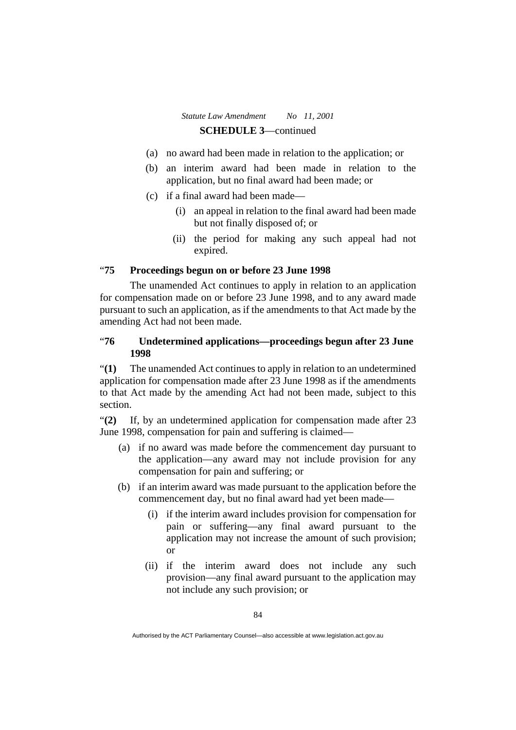- (a) no award had been made in relation to the application; or
- (b) an interim award had been made in relation to the application, but no final award had been made; or
- (c) if a final award had been made—
	- (i) an appeal in relation to the final award had been made but not finally disposed of; or
	- (ii) the period for making any such appeal had not expired.

### "**75 Proceedings begun on or before 23 June 1998**

 The unamended Act continues to apply in relation to an application for compensation made on or before 23 June 1998, and to any award made pursuant to such an application, as if the amendments to that Act made by the amending Act had not been made.

# "**76 Undetermined applications—proceedings begun after 23 June 1998**

"**(1)** The unamended Act continues to apply in relation to an undetermined application for compensation made after 23 June 1998 as if the amendments to that Act made by the amending Act had not been made, subject to this section.

"**(2)** If, by an undetermined application for compensation made after 23 June 1998, compensation for pain and suffering is claimed—

- (a) if no award was made before the commencement day pursuant to the application—any award may not include provision for any compensation for pain and suffering; or
- (b) if an interim award was made pursuant to the application before the commencement day, but no final award had yet been made—
	- (i) if the interim award includes provision for compensation for pain or suffering—any final award pursuant to the application may not increase the amount of such provision; or
	- (ii) if the interim award does not include any such provision—any final award pursuant to the application may not include any such provision; or

Authorised by the ACT Parliamentary Counsel—also accessible at www.legislation.act.gov.au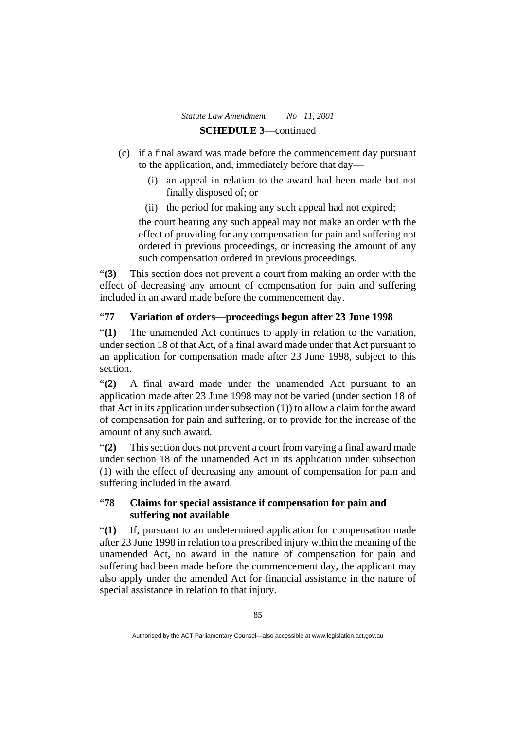- (c) if a final award was made before the commencement day pursuant to the application, and, immediately before that day—
	- (i) an appeal in relation to the award had been made but not finally disposed of; or
	- (ii) the period for making any such appeal had not expired;

the court hearing any such appeal may not make an order with the effect of providing for any compensation for pain and suffering not ordered in previous proceedings, or increasing the amount of any such compensation ordered in previous proceedings.

"**(3)** This section does not prevent a court from making an order with the effect of decreasing any amount of compensation for pain and suffering included in an award made before the commencement day.

# "**77 Variation of orders—proceedings begun after 23 June 1998**

"**(1)** The unamended Act continues to apply in relation to the variation, under section 18 of that Act, of a final award made under that Act pursuant to an application for compensation made after 23 June 1998, subject to this section.

"**(2)** A final award made under the unamended Act pursuant to an application made after 23 June 1998 may not be varied (under section 18 of that Act in its application under subsection (1)) to allow a claim for the award of compensation for pain and suffering, or to provide for the increase of the amount of any such award.

"**(2)** This section does not prevent a court from varying a final award made under section 18 of the unamended Act in its application under subsection (1) with the effect of decreasing any amount of compensation for pain and suffering included in the award.

# "**78 Claims for special assistance if compensation for pain and suffering not available**

"**(1)** If, pursuant to an undetermined application for compensation made after 23 June 1998 in relation to a prescribed injury within the meaning of the unamended Act, no award in the nature of compensation for pain and suffering had been made before the commencement day, the applicant may also apply under the amended Act for financial assistance in the nature of special assistance in relation to that injury.

Authorised by the ACT Parliamentary Counsel—also accessible at www.legislation.act.gov.au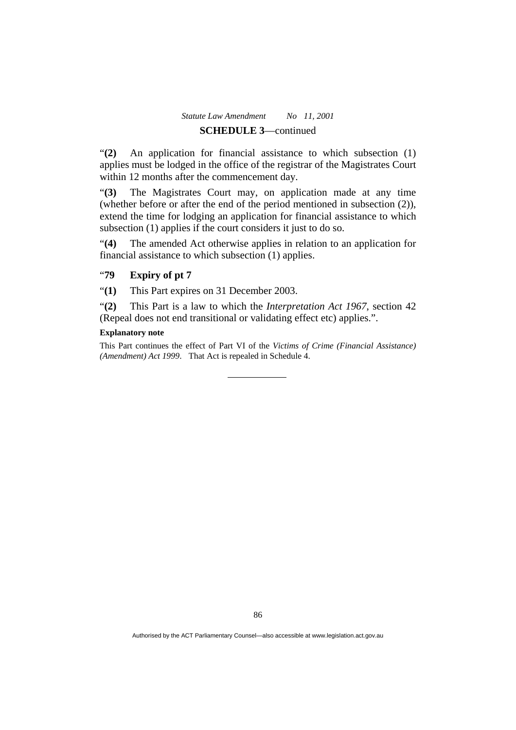"**(2)** An application for financial assistance to which subsection (1) applies must be lodged in the office of the registrar of the Magistrates Court within 12 months after the commencement day.

"**(3)** The Magistrates Court may, on application made at any time (whether before or after the end of the period mentioned in subsection (2)), extend the time for lodging an application for financial assistance to which subsection (1) applies if the court considers it just to do so.

"**(4)** The amended Act otherwise applies in relation to an application for financial assistance to which subsection (1) applies.

# "**79 Expiry of pt 7**

"**(1)** This Part expires on 31 December 2003.

"**(2)** This Part is a law to which the *Interpretation Act 1967*, section 42 (Repeal does not end transitional or validating effect etc) applies.".

#### **Explanatory note**

This Part continues the effect of Part VI of the *Victims of Crime (Financial Assistance) (Amendment) Act 1999*. That Act is repealed in Schedule 4.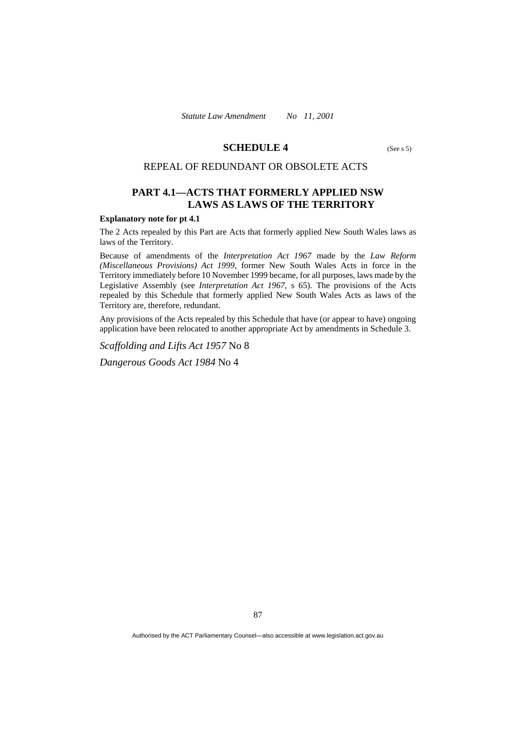### **SCHEDULE 4** (See s 5)

### REPEAL OF REDUNDANT OR OBSOLETE ACTS

# **PART 4.1—ACTS THAT FORMERLY APPLIED NSW LAWS AS LAWS OF THE TERRITORY**

#### **Explanatory note for pt 4.1**

The 2 Acts repealed by this Part are Acts that formerly applied New South Wales laws as laws of the Territory.

Because of amendments of the *Interpretation Act 1967* made by the *Law Reform (Miscellaneous Provisions) Act 1999*, former New South Wales Acts in force in the Territory immediately before 10 November 1999 became, for all purposes, laws made by the Legislative Assembly (see *Interpretation Act 1967*, s 65). The provisions of the Acts repealed by this Schedule that formerly applied New South Wales Acts as laws of the Territory are, therefore, redundant.

Any provisions of the Acts repealed by this Schedule that have (or appear to have) ongoing application have been relocated to another appropriate Act by amendments in Schedule 3.

*Scaffolding and Lifts Act 1957* No 8

*Dangerous Goods Act 1984* No 4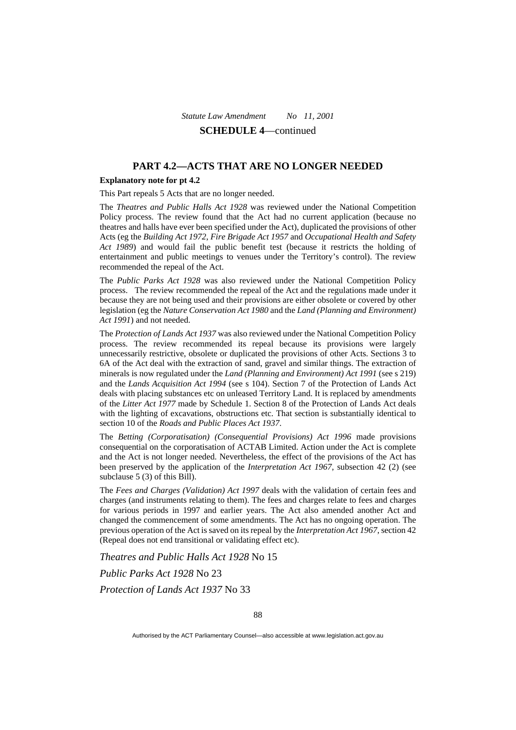# **PART 4.2—ACTS THAT ARE NO LONGER NEEDED**

### **Explanatory note for pt 4.2**

This Part repeals 5 Acts that are no longer needed.

The *Theatres and Public Halls Act 1928* was reviewed under the National Competition Policy process. The review found that the Act had no current application (because no theatres and halls have ever been specified under the Act), duplicated the provisions of other Acts (eg the *Building Act 1972*, *Fire Brigade Act 1957* and *Occupational Health and Safety Act 1989*) and would fail the public benefit test (because it restricts the holding of entertainment and public meetings to venues under the Territory's control). The review recommended the repeal of the Act.

The *Public Parks Act 1928* was also reviewed under the National Competition Policy process. The review recommended the repeal of the Act and the regulations made under it because they are not being used and their provisions are either obsolete or covered by other legislation (eg the *Nature Conservation Act 1980* and the *Land (Planning and Environment) Act 1991*) and not needed.

The *Protection of Lands Act 1937* was also reviewed under the National Competition Policy process. The review recommended its repeal because its provisions were largely unnecessarily restrictive, obsolete or duplicated the provisions of other Acts. Sections 3 to 6A of the Act deal with the extraction of sand, gravel and similar things. The extraction of minerals is now regulated under the *Land (Planning and Environment) Act 1991* (see s 219) and the *Lands Acquisition Act 1994* (see s 104). Section 7 of the Protection of Lands Act deals with placing substances etc on unleased Territory Land. It is replaced by amendments of the *Litter Act 1977* made by Schedule 1. Section 8 of the Protection of Lands Act deals with the lighting of excavations, obstructions etc. That section is substantially identical to section 10 of the *Roads and Public Places Act 1937*.

The *Betting (Corporatisation) (Consequential Provisions) Act 1996* made provisions consequential on the corporatisation of ACTAB Limited. Action under the Act is complete and the Act is not longer needed. Nevertheless, the effect of the provisions of the Act has been preserved by the application of the *Interpretation Act 1967*, subsection 42 (2) (see subclause 5 (3) of this Bill).

The *Fees and Charges (Validation) Act 1997* deals with the validation of certain fees and charges (and instruments relating to them). The fees and charges relate to fees and charges for various periods in 1997 and earlier years. The Act also amended another Act and changed the commencement of some amendments. The Act has no ongoing operation. The previous operation of the Act is saved on its repeal by the *Interpretation Act 1967*, section 42 (Repeal does not end transitional or validating effect etc).

*Theatres and Public Halls Act 1928* No 15 *Public Parks Act 1928* No 23 *Protection of Lands Act 1937* No 33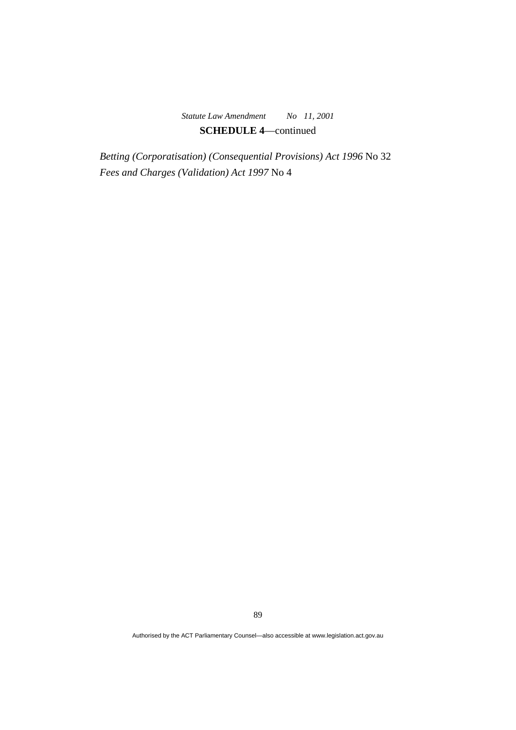*Betting (Corporatisation) (Consequential Provisions) Act 1996* No 32 *Fees and Charges (Validation) Act 1997* No 4

89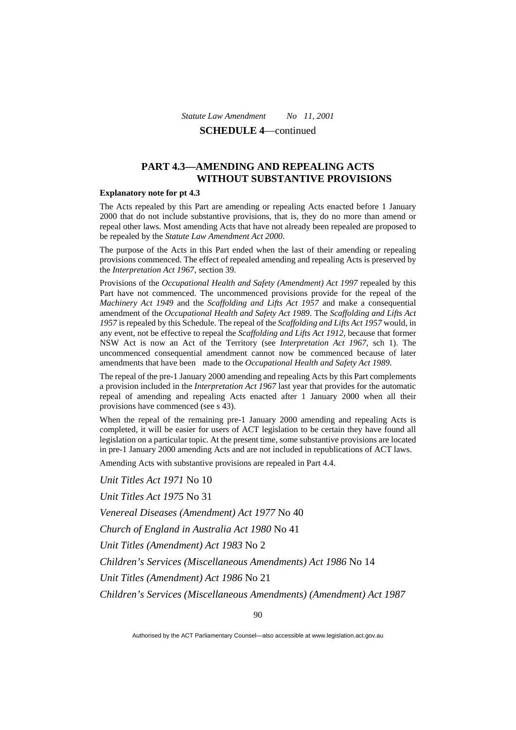# **PART 4.3—AMENDING AND REPEALING ACTS WITHOUT SUBSTANTIVE PROVISIONS**

#### **Explanatory note for pt 4.3**

The Acts repealed by this Part are amending or repealing Acts enacted before 1 January 2000 that do not include substantive provisions, that is, they do no more than amend or repeal other laws. Most amending Acts that have not already been repealed are proposed to be repealed by the *Statute Law Amendment Act 2000*.

The purpose of the Acts in this Part ended when the last of their amending or repealing provisions commenced. The effect of repealed amending and repealing Acts is preserved by the *Interpretation Act 1967*, section 39.

Provisions of the *Occupational Health and Safety (Amendment) Act 1997* repealed by this Part have not commenced. The uncommenced provisions provide for the repeal of the *Machinery Act 1949* and the *Scaffolding and Lifts Act 1957* and make a consequential amendment of the *Occupational Health and Safety Act 1989*. The *Scaffolding and Lifts Act 1957* is repealed by this Schedule. The repeal of the *Scaffolding and Lifts Act 1957* would, in any event, not be effective to repeal the *Scaffolding and Lifts Act 1912*, because that former NSW Act is now an Act of the Territory (see *Interpretation Act 1967*, sch 1). The uncommenced consequential amendment cannot now be commenced because of later amendments that have been made to the *Occupational Health and Safety Act 1989*.

The repeal of the pre-1 January 2000 amending and repealing Acts by this Part complements a provision included in the *Interpretation Act 1967* last year that provides for the automatic repeal of amending and repealing Acts enacted after 1 January 2000 when all their provisions have commenced (see s 43).

When the repeal of the remaining pre-1 January 2000 amending and repealing Acts is completed, it will be easier for users of ACT legislation to be certain they have found all legislation on a particular topic. At the present time, some substantive provisions are located in pre-1 January 2000 amending Acts and are not included in republications of ACT laws.

Amending Acts with substantive provisions are repealed in Part 4.4.

*Unit Titles Act 1971* No 10 *Unit Titles Act 1975* No 31 *Venereal Diseases (Amendment) Act 1977* No 40 *Church of England in Australia Act 1980* No 41 *Unit Titles (Amendment) Act 1983* No 2 *Children's Services (Miscellaneous Amendments) Act 1986* No 14 *Unit Titles (Amendment) Act 1986* No 21 *Children's Services (Miscellaneous Amendments) (Amendment) Act 1987* 

Authorised by the ACT Parliamentary Counsel—also accessible at www.legislation.act.gov.au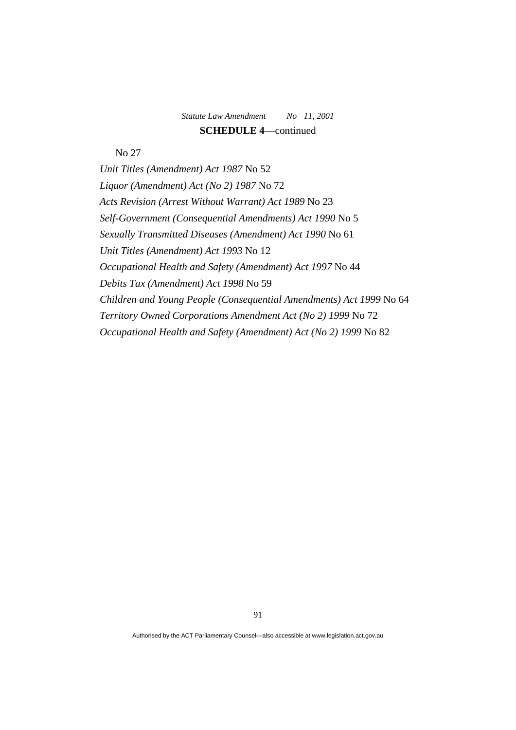No 27

*Unit Titles (Amendment) Act 1987* No 52 *Liquor (Amendment) Act (No 2) 1987* No 72 *Acts Revision (Arrest Without Warrant) Act 1989* No 23 *Self-Government (Consequential Amendments) Act 1990* No 5 *Sexually Transmitted Diseases (Amendment) Act 1990* No 61 *Unit Titles (Amendment) Act 1993* No 12 *Occupational Health and Safety (Amendment) Act 1997* No 44 *Debits Tax (Amendment) Act 1998* No 59 *Children and Young People (Consequential Amendments) Act 1999* No 64 *Territory Owned Corporations Amendment Act (No 2) 1999* No 72 *Occupational Health and Safety (Amendment) Act (No 2) 1999* No 82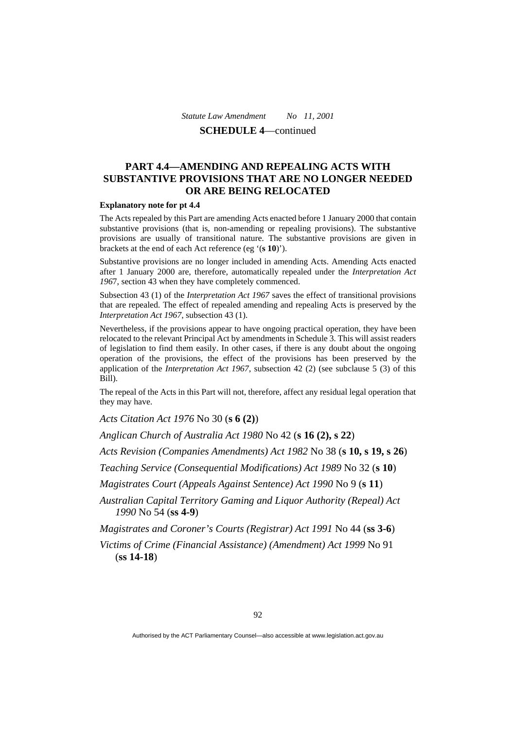# **PART 4.4—AMENDING AND REPEALING ACTS WITH SUBSTANTIVE PROVISIONS THAT ARE NO LONGER NEEDED OR ARE BEING RELOCATED**

#### **Explanatory note for pt 4.4**

The Acts repealed by this Part are amending Acts enacted before 1 January 2000 that contain substantive provisions (that is, non-amending or repealing provisions). The substantive provisions are usually of transitional nature. The substantive provisions are given in brackets at the end of each Act reference (eg '(**s 10**)').

Substantive provisions are no longer included in amending Acts. Amending Acts enacted after 1 January 2000 are, therefore, automatically repealed under the *Interpretation Act 196*7, section 43 when they have completely commenced.

Subsection 43 (1) of the *Interpretation Act 1967* saves the effect of transitional provisions that are repealed. The effect of repealed amending and repealing Acts is preserved by the *Interpretation Act 1967*, subsection 43 (1).

Nevertheless, if the provisions appear to have ongoing practical operation, they have been relocated to the relevant Principal Act by amendments in Schedule 3. This will assist readers of legislation to find them easily. In other cases, if there is any doubt about the ongoing operation of the provisions, the effect of the provisions has been preserved by the application of the *Interpretation Act 1967*, subsection 42 (2) (see subclause 5 (3) of this Bill).

The repeal of the Acts in this Part will not, therefore, affect any residual legal operation that they may have.

*Acts Citation Act 1976* No 30 (**s 6 (2)**)

*Anglican Church of Australia Act 1980* No 42 (**s 16 (2), s 22**)

*Acts Revision (Companies Amendments) Act 1982* No 38 (**s 10, s 19, s 26**)

*Teaching Service (Consequential Modifications) Act 1989* No 32 (**s 10**)

*Magistrates Court (Appeals Against Sentence) Act 1990* No 9 (**s 11**)

*Australian Capital Territory Gaming and Liquor Authority (Repeal) Act 1990* No 54 (**ss 4-9**)

*Magistrates and Coroner's Courts (Registrar) Act 1991* No 44 (**ss 3-6**)

*Victims of Crime (Financial Assistance) (Amendment) Act 1999* No 91 (**ss 14-18**)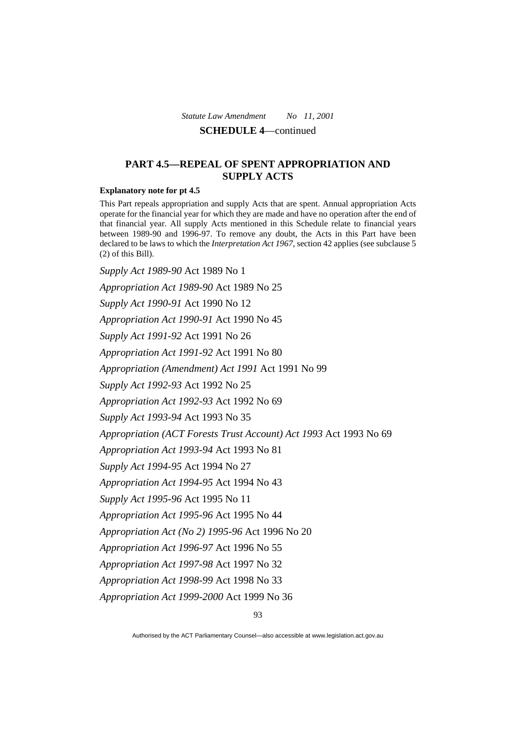# **PART 4.5—REPEAL OF SPENT APPROPRIATION AND SUPPLY ACTS**

#### **Explanatory note for pt 4.5**

This Part repeals appropriation and supply Acts that are spent. Annual appropriation Acts operate for the financial year for which they are made and have no operation after the end of that financial year. All supply Acts mentioned in this Schedule relate to financial years between 1989-90 and 1996-97. To remove any doubt, the Acts in this Part have been declared to be laws to which the *Interpretation Act 1967*, section 42 applies (see subclause 5 (2) of this Bill).

*Supply Act 1989-90* Act 1989 No 1 *Appropriation Act 1989-90* Act 1989 No 25 *Supply Act 1990-91* Act 1990 No 12 *Appropriation Act 1990-91* Act 1990 No 45 *Supply Act 1991-92* Act 1991 No 26 *Appropriation Act 1991-92* Act 1991 No 80 *Appropriation (Amendment) Act 1991* Act 1991 No 99 *Supply Act 1992-93* Act 1992 No 25 *Appropriation Act 1992-93* Act 1992 No 69 *Supply Act 1993-94* Act 1993 No 35 *Appropriation (ACT Forests Trust Account) Act 1993* Act 1993 No 69 *Appropriation Act 1993-94* Act 1993 No 81 *Supply Act 1994-95* Act 1994 No 27 *Appropriation Act 1994-95* Act 1994 No 43 *Supply Act 1995-96* Act 1995 No 11 *Appropriation Act 1995-96* Act 1995 No 44 *Appropriation Act (No 2) 1995-96* Act 1996 No 20 *Appropriation Act 1996-97* Act 1996 No 55 *Appropriation Act 1997-98* Act 1997 No 32 *Appropriation Act 1998-99* Act 1998 No 33 *Appropriation Act 1999-2000* Act 1999 No 36

Authorised by the ACT Parliamentary Counsel—also accessible at www.legislation.act.gov.au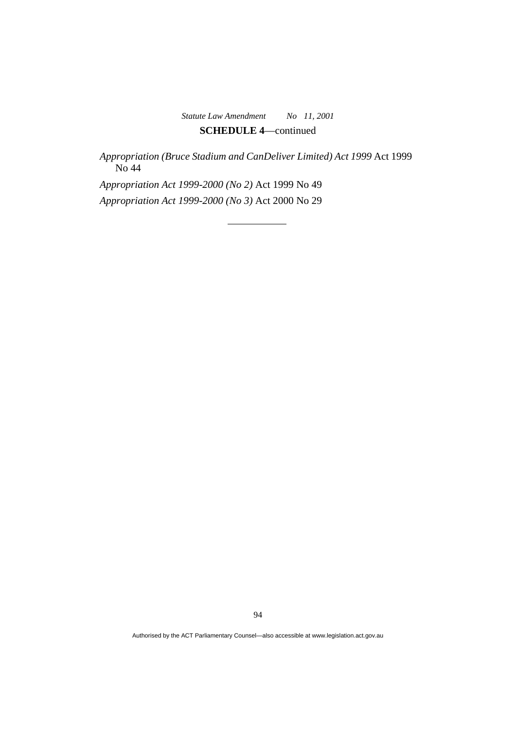*Appropriation (Bruce Stadium and CanDeliver Limited) Act 1999* Act 1999 No 44

*Appropriation Act 1999-2000 (No 2)* Act 1999 No 49 *Appropriation Act 1999-2000 (No 3)* Act 2000 No 29

94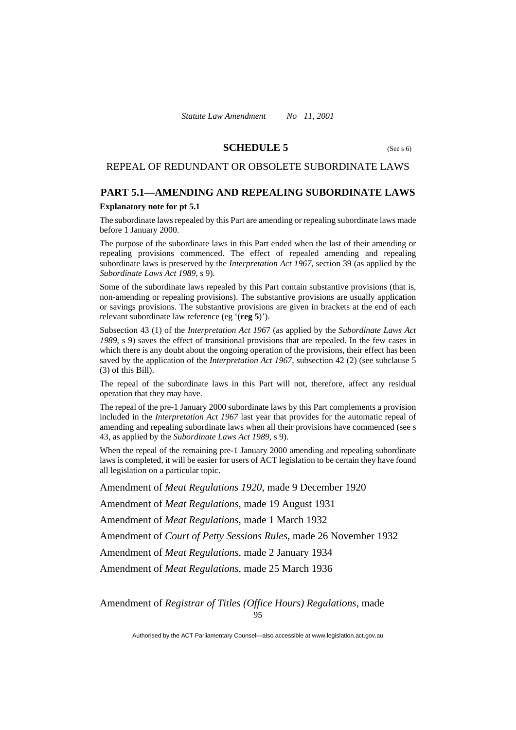### **SCHEDULE 5** (See s 6)

### REPEAL OF REDUNDANT OR OBSOLETE SUBORDINATE LAWS

### **PART 5.1—AMENDING AND REPEALING SUBORDINATE LAWS**

#### **Explanatory note for pt 5.1**

The subordinate laws repealed by this Part are amending or repealing subordinate laws made before 1 January 2000.

The purpose of the subordinate laws in this Part ended when the last of their amending or repealing provisions commenced. The effect of repealed amending and repealing subordinate laws is preserved by the *Interpretation Act 1967*, section 39 (as applied by the *Subordinate Laws Act 1989*, s 9).

Some of the subordinate laws repealed by this Part contain substantive provisions (that is, non-amending or repealing provisions). The substantive provisions are usually application or savings provisions. The substantive provisions are given in brackets at the end of each relevant subordinate law reference (eg '(**reg 5**)').

Subsection 43 (1) of the *Interpretation Act 196*7 (as applied by the *Subordinate Laws Act 1989*, s 9) saves the effect of transitional provisions that are repealed. In the few cases in which there is any doubt about the ongoing operation of the provisions, their effect has been saved by the application of the *Interpretation Act 1967*, subsection 42 (2) (see subclause 5 (3) of this Bill).

The repeal of the subordinate laws in this Part will not, therefore, affect any residual operation that they may have.

The repeal of the pre-1 January 2000 subordinate laws by this Part complements a provision included in the *Interpretation Act 1967* last year that provides for the automatic repeal of amending and repealing subordinate laws when all their provisions have commenced (see s 43, as applied by the *Subordinate Laws Act 1989*, s 9).

When the repeal of the remaining pre-1 January 2000 amending and repealing subordinate laws is completed, it will be easier for users of ACT legislation to be certain they have found all legislation on a particular topic.

Amendment of *Meat Regulations 1920*, made 9 December 1920

Amendment of *Meat Regulations*, made 19 August 1931

Amendment of *Meat Regulations*, made 1 March 1932

Amendment of *Court of Petty Sessions Rules*, made 26 November 1932

Amendment of *Meat Regulations*, made 2 January 1934

Amendment of *Meat Regulations*, made 25 March 1936

95 Amendment of *Registrar of Titles (Office Hours) Regulations*, made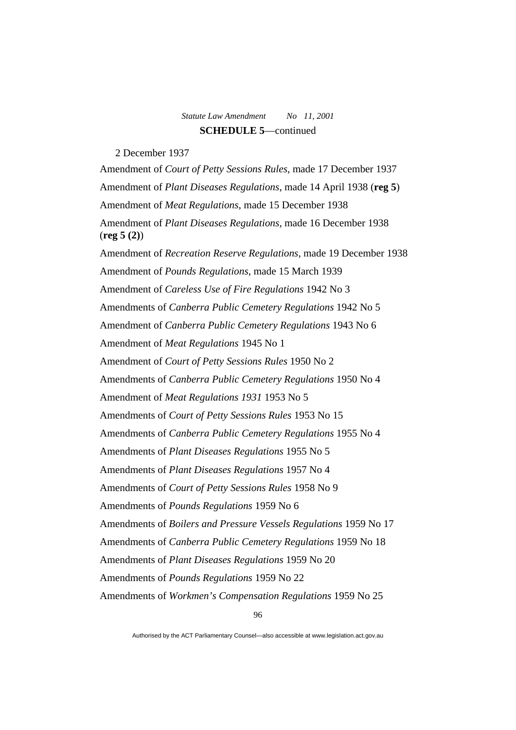2 December 1937

Amendment of *Court of Petty Sessions Rules*, made 17 December 1937 Amendment of *Plant Diseases Regulations*, made 14 April 1938 (**reg 5**) Amendment of *Meat Regulations*, made 15 December 1938 Amendment of *Plant Diseases Regulations*, made 16 December 1938 (**reg 5 (2)**) Amendment of *Recreation Reserve Regulations*, made 19 December 1938 Amendment of *Pounds Regulations*, made 15 March 1939 Amendment of *Careless Use of Fire Regulations* 1942 No 3 Amendments of *Canberra Public Cemetery Regulations* 1942 No 5 Amendment of *Canberra Public Cemetery Regulations* 1943 No 6 Amendment of *Meat Regulations* 1945 No 1 Amendment of *Court of Petty Sessions Rules* 1950 No 2 Amendments of *Canberra Public Cemetery Regulations* 1950 No 4 Amendment of *Meat Regulations 1931* 1953 No 5 Amendments of *Court of Petty Sessions Rules* 1953 No 15 Amendments of *Canberra Public Cemetery Regulations* 1955 No 4 Amendments of *Plant Diseases Regulations* 1955 No 5 Amendments of *Plant Diseases Regulations* 1957 No 4 Amendments of *Court of Petty Sessions Rules* 1958 No 9 Amendments of *Pounds Regulations* 1959 No 6 Amendments of *Boilers and Pressure Vessels Regulations* 1959 No 17 Amendments of *Canberra Public Cemetery Regulations* 1959 No 18 Amendments of *Plant Diseases Regulations* 1959 No 20 Amendments of *Pounds Regulations* 1959 No 22 Amendments of *Workmen's Compensation Regulations* 1959 No 25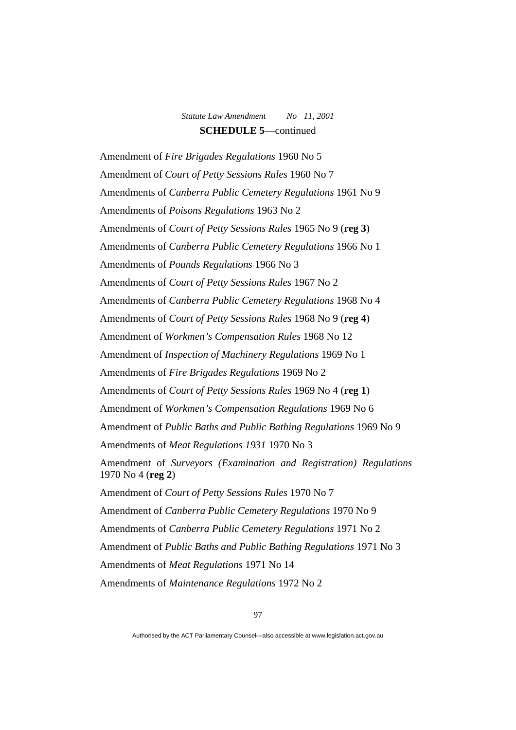Amendment of *Fire Brigades Regulations* 1960 No 5 Amendment of *Court of Petty Sessions Rules* 1960 No 7 Amendments of *Canberra Public Cemetery Regulations* 1961 No 9 Amendments of *Poisons Regulations* 1963 No 2 Amendments of *Court of Petty Sessions Rules* 1965 No 9 (**reg 3**) Amendments of *Canberra Public Cemetery Regulations* 1966 No 1 Amendments of *Pounds Regulations* 1966 No 3 Amendments of *Court of Petty Sessions Rules* 1967 No 2 Amendments of *Canberra Public Cemetery Regulations* 1968 No 4 Amendments of *Court of Petty Sessions Rules* 1968 No 9 (**reg 4**) Amendment of *Workmen's Compensation Rules* 1968 No 12 Amendment of *Inspection of Machinery Regulations* 1969 No 1 Amendments of *Fire Brigades Regulations* 1969 No 2 Amendments of *Court of Petty Sessions Rules* 1969 No 4 (**reg 1**) Amendment of *Workmen's Compensation Regulations* 1969 No 6 Amendment of *Public Baths and Public Bathing Regulations* 1969 No 9 Amendments of *Meat Regulations 1931* 1970 No 3 Amendment of *Surveyors (Examination and Registration) Regulations* 1970 No 4 (**reg 2**) Amendment of *Court of Petty Sessions Rules* 1970 No 7 Amendment of *Canberra Public Cemetery Regulations* 1970 No 9 Amendments of *Canberra Public Cemetery Regulations* 1971 No 2 Amendment of *Public Baths and Public Bathing Regulations* 1971 No 3 Amendments of *Meat Regulations* 1971 No 14 Amendments of *Maintenance Regulations* 1972 No 2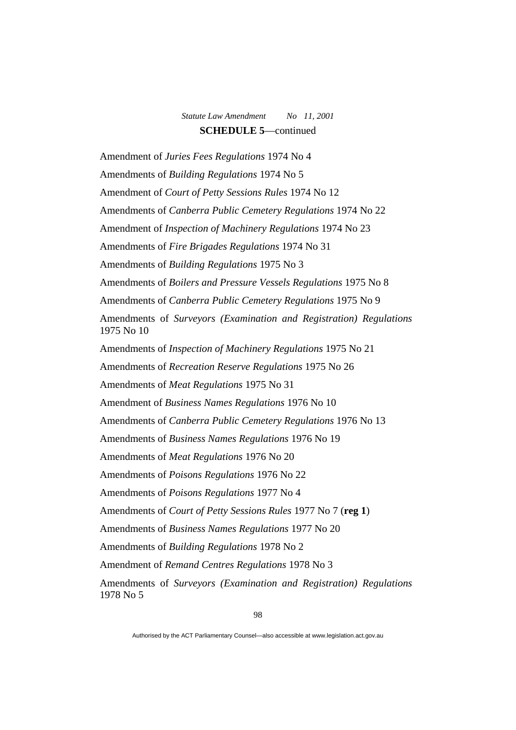Amendment of *Juries Fees Regulations* 1974 No 4 Amendments of *Building Regulations* 1974 No 5 Amendment of *Court of Petty Sessions Rules* 1974 No 12 Amendments of *Canberra Public Cemetery Regulations* 1974 No 22 Amendment of *Inspection of Machinery Regulations* 1974 No 23 Amendments of *Fire Brigades Regulations* 1974 No 31 Amendments of *Building Regulations* 1975 No 3 Amendments of *Boilers and Pressure Vessels Regulations* 1975 No 8 Amendments of *Canberra Public Cemetery Regulations* 1975 No 9 Amendments of *Surveyors (Examination and Registration) Regulations* 1975 No 10 Amendments of *Inspection of Machinery Regulations* 1975 No 21 Amendments of *Recreation Reserve Regulations* 1975 No 26 Amendments of *Meat Regulations* 1975 No 31 Amendment of *Business Names Regulations* 1976 No 10 Amendments of *Canberra Public Cemetery Regulations* 1976 No 13 Amendments of *Business Names Regulations* 1976 No 19 Amendments of *Meat Regulations* 1976 No 20 Amendments of *Poisons Regulations* 1976 No 22 Amendments of *Poisons Regulations* 1977 No 4 Amendments of *Court of Petty Sessions Rules* 1977 No 7 (**reg 1**) Amendments of *Business Names Regulations* 1977 No 20 Amendments of *Building Regulations* 1978 No 2 Amendment of *Remand Centres Regulations* 1978 No 3 Amendments of *Surveyors (Examination and Registration) Regulations* 1978 No 5

Authorised by the ACT Parliamentary Counsel—also accessible at www.legislation.act.gov.au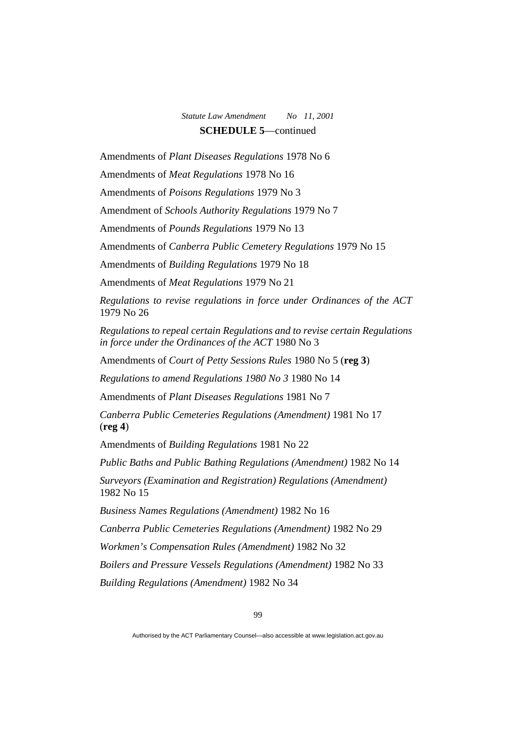Amendments of *Plant Diseases Regulations* 1978 No 6

Amendments of *Meat Regulations* 1978 No 16

Amendments of *Poisons Regulations* 1979 No 3

Amendment of *Schools Authority Regulations* 1979 No 7

Amendments of *Pounds Regulations* 1979 No 13

Amendments of *Canberra Public Cemetery Regulations* 1979 No 15

Amendments of *Building Regulations* 1979 No 18

Amendments of *Meat Regulations* 1979 No 21

*Regulations to revise regulations in force under Ordinances of the ACT* 1979 No 26

*Regulations to repeal certain Regulations and to revise certain Regulations in force under the Ordinances of the ACT* 1980 No 3

Amendments of *Court of Petty Sessions Rules* 1980 No 5 (**reg 3**)

*Regulations to amend Regulations 1980 No 3* 1980 No 14

Amendments of *Plant Diseases Regulations* 1981 No 7

*Canberra Public Cemeteries Regulations (Amendment)* 1981 No 17 (**reg 4**)

Amendments of *Building Regulations* 1981 No 22

*Public Baths and Public Bathing Regulations (Amendment)* 1982 No 14

*Surveyors (Examination and Registration) Regulations (Amendment)*  1982 No 15

*Business Names Regulations (Amendment)* 1982 No 16

*Canberra Public Cemeteries Regulations (Amendment)* 1982 No 29

*Workmen's Compensation Rules (Amendment)* 1982 No 32

*Boilers and Pressure Vessels Regulations (Amendment)* 1982 No 33

*Building Regulations (Amendment)* 1982 No 34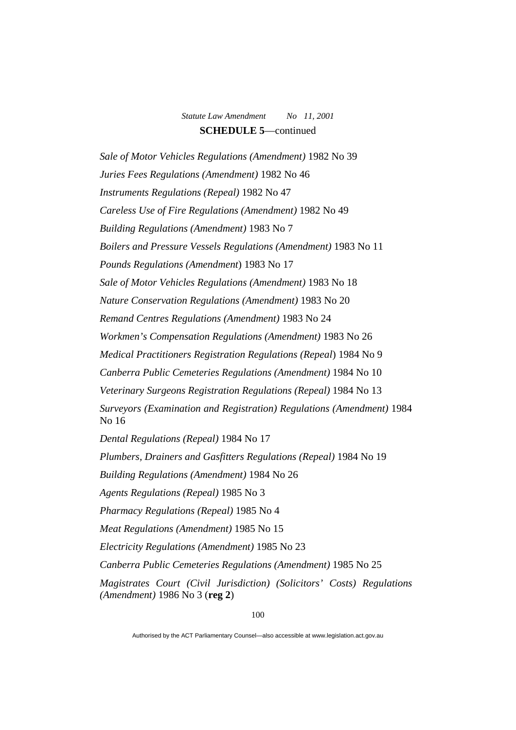*Sale of Motor Vehicles Regulations (Amendment)* 1982 No 39 *Juries Fees Regulations (Amendment)* 1982 No 46 *Instruments Regulations (Repeal)* 1982 No 47 *Careless Use of Fire Regulations (Amendment)* 1982 No 49 *Building Regulations (Amendment)* 1983 No 7 *Boilers and Pressure Vessels Regulations (Amendment)* 1983 No 11 *Pounds Regulations (Amendment*) 1983 No 17 *Sale of Motor Vehicles Regulations (Amendment)* 1983 No 18 *Nature Conservation Regulations (Amendment)* 1983 No 20 *Remand Centres Regulations (Amendment)* 1983 No 24 *Workmen's Compensation Regulations (Amendment)* 1983 No 26 *Medical Practitioners Registration Regulations (Repeal*) 1984 No 9 *Canberra Public Cemeteries Regulations (Amendment)* 1984 No 10 *Veterinary Surgeons Registration Regulations (Repeal)* 1984 No 13 *Surveyors (Examination and Registration) Regulations (Amendment)* 1984 No 16 *Dental Regulations (Repeal)* 1984 No 17 *Plumbers, Drainers and Gasfitters Regulations (Repeal)* 1984 No 19 *Building Regulations (Amendment)* 1984 No 26 *Agents Regulations (Repeal)* 1985 No 3 *Pharmacy Regulations (Repeal)* 1985 No 4 *Meat Regulations (Amendment)* 1985 No 15 *Electricity Regulations (Amendment)* 1985 No 23 *Canberra Public Cemeteries Regulations (Amendment)* 1985 No 25 *Magistrates Court (Civil Jurisdiction) (Solicitors' Costs) Regulations (Amendment)* 1986 No 3 (**reg 2**)

Authorised by the ACT Parliamentary Counsel—also accessible at www.legislation.act.gov.au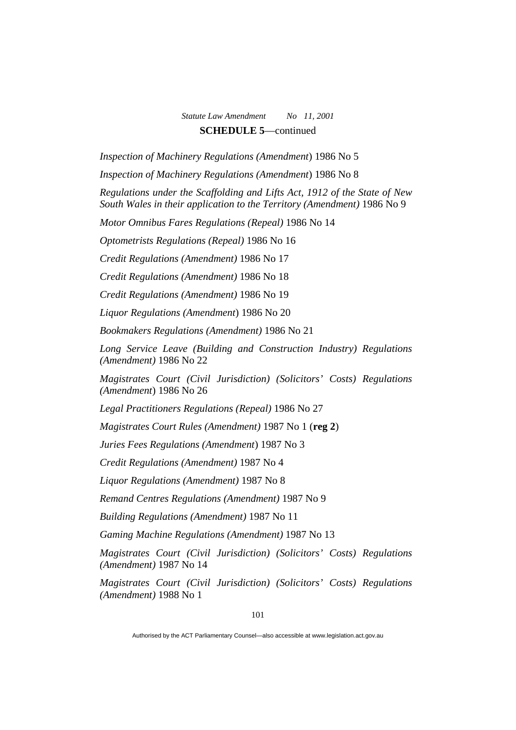*Inspection of Machinery Regulations (Amendment*) 1986 No 5

*Inspection of Machinery Regulations (Amendment*) 1986 No 8

*Regulations under the Scaffolding and Lifts Act, 1912 of the State of New South Wales in their application to the Territory (Amendment)* 1986 No 9

*Motor Omnibus Fares Regulations (Repeal)* 1986 No 14

*Optometrists Regulations (Repeal)* 1986 No 16

*Credit Regulations (Amendment)* 1986 No 17

*Credit Regulations (Amendment)* 1986 No 18

*Credit Regulations (Amendment)* 1986 No 19

*Liquor Regulations (Amendment*) 1986 No 20

*Bookmakers Regulations (Amendment)* 1986 No 21

*Long Service Leave (Building and Construction Industry) Regulations (Amendment)* 1986 No 22

*Magistrates Court (Civil Jurisdiction) (Solicitors' Costs) Regulations (Amendment*) 1986 No 26

*Legal Practitioners Regulations (Repeal)* 1986 No 27

*Magistrates Court Rules (Amendment)* 1987 No 1 (**reg 2**)

*Juries Fees Regulations (Amendment*) 1987 No 3

*Credit Regulations (Amendment)* 1987 No 4

*Liquor Regulations (Amendment)* 1987 No 8

*Remand Centres Regulations (Amendment)* 1987 No 9

*Building Regulations (Amendment)* 1987 No 11

*Gaming Machine Regulations (Amendment)* 1987 No 13

*Magistrates Court (Civil Jurisdiction) (Solicitors' Costs) Regulations (Amendment)* 1987 No 14

*Magistrates Court (Civil Jurisdiction) (Solicitors' Costs) Regulations (Amendment)* 1988 No 1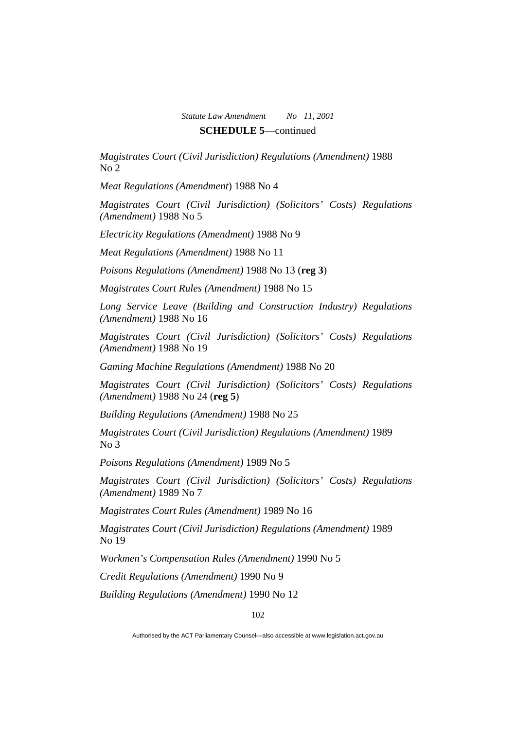*Magistrates Court (Civil Jurisdiction) Regulations (Amendment)* 1988 No 2

*Meat Regulations (Amendment*) 1988 No 4

*Magistrates Court (Civil Jurisdiction) (Solicitors' Costs) Regulations (Amendment)* 1988 No 5

*Electricity Regulations (Amendment)* 1988 No 9

*Meat Regulations (Amendment)* 1988 No 11

*Poisons Regulations (Amendment)* 1988 No 13 (**reg 3**)

*Magistrates Court Rules (Amendment)* 1988 No 15

*Long Service Leave (Building and Construction Industry) Regulations (Amendment)* 1988 No 16

*Magistrates Court (Civil Jurisdiction) (Solicitors' Costs) Regulations (Amendment)* 1988 No 19

*Gaming Machine Regulations (Amendment)* 1988 No 20

*Magistrates Court (Civil Jurisdiction) (Solicitors' Costs) Regulations (Amendment)* 1988 No 24 (**reg 5**)

*Building Regulations (Amendment)* 1988 No 25

*Magistrates Court (Civil Jurisdiction) Regulations (Amendment)* 1989 No 3

*Poisons Regulations (Amendment)* 1989 No 5

*Magistrates Court (Civil Jurisdiction) (Solicitors' Costs) Regulations (Amendment)* 1989 No 7

*Magistrates Court Rules (Amendment)* 1989 No 16

*Magistrates Court (Civil Jurisdiction) Regulations (Amendment)* 1989 No 19

*Workmen's Compensation Rules (Amendment)* 1990 No 5

*Credit Regulations (Amendment)* 1990 No 9

*Building Regulations (Amendment)* 1990 No 12

Authorised by the ACT Parliamentary Counsel—also accessible at www.legislation.act.gov.au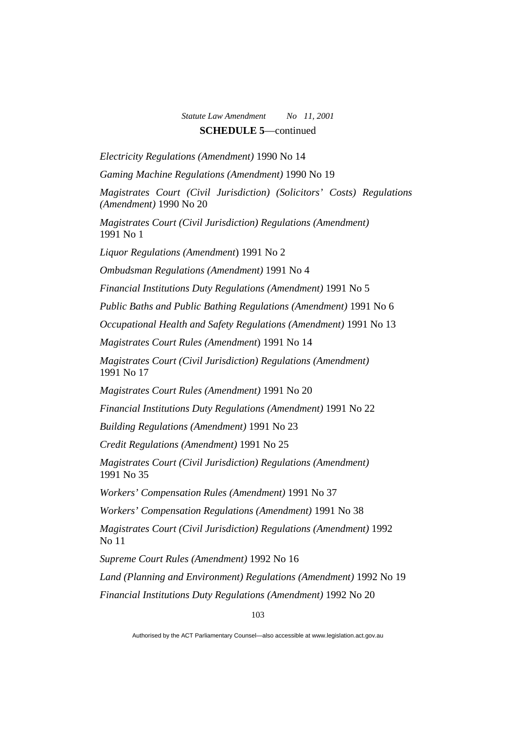*Electricity Regulations (Amendment)* 1990 No 14

*Gaming Machine Regulations (Amendment)* 1990 No 19

*Magistrates Court (Civil Jurisdiction) (Solicitors' Costs) Regulations (Amendment)* 1990 No 20

*Magistrates Court (Civil Jurisdiction) Regulations (Amendment)*  1991 No 1

*Liquor Regulations (Amendment*) 1991 No 2

*Ombudsman Regulations (Amendment)* 1991 No 4

*Financial Institutions Duty Regulations (Amendment)* 1991 No 5

*Public Baths and Public Bathing Regulations (Amendment)* 1991 No 6

*Occupational Health and Safety Regulations (Amendment)* 1991 No 13

*Magistrates Court Rules (Amendment*) 1991 No 14

*Magistrates Court (Civil Jurisdiction) Regulations (Amendment)*  1991 No 17

*Magistrates Court Rules (Amendment)* 1991 No 20

*Financial Institutions Duty Regulations (Amendment)* 1991 No 22

*Building Regulations (Amendment)* 1991 No 23

*Credit Regulations (Amendment)* 1991 No 25

*Magistrates Court (Civil Jurisdiction) Regulations (Amendment)*  1991 No 35

*Workers' Compensation Rules (Amendment)* 1991 No 37

*Workers' Compensation Regulations (Amendment)* 1991 No 38

*Magistrates Court (Civil Jurisdiction) Regulations (Amendment)* 1992 No 11

*Supreme Court Rules (Amendment)* 1992 No 16

*Land (Planning and Environment) Regulations (Amendment)* 1992 No 19

*Financial Institutions Duty Regulations (Amendment)* 1992 No 20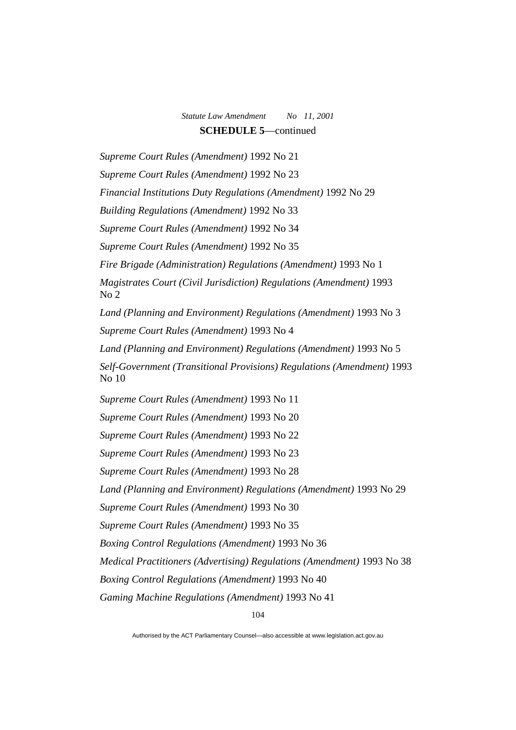*Supreme Court Rules (Amendment)* 1992 No 21 *Supreme Court Rules (Amendment)* 1992 No 23 *Financial Institutions Duty Regulations (Amendment)* 1992 No 29 *Building Regulations (Amendment)* 1992 No 33 *Supreme Court Rules (Amendment)* 1992 No 34 *Supreme Court Rules (Amendment)* 1992 No 35 *Fire Brigade (Administration) Regulations (Amendment)* 1993 No 1 *Magistrates Court (Civil Jurisdiction) Regulations (Amendment)* 1993 No 2 *Land (Planning and Environment) Regulations (Amendment)* 1993 No 3 *Supreme Court Rules (Amendment)* 1993 No 4 *Land (Planning and Environment) Regulations (Amendment)* 1993 No 5 *Self-Government (Transitional Provisions) Regulations (Amendment)* 1993 No 10 *Supreme Court Rules (Amendment)* 1993 No 11 *Supreme Court Rules (Amendment)* 1993 No 20 *Supreme Court Rules (Amendment)* 1993 No 22 *Supreme Court Rules (Amendment)* 1993 No 23 *Supreme Court Rules (Amendment)* 1993 No 28 Land (Planning and Environment) Regulations (Amendment) 1993 No 29 *Supreme Court Rules (Amendment)* 1993 No 30 *Supreme Court Rules (Amendment)* 1993 No 35 *Boxing Control Regulations (Amendment)* 1993 No 36 *Medical Practitioners (Advertising) Regulations (Amendment)* 1993 No 38 *Boxing Control Regulations (Amendment)* 1993 No 40 *Gaming Machine Regulations (Amendment)* 1993 No 41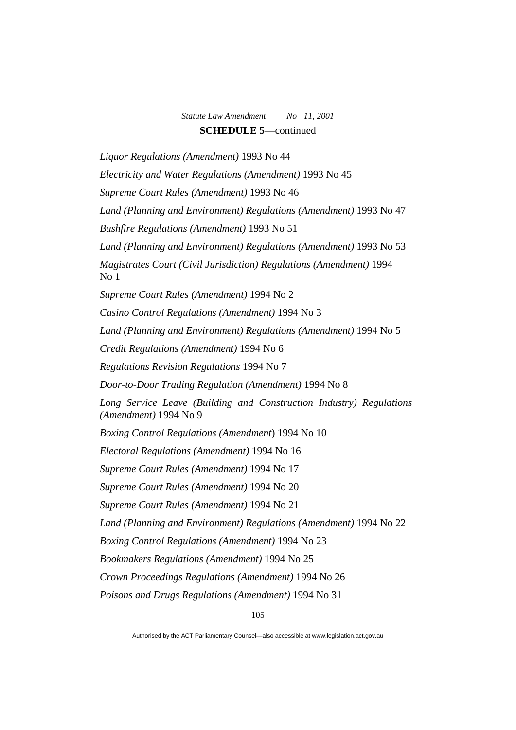*Liquor Regulations (Amendment)* 1993 No 44 *Electricity and Water Regulations (Amendment)* 1993 No 45 *Supreme Court Rules (Amendment)* 1993 No 46 Land (Planning and Environment) Regulations (Amendment) 1993 No 47 *Bushfire Regulations (Amendment)* 1993 No 51 Land (Planning and Environment) Regulations (Amendment) 1993 No 53 *Magistrates Court (Civil Jurisdiction) Regulations (Amendment)* 1994 No 1 *Supreme Court Rules (Amendment)* 1994 No 2 *Casino Control Regulations (Amendment)* 1994 No 3 *Land (Planning and Environment) Regulations (Amendment)* 1994 No 5 *Credit Regulations (Amendment)* 1994 No 6 *Regulations Revision Regulations* 1994 No 7 *Door-to-Door Trading Regulation (Amendment)* 1994 No 8 *Long Service Leave (Building and Construction Industry) Regulations (Amendment)* 1994 No 9 *Boxing Control Regulations (Amendment*) 1994 No 10 *Electoral Regulations (Amendment)* 1994 No 16 *Supreme Court Rules (Amendment)* 1994 No 17 *Supreme Court Rules (Amendment)* 1994 No 20 *Supreme Court Rules (Amendment)* 1994 No 21 *Land (Planning and Environment) Regulations (Amendment)* 1994 No 22 *Boxing Control Regulations (Amendment)* 1994 No 23 *Bookmakers Regulations (Amendment)* 1994 No 25 *Crown Proceedings Regulations (Amendment)* 1994 No 26 *Poisons and Drugs Regulations (Amendment)* 1994 No 31

Authorised by the ACT Parliamentary Counsel—also accessible at www.legislation.act.gov.au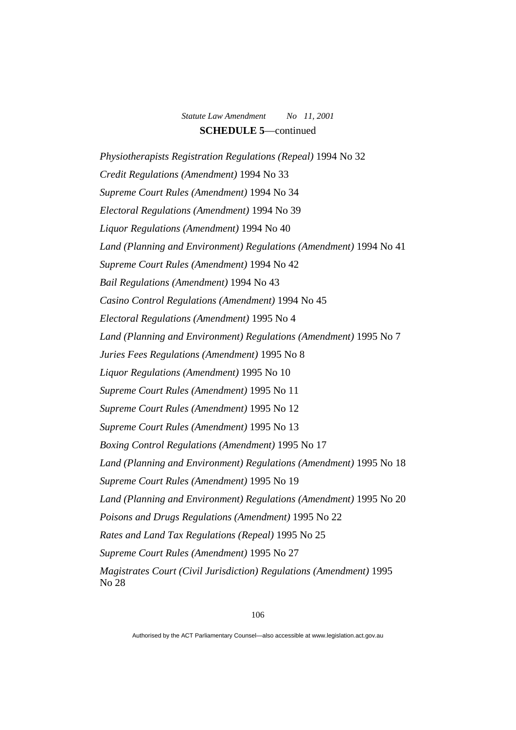*Physiotherapists Registration Regulations (Repeal)* 1994 No 32 *Credit Regulations (Amendment)* 1994 No 33 *Supreme Court Rules (Amendment)* 1994 No 34 *Electoral Regulations (Amendment)* 1994 No 39 *Liquor Regulations (Amendment)* 1994 No 40 *Land (Planning and Environment) Regulations (Amendment)* 1994 No 41 *Supreme Court Rules (Amendment)* 1994 No 42 *Bail Regulations (Amendment)* 1994 No 43 *Casino Control Regulations (Amendment)* 1994 No 45 *Electoral Regulations (Amendment)* 1995 No 4 *Land (Planning and Environment) Regulations (Amendment)* 1995 No 7 *Juries Fees Regulations (Amendment)* 1995 No 8 *Liquor Regulations (Amendment)* 1995 No 10 *Supreme Court Rules (Amendment)* 1995 No 11 *Supreme Court Rules (Amendment)* 1995 No 12 *Supreme Court Rules (Amendment)* 1995 No 13 *Boxing Control Regulations (Amendment)* 1995 No 17 Land (Planning and Environment) Regulations (Amendment) 1995 No 18 *Supreme Court Rules (Amendment)* 1995 No 19 *Land (Planning and Environment) Regulations (Amendment)* 1995 No 20 *Poisons and Drugs Regulations (Amendment)* 1995 No 22 *Rates and Land Tax Regulations (Repeal)* 1995 No 25 *Supreme Court Rules (Amendment)* 1995 No 27 *Magistrates Court (Civil Jurisdiction) Regulations (Amendment)* 1995 No 28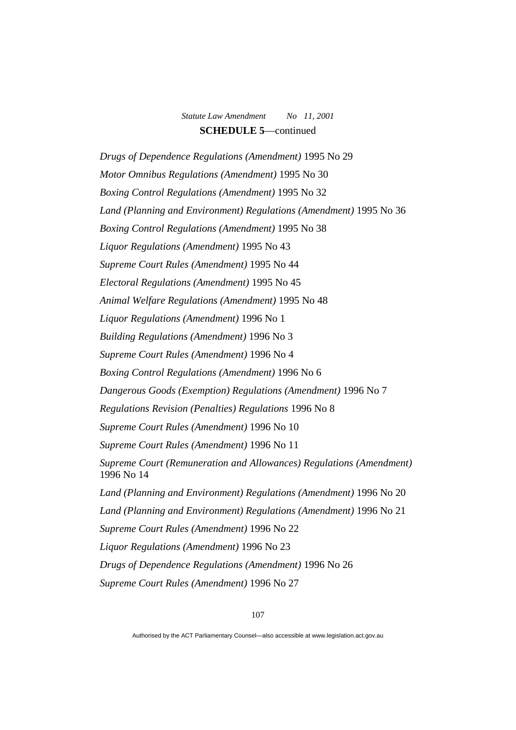*Drugs of Dependence Regulations (Amendment)* 1995 No 29 *Motor Omnibus Regulations (Amendment)* 1995 No 30 *Boxing Control Regulations (Amendment)* 1995 No 32 Land (Planning and Environment) Regulations (Amendment) 1995 No 36 *Boxing Control Regulations (Amendment)* 1995 No 38 *Liquor Regulations (Amendment)* 1995 No 43 *Supreme Court Rules (Amendment)* 1995 No 44 *Electoral Regulations (Amendment)* 1995 No 45 *Animal Welfare Regulations (Amendment)* 1995 No 48 *Liquor Regulations (Amendment)* 1996 No 1 *Building Regulations (Amendment)* 1996 No 3 *Supreme Court Rules (Amendment)* 1996 No 4 *Boxing Control Regulations (Amendment)* 1996 No 6 *Dangerous Goods (Exemption) Regulations (Amendment)* 1996 No 7 *Regulations Revision (Penalties) Regulations* 1996 No 8 *Supreme Court Rules (Amendment)* 1996 No 10 *Supreme Court Rules (Amendment)* 1996 No 11 *Supreme Court (Remuneration and Allowances) Regulations (Amendment)*  1996 No 14 *Land (Planning and Environment) Regulations (Amendment)* 1996 No 20 *Land (Planning and Environment) Regulations (Amendment)* 1996 No 21 *Supreme Court Rules (Amendment)* 1996 No 22 *Liquor Regulations (Amendment)* 1996 No 23 *Drugs of Dependence Regulations (Amendment)* 1996 No 26 *Supreme Court Rules (Amendment)* 1996 No 27

Authorised by the ACT Parliamentary Counsel—also accessible at www.legislation.act.gov.au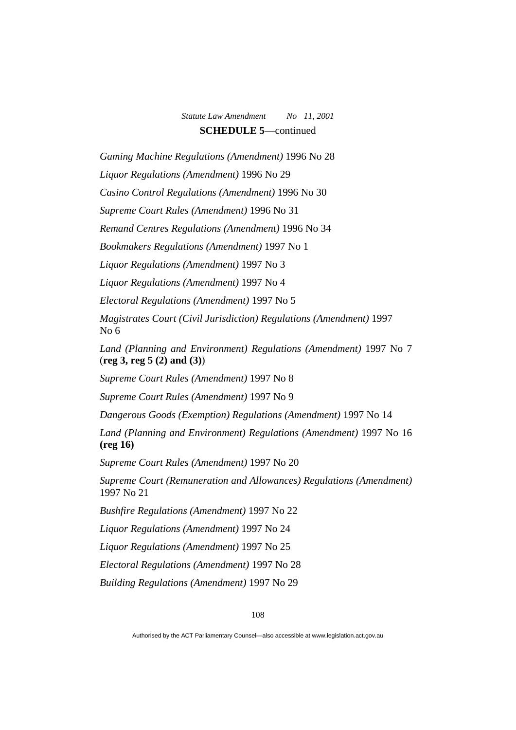*Gaming Machine Regulations (Amendment)* 1996 No 28

*Liquor Regulations (Amendment)* 1996 No 29

*Casino Control Regulations (Amendment)* 1996 No 30

*Supreme Court Rules (Amendment)* 1996 No 31

*Remand Centres Regulations (Amendment)* 1996 No 34

*Bookmakers Regulations (Amendment)* 1997 No 1

*Liquor Regulations (Amendment)* 1997 No 3

*Liquor Regulations (Amendment)* 1997 No 4

*Electoral Regulations (Amendment)* 1997 No 5

*Magistrates Court (Civil Jurisdiction) Regulations (Amendment)* 1997 No 6

*Land (Planning and Environment) Regulations (Amendment)* 1997 No 7 (**reg 3, reg 5 (2) and (3)**)

*Supreme Court Rules (Amendment)* 1997 No 8

*Supreme Court Rules (Amendment)* 1997 No 9

*Dangerous Goods (Exemption) Regulations (Amendment)* 1997 No 14

*Land (Planning and Environment) Regulations (Amendment)* 1997 No 16 **(reg 16)**

*Supreme Court Rules (Amendment)* 1997 No 20

*Supreme Court (Remuneration and Allowances) Regulations (Amendment)*  1997 No 21

*Bushfire Regulations (Amendment)* 1997 No 22

*Liquor Regulations (Amendment)* 1997 No 24

*Liquor Regulations (Amendment)* 1997 No 25

*Electoral Regulations (Amendment)* 1997 No 28

*Building Regulations (Amendment)* 1997 No 29

Authorised by the ACT Parliamentary Counsel—also accessible at www.legislation.act.gov.au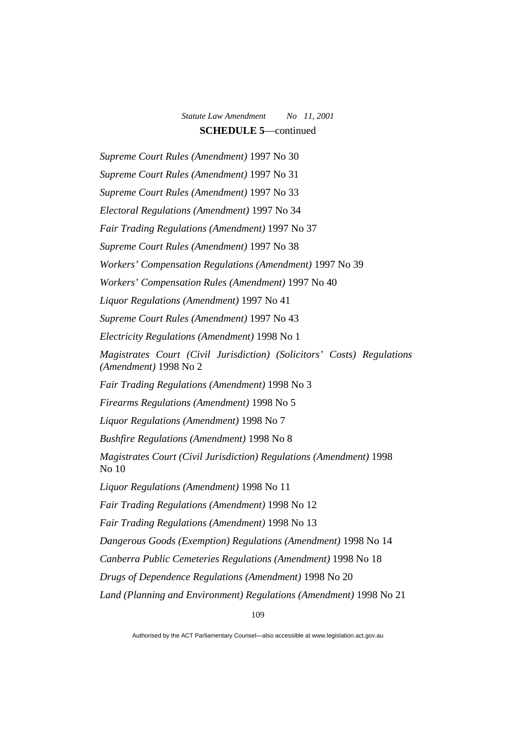*Supreme Court Rules (Amendment)* 1997 No 30 *Supreme Court Rules (Amendment)* 1997 No 31 *Supreme Court Rules (Amendment)* 1997 No 33 *Electoral Regulations (Amendment)* 1997 No 34 *Fair Trading Regulations (Amendment)* 1997 No 37 *Supreme Court Rules (Amendment)* 1997 No 38 *Workers' Compensation Regulations (Amendment)* 1997 No 39 *Workers' Compensation Rules (Amendment)* 1997 No 40 *Liquor Regulations (Amendment)* 1997 No 41 *Supreme Court Rules (Amendment)* 1997 No 43 *Electricity Regulations (Amendment)* 1998 No 1 *Magistrates Court (Civil Jurisdiction) (Solicitors' Costs) Regulations (Amendment)* 1998 No 2 *Fair Trading Regulations (Amendment)* 1998 No 3 *Firearms Regulations (Amendment)* 1998 No 5 *Liquor Regulations (Amendment)* 1998 No 7 *Bushfire Regulations (Amendment)* 1998 No 8 *Magistrates Court (Civil Jurisdiction) Regulations (Amendment)* 1998 No 10 *Liquor Regulations (Amendment)* 1998 No 11 *Fair Trading Regulations (Amendment)* 1998 No 12 *Fair Trading Regulations (Amendment)* 1998 No 13 *Dangerous Goods (Exemption) Regulations (Amendment)* 1998 No 14 *Canberra Public Cemeteries Regulations (Amendment)* 1998 No 18 *Drugs of Dependence Regulations (Amendment)* 1998 No 20 *Land (Planning and Environment) Regulations (Amendment)* 1998 No 21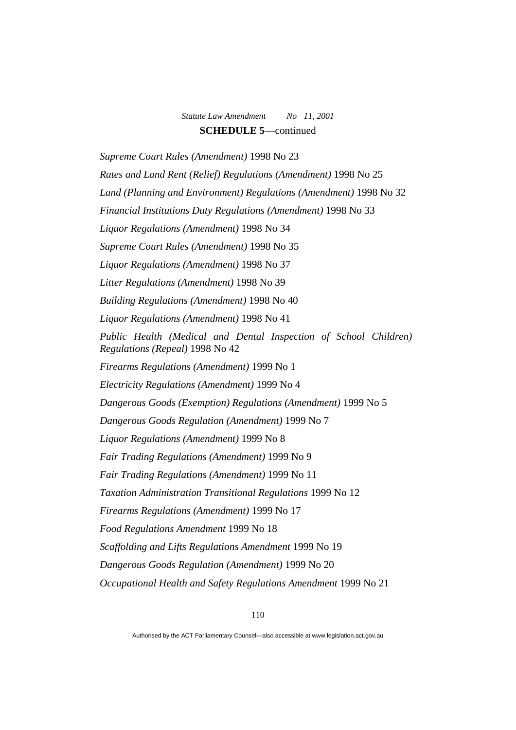*Supreme Court Rules (Amendment)* 1998 No 23 *Rates and Land Rent (Relief) Regulations (Amendment)* 1998 No 25 Land (Planning and Environment) Regulations (Amendment) 1998 No 32 *Financial Institutions Duty Regulations (Amendment)* 1998 No 33 *Liquor Regulations (Amendment)* 1998 No 34 *Supreme Court Rules (Amendment)* 1998 No 35 *Liquor Regulations (Amendment)* 1998 No 37 *Litter Regulations (Amendment)* 1998 No 39 *Building Regulations (Amendment)* 1998 No 40 *Liquor Regulations (Amendment)* 1998 No 41 *Public Health (Medical and Dental Inspection of School Children) Regulations (Repeal)* 1998 No 42 *Firearms Regulations (Amendment)* 1999 No 1 *Electricity Regulations (Amendment)* 1999 No 4 *Dangerous Goods (Exemption) Regulations (Amendment)* 1999 No 5 *Dangerous Goods Regulation (Amendment)* 1999 No 7 *Liquor Regulations (Amendment)* 1999 No 8 *Fair Trading Regulations (Amendment)* 1999 No 9 *Fair Trading Regulations (Amendment)* 1999 No 11 *Taxation Administration Transitional Regulations* 1999 No 12 *Firearms Regulations (Amendment)* 1999 No 17 *Food Regulations Amendment* 1999 No 18 *Scaffolding and Lifts Regulations Amendment* 1999 No 19 *Dangerous Goods Regulation (Amendment)* 1999 No 20 *Occupational Health and Safety Regulations Amendment* 1999 No 21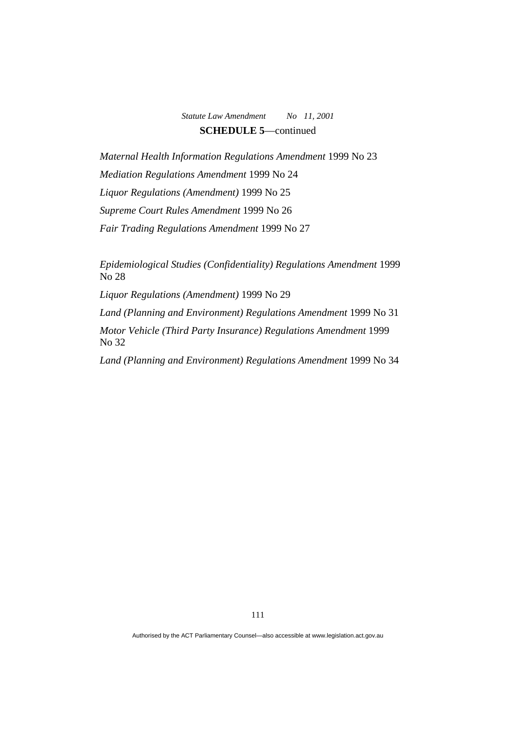*Maternal Health Information Regulations Amendment* 1999 No 23 *Mediation Regulations Amendment* 1999 No 24 *Liquor Regulations (Amendment)* 1999 No 25 *Supreme Court Rules Amendment* 1999 No 26 *Fair Trading Regulations Amendment* 1999 No 27

*Epidemiological Studies (Confidentiality) Regulations Amendment* 1999 No 28

*Liquor Regulations (Amendment)* 1999 No 29

*Land (Planning and Environment) Regulations Amendment* 1999 No 31

*Motor Vehicle (Third Party Insurance) Regulations Amendment* 1999 No 32

*Land (Planning and Environment) Regulations Amendment* 1999 No 34

Authorised by the ACT Parliamentary Counsel—also accessible at www.legislation.act.gov.au